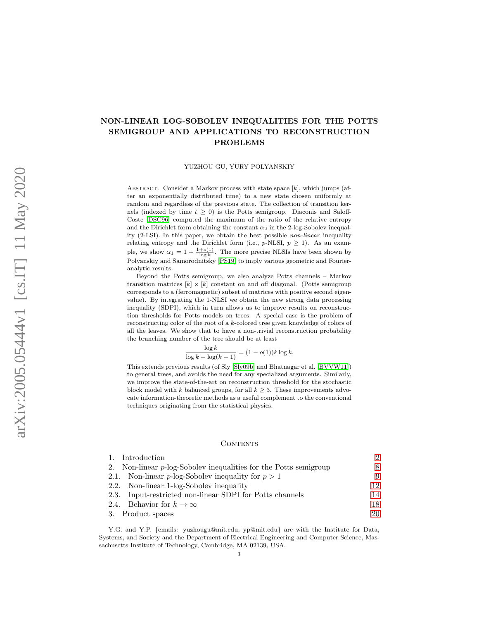# NON-LINEAR LOG-SOBOLEV INEQUALITIES FOR THE POTTS SEMIGROUP AND APPLICATIONS TO RECONSTRUCTION PROBLEMS

YUZHOU GU, YURY POLYANSKIY

ABSTRACT. Consider a Markov process with state space  $[k]$ , which jumps (after an exponentially distributed time) to a new state chosen uniformly at random and regardless of the previous state. The collection of transition kernels (indexed by time  $t \geq 0$ ) is the Potts semigroup. Diaconis and Saloff-Coste [\[DSC96\]](#page-45-0) computed the maximum of the ratio of the relative entropy and the Dirichlet form obtaining the constant  $\alpha_2$  in the 2-log-Sobolev inequality (2-LSI). In this paper, we obtain the best possible non-linear inequality relating entropy and the Dirichlet form (i.e.,  $p$ -NLSI,  $p \geq 1$ ). As an example, we show  $\alpha_1 = 1 + \frac{1+o(1)}{\log k}$ . The more precise NLSIs have been shown by Polyanskiy and Samorodnitsky [\[PS19\]](#page-46-0) to imply various geometric and Fourieranalytic results.

Beyond the Potts semigroup, we also analyze Potts channels – Markov transition matrices  $[k] \times [k]$  constant on and off diagonal. (Potts semigroup corresponds to a (ferromagnetic) subset of matrices with positive second eigenvalue). By integrating the 1-NLSI we obtain the new strong data processing inequality (SDPI), which in turn allows us to improve results on reconstruction thresholds for Potts models on trees. A special case is the problem of reconstructing color of the root of a k-colored tree given knowledge of colors of all the leaves. We show that to have a non-trivial reconstruction probability the branching number of the tree should be at least

$$
\frac{\log k}{\log k - \log(k-1)} = (1 - o(1))k \log k.
$$

This extends previous results (of Sly [\[Sly09b\]](#page-47-0) and Bhatnagar et al. [\[BVVW11\]](#page-45-1)) to general trees, and avoids the need for any specialized arguments. Similarly, we improve the state-of-the-art on reconstruction threshold for the stochastic block model with k balanced groups, for all  $k \geq 3$ . These improvements advocate information-theoretic methods as a useful complement to the conventional techniques originating from the statistical physics.

#### CONTENTS

| 1. Introduction                                                     | $\mathcal{D}_{\mathcal{L}}$ |
|---------------------------------------------------------------------|-----------------------------|
| 2. Non-linear $p$ -log-Sobolev inequalities for the Potts semigroup | 8                           |
| 2.1. Non-linear p-log-Sobolev inequality for $p > 1$                | 9                           |
| 2.2. Non-linear 1-log-Sobolev inequality                            | 12                          |
| 2.3. Input-restricted non-linear SDPI for Potts channels            | 14                          |
| 2.4. Behavior for $k \to \infty$                                    | 18                          |
| 3. Product spaces                                                   | 20                          |

Y.G. and Y.P. {emails: yuzhougu@mit.edu, yp@mit.edu} are with the Institute for Data, Systems, and Society and the Department of Electrical Engineering and Computer Science, Massachusetts Institute of Technology, Cambridge, MA 02139, USA.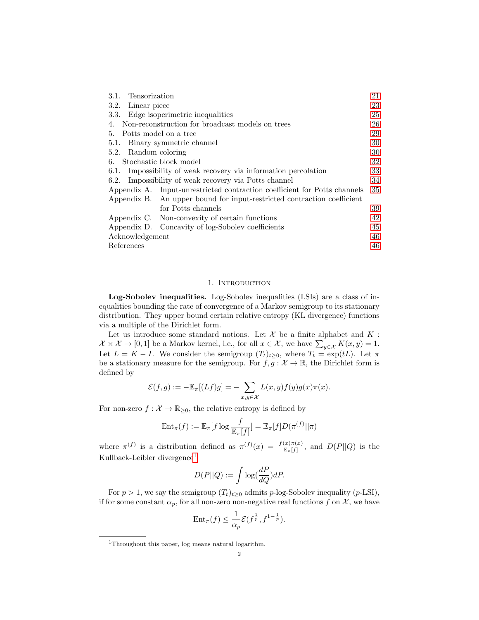| Tensorization<br>3.1.                                                     | 21 |  |  |  |
|---------------------------------------------------------------------------|----|--|--|--|
| 3.2. Linear piece                                                         | 23 |  |  |  |
| Edge isoperimetric inequalities<br>3.3.                                   | 25 |  |  |  |
| Non-reconstruction for broadcast models on trees<br>4.                    | 26 |  |  |  |
| Potts model on a tree<br>5.                                               | 29 |  |  |  |
| 5.1. Binary symmetric channel                                             | 30 |  |  |  |
| 5.2. Random coloring                                                      | 30 |  |  |  |
| Stochastic block model<br>6.                                              | 32 |  |  |  |
| 6.1. Impossibility of weak recovery via information percolation           | 33 |  |  |  |
| Impossibility of weak recovery via Potts channel<br>6.2.                  | 34 |  |  |  |
| Appendix A. Input-unrestricted contraction coefficient for Potts channels | 35 |  |  |  |
| Appendix B. An upper bound for input-restricted contraction coefficient   |    |  |  |  |
| for Potts channels                                                        | 39 |  |  |  |
| Appendix C. Non-convexity of certain functions                            | 42 |  |  |  |
| Appendix D. Concavity of log-Sobolev coefficients                         | 45 |  |  |  |
| Acknowledgement                                                           |    |  |  |  |
| References                                                                | 46 |  |  |  |

### 1. INTRODUCTION

<span id="page-1-0"></span>Log-Sobolev inequalities. Log-Sobolev inequalities (LSIs) are a class of inequalities bounding the rate of convergence of a Markov semigroup to its stationary distribution. They upper bound certain relative entropy (KL divergence) functions via a multiple of the Dirichlet form.

Let us introduce some standard notions. Let  $\mathcal X$  be a finite alphabet and  $K$ :  $\mathcal{X} \times \mathcal{X} \to [0,1]$  be a Markov kernel, i.e., for all  $x \in \mathcal{X}$ , we have  $\sum_{y \in \mathcal{X}} K(x, y) = 1$ . Let  $L = K - I$ . We consider the semigroup  $(T_t)_{t \geq 0}$ , where  $T_t = \exp(tL)$ . Let  $\pi$ be a stationary measure for the semigroup. For  $f, g : \mathcal{X} \to \mathbb{R}$ , the Dirichlet form is defined by

$$
\mathcal{E}(f,g):=-\mathbb{E}_{\pi}[(Lf)g]=-\sum_{x,y\in\mathcal{X}}L(x,y)f(y)g(x)\pi(x).
$$

For non-zero  $f: \mathcal{X} \to \mathbb{R}_{\geq 0}$ , the relative entropy is defined by

$$
\mathrm{Ent}_{\pi}(f) := \mathbb{E}_{\pi}[f \log \frac{f}{\mathbb{E}_{\pi}[f]}] = \mathbb{E}_{\pi}[f]D(\pi^{(f)}||\pi)
$$

where  $\pi^{(f)}$  is a distribution defined as  $\pi^{(f)}(x) = \frac{f(x)\pi(x)}{\mathbb{E}_{\pi}[f]}$ , and  $D(P||Q)$  is the Kullback-Leibler divergence[1](#page-1-1)

$$
D(P||Q) := \int \log(\frac{dP}{dQ})dP.
$$

For  $p > 1$ , we say the semigroup  $(T_t)_{t>0}$  admits p-log-Sobolev inequality (p-LSI), if for some constant  $\alpha_p$ , for all non-zero non-negative real functions f on X, we have

$$
\text{Ent}_{\pi}(f) \leq \frac{1}{\alpha_p} \mathcal{E}(f^{\frac{1}{p}}, f^{1-\frac{1}{p}}).
$$

<span id="page-1-1"></span><sup>1</sup>Throughout this paper, log means natural logarithm.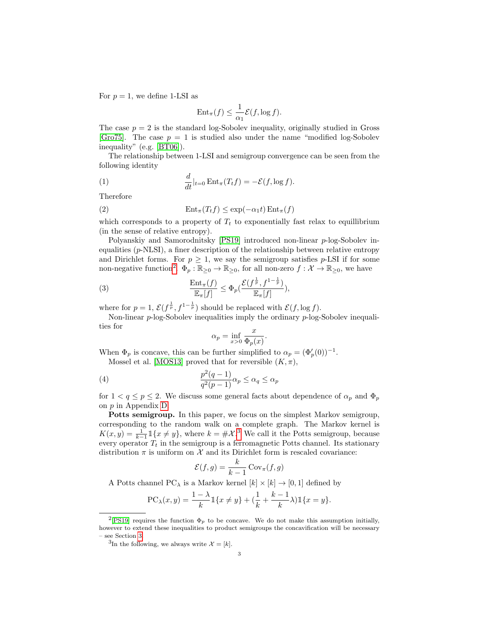For  $p = 1$ , we define 1-LSI as

$$
\text{Ent}_{\pi}(f) \le \frac{1}{\alpha_1} \mathcal{E}(f, \log f).
$$

The case  $p = 2$  is the standard log-Sobolev inequality, originally studied in Gross [\[Gro75\]](#page-46-1). The case  $p = 1$  is studied also under the name "modified log-Sobolev" inequality" (e.g. [\[BT06\]](#page-45-4)).

The relationship between 1-LSI and semigroup convergence can be seen from the following identity

(1) 
$$
\frac{d}{dt}|_{t=0} \operatorname{Ent}_{\pi}(T_t f) = -\mathcal{E}(f, \log f).
$$

Therefore

<span id="page-2-2"></span>(2) 
$$
\operatorname{Ent}_{\pi}(T_t f) \leq \exp(-\alpha_1 t) \operatorname{Ent}_{\pi}(f)
$$

which corresponds to a property of  $T_t$  to exponentially fast relax to equillibrium (in the sense of relative entropy).

Polyanskiy and Samorodnitsky [\[PS19\]](#page-46-0) introduced non-linear p-log-Sobolev inequalities  $(p\text{-NLSI})$ , a finer description of the relationship between relative entropy and Dirichlet forms. For  $p \geq 1$ , we say the semigroup satisfies p-LSI if for some non-negative function<sup>[2](#page-2-0)</sup>.  $\Phi_p : \mathbb{R}_{\geq 0} \to \mathbb{R}_{\geq 0}$ , for all non-zero  $f : \mathcal{X} \to \mathbb{R}_{\geq 0}$ , we have

<span id="page-2-4"></span>(3) 
$$
\frac{\text{Ent}_{\pi}(f)}{\mathbb{E}_{\pi}[f]} \leq \Phi_p(\frac{\mathcal{E}(f^{\frac{1}{p}}, f^{1-\frac{1}{p}})}{\mathbb{E}_{\pi}[f]}),
$$

where for  $p = 1$ ,  $\mathcal{E}(f^{\frac{1}{p}}, f^{1-\frac{1}{p}})$  should be replaced with  $\mathcal{E}(f, \log f)$ .

Non-linear  $p$ -log-Sobolev inequalities imply the ordinary  $p$ -log-Sobolev inequalities for

$$
\alpha_p = \inf_{x>0} \frac{x}{\Phi_p(x)}.
$$

When  $\Phi_p$  is concave, this can be further simplified to  $\alpha_p = (\Phi_p'(0))^{-1}$ . Mossel et al. [\[MOS13\]](#page-46-2) proved that for reversible  $(K, \pi)$ ,

<span id="page-2-3"></span>(4) 
$$
\frac{p^2(q-1)}{q^2(p-1)}\alpha_p \le \alpha_q \le \alpha_p
$$

for  $1 < q \le p \le 2$ . We discuss some general facts about dependence of  $\alpha_p$  and  $\Phi_p$ on p in Appendix [D.](#page-44-0)

Potts semigroup. In this paper, we focus on the simplest Markov semigroup, corresponding to the random walk on a complete graph. The Markov kernel is  $K(x,y) = \frac{1}{k-1} \mathbb{1}\{x \neq y\}$ , where  $k = \#\mathcal{X}^3$  $k = \#\mathcal{X}^3$ . We call it the Potts semigroup, because every operator  $T_t$  in the semigroup is a ferromagnetic Potts channel. Its stationary distribution  $\pi$  is uniform on  $\mathcal X$  and its Dirichlet form is rescaled covariance:

$$
\mathcal{E}(f,g) = \frac{k}{k-1} \operatorname{Cov}_{\pi}(f,g)
$$

A Potts channel PC<sub> $\lambda$ </sub> is a Markov kernel  $[k] \times [k] \rightarrow [0, 1]$  defined by

$$
PC_{\lambda}(x,y) = \frac{1-\lambda}{k} \mathbb{1}\{x \neq y\} + (\frac{1}{k} + \frac{k-1}{k}\lambda) \mathbb{1}\{x = y\}.
$$

<span id="page-2-0"></span><sup>&</sup>lt;sup>2</sup>[\[PS19\]](#page-46-0) requires the function  $\Phi_p$  to be concave. We do not make this assumption initially, however to extend these inequalities to product semigroups the concavification will be necessary – see Section [3.](#page-19-0)

<span id="page-2-1"></span><sup>&</sup>lt;sup>3</sup>In the following, we always write  $\mathcal{X} = [k]$ .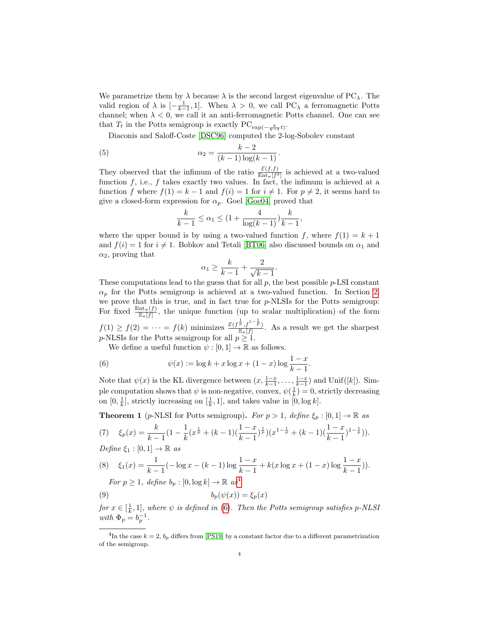We parametrize them by  $\lambda$  because  $\lambda$  is the second largest eigenvalue of PC<sub> $\lambda$ </sub>. The valid region of  $\lambda$  is  $\left[-\frac{1}{k-1}, 1\right]$ . When  $\lambda > 0$ , we call PC<sub> $\lambda$ </sub> a ferromagnetic Potts channel; when  $\lambda < 0$ , we call it an anti-ferromagnetic Potts channel. One can see that  $T_t$  in the Potts semigroup is exactly  $\text{PC}_{\exp\left(-\frac{k}{k-1}t\right)}$ .

Diaconis and Saloff-Coste [\[DSC96\]](#page-45-0) computed the 2-log-Sobolev constant

(5) 
$$
\alpha_2 = \frac{k-2}{(k-1)\log(k-1)}.
$$

They observed that the infimum of the ratio  $\frac{\mathcal{E}(f,f)}{\text{Ent}_{\pi}[f^2]}$  is achieved at a two-valued function  $f$ , i.e.,  $f$  takes exactly two values. In fact, the infimum is achieved at a function f where  $f(1) = k - 1$  and  $f(i) = 1$  for  $i \neq 1$ . For  $p \neq 2$ , it seems hard to give a closed-form expression for  $\alpha_p$ . Goel [\[Goe04\]](#page-46-3) proved that

<span id="page-3-3"></span>
$$
\frac{k}{k-1}\leq \alpha_1\leq (1+\frac{4}{\log(k-1)})\frac{k}{k-1},
$$

where the upper bound is by using a two-valued function f, where  $f(1) = k + 1$ and  $f(i) = 1$  for  $i \neq 1$ . Bobkov and Tetali [\[BT06\]](#page-45-4) also discussed bounds on  $\alpha_1$  and  $\alpha_2$ , proving that

$$
\alpha_1 \ge \frac{k}{k-1} + \frac{2}{\sqrt{k-1}}.
$$

These computations lead to the guess that for all  $p$ , the best possible  $p$ -LSI constant  $\alpha_p$  for the Potts semigroup is achieved at a two-valued function. In Section [2,](#page-7-0) we prove that this is true, and in fact true for p-NLSIs for the Potts semigroup: For fixed  $\frac{\text{Ent}_{\pi}(f)}{\mathbb{E}_{\pi}[f]}$ , the unique function (up to scalar multiplication) of the form  $f(1) \ge f(2) = \cdots = f(k)$  minimizes  $\frac{\mathcal{E}(f^{\frac{1}{p}}, f^{1-\frac{1}{p}})}{\mathbb{E}_{\pi}[f]}$ . As a result we get the sharpest p-NLSIs for the Potts semigroup for all  $p \geq 1$ .

<span id="page-3-1"></span>We define a useful function  $\psi : [0, 1] \to \mathbb{R}$  as follows.

(6) 
$$
\psi(x) := \log k + x \log x + (1 - x) \log \frac{1 - x}{k - 1}
$$

Note that  $\psi(x)$  is the KL divergence between  $(x, \frac{1-x}{k-1}, \ldots, \frac{1-x}{k-1})$  and Unif([k]). Simple computation shows that  $\psi$  is non-negative, convex,  $\psi(\frac{1}{k}) = 0$ , strictly decreasing on  $[0, \frac{1}{k}]$ , strictly increasing on  $[\frac{1}{k}, 1]$ , and takes value in  $[0, \log k]$ .

.

<span id="page-3-2"></span>**Theorem 1** (p-NLSI for Potts semigroup). For  $p > 1$ , define  $\xi_p : [0, 1] \to \mathbb{R}$  as

(7) 
$$
\xi_p(x) = \frac{k}{k-1} \left(1 - \frac{1}{k} \left(x^{\frac{1}{p}} + (k-1)\left(\frac{1-x}{k-1}\right)^{\frac{1}{p}}\right)\left(x^{1-\frac{1}{p}} + (k-1)\left(\frac{1-x}{k-1}\right)^{1-\frac{1}{p}}\right)\right).
$$
  
Define  $\xi_1 : [0,1] \to \mathbb{R}$  as

(8) 
$$
\xi_1(x) = \frac{1}{k-1}(-\log x - (k-1)\log \frac{1-x}{k-1} + k(x \log x + (1-x)\log \frac{1-x}{k-1})).
$$
  
For  $p \ge 1$ , define  $b_p : [0, \log k] \to \mathbb{R}$  as<sup>4</sup>

<span id="page-3-4"></span>(9) 
$$
b_p(\psi(x)) = \xi_p(x)
$$

for  $x \in [\frac{1}{k}, 1]$ , where  $\psi$  is defined in [\(6\)](#page-3-1). Then the Potts semigroup satisfies p-NLSI with  $\Phi_p = b_p^{-1}$ .

<span id="page-3-0"></span><sup>&</sup>lt;sup>4</sup>In the case  $k = 2$ ,  $b_p$  differs from [\[PS19\]](#page-46-0) by a constant factor due to a different parametrization of the semigroup.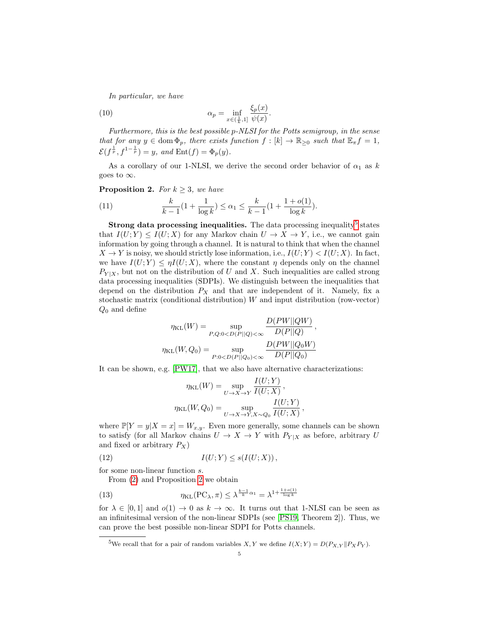In particular, we have

(10) 
$$
\alpha_p = \inf_{x \in (\frac{1}{k}, 1]} \frac{\xi_p(x)}{\psi(x)}.
$$

Furthermore, this is the best possible p-NLSI for the Potts semigroup, in the sense that for any  $y \in \text{dom } \Phi_p$ , there exists function  $f : [k] \to \mathbb{R}_{\geq 0}$  such that  $\mathbb{E}_{\pi} f = 1$ ,  $\mathcal{E}(f^{\frac{1}{p}}, f^{1-\frac{1}{p}}) = y$ , and  $\text{Ent}(f) = \Phi_p(y)$ .

As a corollary of our 1-NLSI, we derive the second order behavior of  $\alpha_1$  as k goes to  $\infty$ .

<span id="page-4-1"></span>**Proposition 2.** For  $k \geq 3$ , we have

(11) 
$$
\frac{k}{k-1}(1+\frac{1}{\log k}) \leq \alpha_1 \leq \frac{k}{k-1}(1+\frac{1+o(1)}{\log k}).
$$

**Strong data processing inequalities.** The data processing inequality<sup>[5](#page-4-0)</sup> states that  $I(U;Y) \leq I(U;X)$  for any Markov chain  $U \to X \to Y$ , i.e., we cannot gain information by going through a channel. It is natural to think that when the channel  $X \to Y$  is noisy, we should strictly lose information, i.e.,  $I(U;Y) < I(U;X)$ . In fact, we have  $I(U;Y) \leq \eta I(U;X)$ , where the constant  $\eta$  depends only on the channel  $P_{Y|X}$ , but not on the distribution of U and X. Such inequalities are called strong data processing inequalities (SDPIs). We distinguish between the inequalities that depend on the distribution  $P_X$  and that are independent of it. Namely, fix a stochastic matrix (conditional distribution)  $W$  and input distribution (row-vector)  $Q_0$  and define

$$
\eta_{\text{KL}}(W) = \sup_{P,Q:0 < D(P||Q) < \infty} \frac{D(PW||QW)}{D(P||Q)},
$$
\n
$$
\eta_{\text{KL}}(W,Q_0) = \sup_{P:0 < D(P||Q_0) < \infty} \frac{D(PW||Q_0W)}{D(P||Q_0)}
$$

It can be shown, e.g. [\[PW17\]](#page-46-4), that we also have alternative characterizations:

<span id="page-4-3"></span>
$$
\eta_{\text{KL}}(W) = \sup_{U \to X \to Y} \frac{I(U;Y)}{I(U;X)},
$$

$$
\eta_{\text{KL}}(W,Q_0) = \sup_{U \to X \to Y, X \sim Q_0} \frac{I(U;Y)}{I(U;X)},
$$

where  $\mathbb{P}[Y = y | X = x] = W_{x,y}$ . Even more generally, some channels can be shown to satisfy (for all Markov chains  $U \to X \to Y$  with  $P_{Y|X}$  as before, arbitrary U and fixed or arbitrary  $P_X$ )

$$
(12) \tI(U;Y) \leq s(I(U;X)),
$$

for some non-linear function s.

From [\(2\)](#page-2-2) and Proposition [2](#page-4-1) we obtain

<span id="page-4-2"></span>(13) 
$$
\eta_{\text{KL}}(\text{PC}_{\lambda}, \pi) \leq \lambda^{\frac{k-1}{k}\alpha_1} = \lambda^{1 + \frac{1 + o(1)}{\log k}}
$$

for  $\lambda \in [0,1]$  and  $o(1) \to 0$  as  $k \to \infty$ . It turns out that 1-NLSI can be seen as an infinitesimal version of the non-linear SDPIs (see [\[PS19,](#page-46-0) Theorem 2]). Thus, we can prove the best possible non-linear SDPI for Potts channels.

<span id="page-4-0"></span><sup>&</sup>lt;sup>5</sup>We recall that for a pair of random variables X, Y we define  $I(X; Y) = D(P_{X,Y} || P_X P_Y)$ .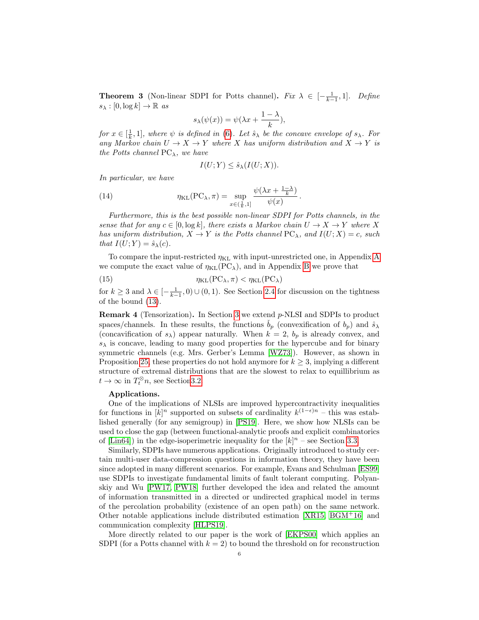<span id="page-5-1"></span>**Theorem 3** (Non-linear SDPI for Potts channel). Fix  $\lambda \in [-\frac{1}{k-1}, 1]$ . Define  $s_{\lambda}: [0, \log k] \to \mathbb{R}$  as

$$
s_{\lambda}(\psi(x)) = \psi(\lambda x + \frac{1-\lambda}{k}),
$$

for  $x \in [\frac{1}{k}, 1]$ , where  $\psi$  is defined in [\(6\)](#page-3-1). Let  $\hat{s}_{\lambda}$  be the concave envelope of  $s_{\lambda}$ . For any Markov chain  $U \to X \to Y$  where X has uniform distribution and  $X \to Y$  is the Potts channel  $PC_{\lambda}$ , we have

<span id="page-5-0"></span>
$$
I(U;Y) \le \hat{s}_{\lambda}(I(U;X)).
$$

In particular, we have

(14) 
$$
\eta_{\text{KL}}(\text{PC}_{\lambda}, \pi) = \sup_{x \in (\frac{1}{k}, 1]} \frac{\psi(\lambda x + \frac{1-\lambda}{k})}{\psi(x)}.
$$

Furthermore, this is the best possible non-linear SDPI for Potts channels, in the sense that for any  $c \in [0, \log k]$ , there exists a Markov chain  $U \to X \to Y$  where X has uniform distribution,  $X \to Y$  is the Potts channel  $PC_{\lambda}$ , and  $I(U; X) = c$ , such that  $I(U;Y) = \hat{s}_{\lambda}(c)$ .

To compare the input-restricted  $\eta_{KL}$  with input-unrestricted one, in [A](#page-34-0)ppendix A we compute the exact value of  $\eta_{KL}(PC_{\lambda})$ , and in Appendix [B](#page-38-0) we prove that

<span id="page-5-2"></span>(15) 
$$
\eta_{\text{KL}}(\text{PC}_{\lambda}, \pi) < \eta_{\text{KL}}(\text{PC}_{\lambda})
$$

for  $k \geq 3$  and  $\lambda \in \left[-\frac{1}{k-1}, 0\right) \cup (0, 1)$ . See Section [2.4](#page-17-0) for discussion on the tightness of the bound [\(13\)](#page-4-2).

**Remark 4** (Tensorization). In Section [3](#page-19-0) we extend  $p$ -NLSI and SDPIs to product spaces/channels. In these results, the functions  $b_p$  (convexification of  $b_p$ ) and  $\hat{s}_{\lambda}$ (concavification of  $s_{\lambda}$ ) appear naturally. When  $k = 2$ ,  $b_p$  is already convex, and  $s_{\lambda}$  is concave, leading to many good properties for the hypercube and for binary symmetric channels (e.g. Mrs. Gerber's Lemma [\[WZ73\]](#page-47-1)). However, as shown in Proposition [25,](#page-22-1) these properties do not hold anymore for  $k \geq 3$ , implying a different structure of extremal distributions that are the slowest to relax to equillibrium as  $t \to \infty$  in  $T_t^{\otimes} n$ , see Section 3.2.

#### Applications.

One of the implications of NLSIs are improved hypercontractivity inequalities for functions in  $[k]^n$  supported on subsets of cardinality  $k^{(1-\epsilon)n}$  – this was established generally (for any semigroup) in [\[PS19\]](#page-46-0). Here, we show how NLSIs can be used to close the gap (between functional-analytic proofs and explicit combinatorics of [\[Lin64\]](#page-46-5)) in the edge-isoperimetric inequality for the  $[k]^n$  – see Section [3.3.](#page-24-0)

Similarly, SDPIs have numerous applications. Originally introduced to study certain multi-user data-compression questions in information theory, they have been since adopted in many different scenarios. For example, Evans and Schulman [\[ES99\]](#page-46-6) use SDPIs to investigate fundamental limits of fault tolerant computing. Polyanskiy and Wu [\[PW17,](#page-46-4) [PW18\]](#page-46-7) further developed the idea and related the amount of information transmitted in a directed or undirected graphical model in terms of the percolation probability (existence of an open path) on the same network. Other notable applications include distributed estimation [\[XR15,](#page-47-2) [BGM](#page-45-5)<sup>+</sup>16] and communication complexity [\[HLPS19\]](#page-46-8).

More directly related to our paper is the work of [\[EKPS00\]](#page-46-9) which applies an SDPI (for a Potts channel with  $k = 2$ ) to bound the threshold on for reconstruction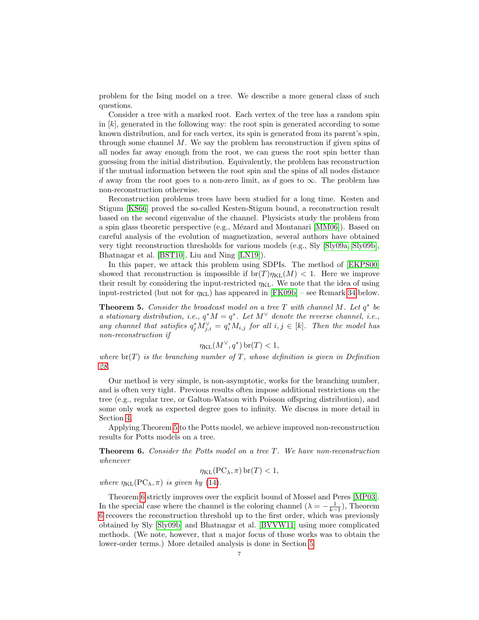problem for the Ising model on a tree. We describe a more general class of such questions.

Consider a tree with a marked root. Each vertex of the tree has a random spin in  $[k]$ , generated in the following way: the root spin is generated according to some known distribution, and for each vertex, its spin is generated from its parent's spin, through some channel M. We say the problem has reconstruction if given spins of all nodes far away enough from the root, we can guess the root spin better than guessing from the initial distribution. Equivalently, the problem has reconstruction if the mutual information between the root spin and the spins of all nodes distance d away from the root goes to a non-zero limit, as d goes to  $\infty$ . The problem has non-reconstruction otherwise.

Reconstruction problems trees have been studied for a long time. Kesten and Stigum [\[KS66\]](#page-46-10) proved the so-called Kesten-Stigum bound, a reconstruction result based on the second eigenvalue of the channel. Physicists study the problem from a spin glass theoretic perspective (e.g., Mézard and Montanari [\[MM06\]](#page-46-11)). Based on careful analysis of the evolution of magnetization, several authors have obtained very tight reconstruction thresholds for various models (e.g., Sly [\[Sly09a,](#page-47-3) [Sly09b\]](#page-47-0), Bhatnagar et al. [\[BST10\]](#page-45-6), Liu and Ning [\[LN19\]](#page-46-12)).

In this paper, we attack this problem using SDPIs. The method of [\[EKPS00\]](#page-46-9) showed that reconstruction is impossible if  $br(T)\eta_{KL}(M) < 1$ . Here we improve their result by considering the input-restricted  $\eta_{KL}$ . We note that the idea of using input-restricted (but not for  $\eta_{KL}$ ) has appeared in [\[FK09b\]](#page-46-13) – see Remark [34](#page-31-1) below.

<span id="page-6-0"></span>**Theorem 5.** Consider the broadcast model on a tree  $T$  with channel  $M$ . Let  $q^*$  be a stationary distribution, i.e.,  $q^*M = q^*$ . Let  $M^{\vee}$  denote the reverse channel, i.e., any channel that satisfies  $q_j^* M_{j,i}^{\vee} = q_i^* M_{i,j}$  for all  $i, j \in [k]$ . Then the model has non-reconstruction if

$$
\eta_{\text{KL}}(M^\vee, q^*)\,\text{br}(T) < 1,
$$

where  $\text{br}(T)$  is the branching number of T, whose definition is given in Definition [28.](#page-25-1)

Our method is very simple, is non-asymptotic, works for the branching number, and is often very tight. Previous results often impose additional restrictions on the tree (e.g., regular tree, or Galton-Watson with Poisson offspring distribution), and some only work as expected degree goes to infinity. We discuss in more detail in Section [4.](#page-25-0)

Applying Theorem [5](#page-6-0) to the Potts model, we achieve improved non-reconstruction results for Potts models on a tree.

<span id="page-6-1"></span>Theorem 6. Consider the Potts model on a tree T. We have non-reconstruction whenever

$$
\eta_{\text{KL}}(\text{PC}_{\lambda}, \pi) \,\text{br}(T) < 1,
$$

where  $\eta_{KL}(PC_{\lambda}, \pi)$  is given by [\(14\)](#page-5-0).

Theorem [6](#page-6-1) strictly improves over the explicit bound of Mossel and Peres [\[MP03\]](#page-46-14). In the special case where the channel is the coloring channel  $(\lambda = -\frac{1}{k-1})$ , Theorem [6](#page-6-1) recovers the reconstruction threshold up to the first order, which was previously obtained by Sly [\[Sly09b\]](#page-47-0) and Bhatnagar et al. [\[BVVW11\]](#page-45-1) using more complicated methods. (We note, however, that a major focus of those works was to obtain the lower-order terms.) More detailed analysis is done in Section [5.](#page-28-0)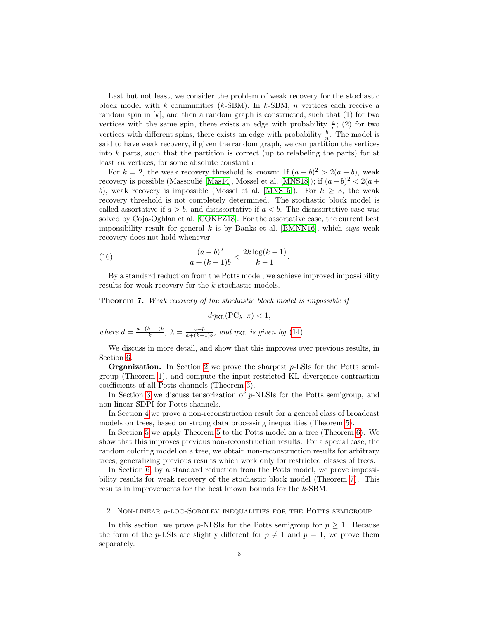Last but not least, we consider the problem of weak recovery for the stochastic block model with k communities (k-SBM). In k-SBM, n vertices each receive a random spin in  $[k]$ , and then a random graph is constructed, such that  $(1)$  for two vertices with the same spin, there exists an edge with probability  $\frac{a}{n}$ ; (2) for two vertices with different spins, there exists an edge with probability  $\frac{b}{n}$ . The model is said to have weak recovery, if given the random graph, we can partition the vertices into  $k$  parts, such that the partition is correct (up to relabeling the parts) for at least  $\epsilon n$  vertices, for some absolute constant  $\epsilon$ .

For  $k = 2$ , the weak recovery threshold is known: If  $(a - b)^2 > 2(a + b)$ , weak recovery is possible (Massoulié [\[Mas14\]](#page-46-15), Mossel et al. [\[MNS18\]](#page-46-16)); if  $(a - b)^2 < 2(a +$ b), weak recovery is impossible (Mossel et al. [\[MNS15\]](#page-46-17)). For  $k \geq 3$ , the weak recovery threshold is not completely determined. The stochastic block model is called assortative if  $a > b$ , and disassortative if  $a < b$ . The disassortative case was solved by Coja-Oghlan et al. [\[COKPZ18\]](#page-45-7). For the assortative case, the current best impossibility result for general  $k$  is by Banks et al. [\[BMNN16\]](#page-45-8), which says weak recovery does not hold whenever

(16) 
$$
\frac{(a-b)^2}{a+(k-1)b} < \frac{2k\log(k-1)}{k-1}.
$$

By a standard reduction from the Potts model, we achieve improved impossibility results for weak recovery for the k-stochastic models.

<span id="page-7-2"></span> $d\eta_{\text{KL}}(\text{PC}_{\lambda}, \pi) < 1$ ,

<span id="page-7-1"></span>Theorem 7. Weak recovery of the stochastic block model is impossible if

where 
$$
d = \frac{a + (k-1)b}{k}
$$
,  $\lambda = \frac{a-b}{a + (k-1)b}$ , and  $\eta_{KL}$  is given by (14).

We discuss in more detail, and show that this improves over previous results, in Section [6.](#page-31-0)

**Organization.** In Section [2](#page-7-0) we prove the sharpest  $p$ -LSIs for the Potts semigroup (Theorem [1\)](#page-3-2), and compute the input-restricted KL divergence contraction coefficients of all Potts channels (Theorem [3\)](#page-5-1).

In Section [3](#page-19-0) we discuss tensorization of  $p$ -NLSIs for the Potts semigroup, and non-linear SDPI for Potts channels.

In Section [4](#page-25-0) we prove a non-reconstruction result for a general class of broadcast models on trees, based on strong data processing inequalities (Theorem [5\)](#page-6-0).

In Section [5](#page-28-0) we apply Theorem [5](#page-6-0) to the Potts model on a tree (Theorem [6\)](#page-6-1). We show that this improves previous non-reconstruction results. For a special case, the random coloring model on a tree, we obtain non-reconstruction results for arbitrary trees, generalizing previous results which work only for restricted classes of trees.

In Section [6,](#page-31-0) by a standard reduction from the Potts model, we prove impossibility results for weak recovery of the stochastic block model (Theorem [7\)](#page-7-1). This results in improvements for the best known bounds for the k-SBM.

<span id="page-7-0"></span>2. Non-linear p-log-Sobolev inequalities for the Potts semigroup

In this section, we prove p-NLSIs for the Potts semigroup for  $p \geq 1$ . Because the form of the p-LSIs are slightly different for  $p \neq 1$  and  $p = 1$ , we prove them separately.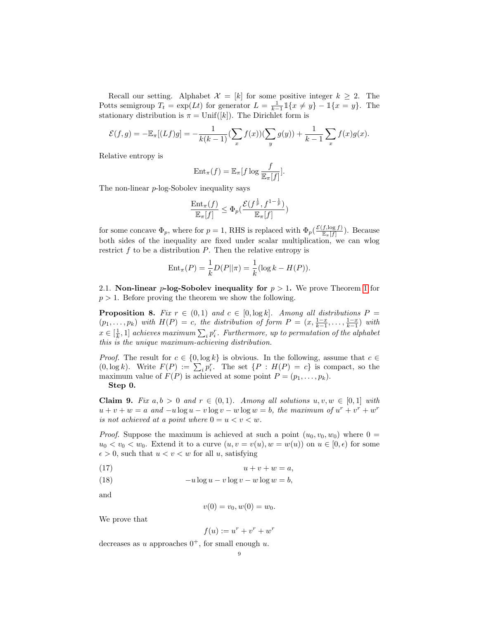Recall our setting. Alphabet  $\mathcal{X} = [k]$  for some positive integer  $k \geq 2$ . The Potts semigroup  $T_t = \exp(Lt)$  for generator  $L = \frac{1}{k-1} \mathbb{1}\{x \neq y\} - \mathbb{1}\{x = y\}$ . The stationary distribution is  $\pi = \text{Unif}([k])$ . The Dirichlet form is

$$
\mathcal{E}(f,g) = -\mathbb{E}_{\pi}[(Lf)g] = -\frac{1}{k(k-1)}(\sum_{x} f(x))(\sum_{y} g(y)) + \frac{1}{k-1}\sum_{x} f(x)g(x).
$$

Relative entropy is

$$
\mathrm{Ent}_{\pi}(f) = \mathbb{E}_{\pi}[f \log \frac{f}{\mathbb{E}_{\pi}[f]}].
$$

The non-linear p-log-Sobolev inequality says

$$
\frac{\text{Ent}_{\pi}(f)}{\mathbb{E}_{\pi}[f]} \leq \Phi_p(\frac{\mathcal{E}(f^{\frac{1}{p}}, f^{1-\frac{1}{p}})}{\mathbb{E}_{\pi}[f]})
$$

for some concave  $\Phi_p$ , where for  $p=1$ , RHS is replaced with  $\Phi_p(\frac{\mathcal{E}(f,\log f)}{\mathbb{E}_{\pi}[f]})$ . Because both sides of the inequality are fixed under scalar multiplication, we can wlog restrict  $f$  to be a distribution  $P$ . Then the relative entropy is

$$
Ent_{\pi}(P) = \frac{1}{k}D(P||\pi) = \frac{1}{k}(\log k - H(P)).
$$

<span id="page-8-0"></span>2.1. Non-linear p-log-Sobolev inequality for  $p > 1$  $p > 1$ . We prove Theorem 1 for  $p > 1$ . Before proving the theorem we show the following.

<span id="page-8-4"></span>**Proposition 8.** Fix  $r \in (0,1)$  and  $c \in [0, \log k]$ . Among all distributions  $P =$  $(p_1, \ldots, p_k)$  with  $H(P) = c$ , the distribution of form  $P = (x, \frac{1-x}{k-1}, \ldots, \frac{1-x}{k-1})$  with  $x \in [\frac{1}{k},1]$  achieves maximum  $\sum_i p_i^r$ . Furthermore, up to permutation of the alphabet this is the unique maximum-achieving distribution.

*Proof.* The result for  $c \in \{0, \log k\}$  is obvious. In the following, assume that  $c \in$  $(0, \log k)$ . Write  $F(P) := \sum_i p_i^r$ . The set  $\{P : H(P) = c\}$  is compact, so the maximum value of  $F(P)$  is achieved at some point  $P = (p_1, \ldots, p_k)$ .

Step 0.

<span id="page-8-3"></span>**Claim 9.** Fix  $a, b > 0$  and  $r \in (0, 1)$ . Among all solutions  $u, v, w \in [0, 1]$  with  $u + v + w = a$  and  $-u \log u - v \log v - w \log w = b$ , the maximum of  $u^r + v^r + w^r$ is not achieved at a point where  $0 = u < v < w$ .

*Proof.* Suppose the maximum is achieved at such a point  $(u_0, v_0, w_0)$  where  $0 =$  $u_0 < v_0 < w_0$ . Extend it to a curve  $(u, v = v(u), w = w(u))$  on  $u \in [0, \epsilon)$  for some  $\epsilon > 0$ , such that  $u < v < w$  for all u, satisfying

<span id="page-8-1"></span>(17)  $u + v + w = a$ ,

<span id="page-8-2"></span>(18) 
$$
-u\log u - v\log v - w\log w = b,
$$

and

$$
v(0) = v_0, w(0) = w_0.
$$

We prove that

$$
f(u) := u^r + v^r + w^r
$$

decreases as u approaches  $0^+$ , for small enough u.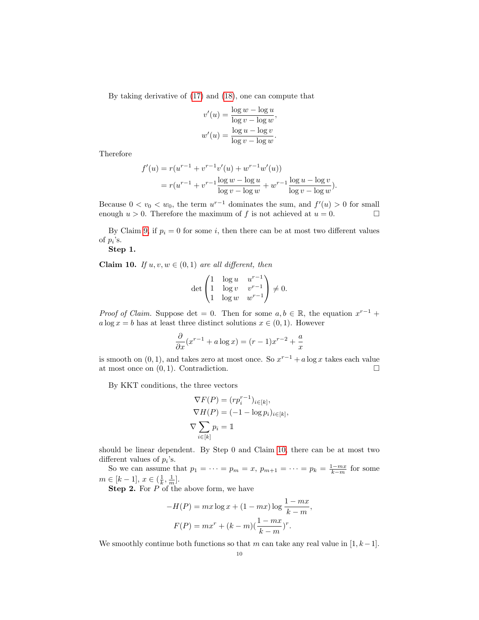By taking derivative of [\(17\)](#page-8-1) and [\(18\)](#page-8-2), one can compute that

$$
v'(u) = \frac{\log w - \log u}{\log v - \log w},
$$

$$
w'(u) = \frac{\log u - \log v}{\log v - \log w}.
$$

Therefore

$$
f'(u) = r(u^{r-1} + v^{r-1}v'(u) + w^{r-1}w'(u))
$$
  
=  $r(u^{r-1} + v^{r-1}\frac{\log w - \log u}{\log v - \log w} + w^{r-1}\frac{\log u - \log v}{\log v - \log w}).$ 

Because  $0 < v_0 < w_0$ , the term  $u^{r-1}$  dominates the sum, and  $f'(u) > 0$  for small enough  $u > 0$ . Therefore the maximum of f is not achieved at  $u = 0$ .

By Claim [9,](#page-8-3) if  $p_i = 0$  for some i, then there can be at most two different values of  $p_i$ 's.

Step 1.

<span id="page-9-0"></span>**Claim 10.** If  $u, v, w \in (0, 1)$  are all different, then

$$
\det\begin{pmatrix} 1 & \log u & u^{r-1} \\ 1 & \log v & v^{r-1} \\ 1 & \log w & w^{r-1} \end{pmatrix} \neq 0.
$$

*Proof of Claim.* Suppose det = 0. Then for some  $a, b \in \mathbb{R}$ , the equation  $x^{r-1}$  +  $a \log x = b$  has at least three distinct solutions  $x \in (0, 1)$ . However

$$
\frac{\partial}{\partial x}(x^{r-1} + a\log x) = (r-1)x^{r-2} + \frac{a}{x}
$$

is smooth on  $(0, 1)$ , and takes zero at most once. So  $x^{r-1} + a \log x$  takes each value at most once on  $(0, 1)$ . Contradiction.

By KKT conditions, the three vectors

$$
\nabla F(P) = (r p_i^{r-1})_{i \in [k]},
$$
  
\n
$$
\nabla H(P) = (-1 - \log p_i)_{i \in [k]},
$$
  
\n
$$
\nabla \sum_{i \in [k]} p_i = 1
$$

should be linear dependent. By Step 0 and Claim [10,](#page-9-0) there can be at most two different values of  $p_i$ 's.

So we can assume that  $p_1 = \cdots = p_m = x$ ,  $p_{m+1} = \cdots = p_k = \frac{1 - mx}{k - m}$  for some  $m \in [k-1], x \in (\frac{1}{k}, \frac{1}{m}].$ 

**Step 2.** For P of the above form, we have

$$
-H(P) = mx \log x + (1 - mx) \log \frac{1 - mx}{k - m},
$$

$$
F(P) = mx^{r} + (k - m) \left(\frac{1 - mx}{k - m}\right)^{r}.
$$

We smoothly continue both functions so that m can take any real value in  $[1, k-1]$ .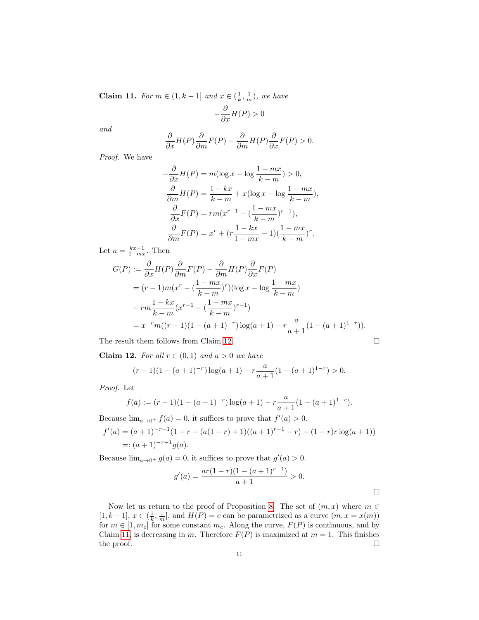<span id="page-10-1"></span>**Claim 11.** For  $m \in (1, k-1]$  and  $x \in (\frac{1}{k}, \frac{1}{m})$ , we have

$$
-\frac{\partial}{\partial x}H(P) > 0
$$

and

$$
\frac{\partial}{\partial x}H(P)\frac{\partial}{\partial m}F(P) - \frac{\partial}{\partial m}H(P)\frac{\partial}{\partial x}F(P) > 0.
$$

Proof. We have

$$
-\frac{\partial}{\partial x}H(P) = m(\log x - \log \frac{1 - mx}{k - m}) > 0,
$$
  

$$
-\frac{\partial}{\partial m}H(P) = \frac{1 - kx}{k - m} + x(\log x - \log \frac{1 - mx}{k - m}),
$$
  

$$
\frac{\partial}{\partial x}F(P) = rm(x^{r-1} - (\frac{1 - mx}{k - m})^{r-1}),
$$
  

$$
\frac{\partial}{\partial m}F(P) = x^r + (r\frac{1 - kx}{1 - mx} - 1)(\frac{1 - mx}{k - m})^r.
$$

Let  $a = \frac{kx-1}{1-mx}$ . Then

$$
G(P) := \frac{\partial}{\partial x} H(P) \frac{\partial}{\partial m} F(P) - \frac{\partial}{\partial m} H(P) \frac{\partial}{\partial x} F(P)
$$
  
=  $(r-1)m(x^r - (\frac{1 - mx}{k - m})^r)(\log x - \log \frac{1 - mx}{k - m})$   
 $-rm \frac{1 - kx}{k - m}(x^{r-1} - (\frac{1 - mx}{k - m})^{r-1})$   
=  $x^{-r}m((r-1)(1 - (a+1)^{-r})\log(a+1) - r\frac{a}{a+1}(1 - (a+1)^{1-r})).$ 

The result them follows from Claim [12.](#page-10-0)

<span id="page-10-0"></span>**Claim 12.** For all  $r \in (0,1)$  and  $a > 0$  we have

$$
(r-1)(1 - (a+1)^{-r}) \log(a+1) - r \frac{a}{a+1} (1 - (a+1)^{1-r}) > 0.
$$

Proof. Let

$$
f(a) := (r-1)(1 - (a+1)^{-r}) \log(a+1) - r \frac{a}{a+1} (1 - (a+1)^{1-r}).
$$

Because  $\lim_{a\to 0^+} f(a) = 0$ , it suffices to prove that  $f'(a) > 0$ .

$$
f'(a) = (a+1)^{-r-1}(1-r - (a(1-r)+1)((a+1)^{r-1} - r) - (1-r)r \log(a+1))
$$
  
=:  $(a+1)^{-r-1}g(a)$ .

Because  $\lim_{a\to 0^+} g(a) = 0$ , it suffices to prove that  $g'(a) > 0$ .

$$
g'(a) = \frac{ar(1-r)(1-(a+1)^{r-1})}{a+1} > 0.
$$

Now let us return to the proof of Proposition [8.](#page-8-4) The set of  $(m, x)$  where  $m \in$ [1, k – 1],  $x \in (\frac{1}{k}, \frac{1}{m}]$ , and  $H(P) = c$  can be parametrized as a curve  $(m, x = x(m))$ for  $m \in [1, m_c]$  for some constant  $m_c$ . Along the curve,  $F(P)$  is continuous, and by Claim [11,](#page-10-1) is decreasing in m. Therefore  $F(P)$  is maximized at  $m = 1$ . This finishes the proof.  $\Box$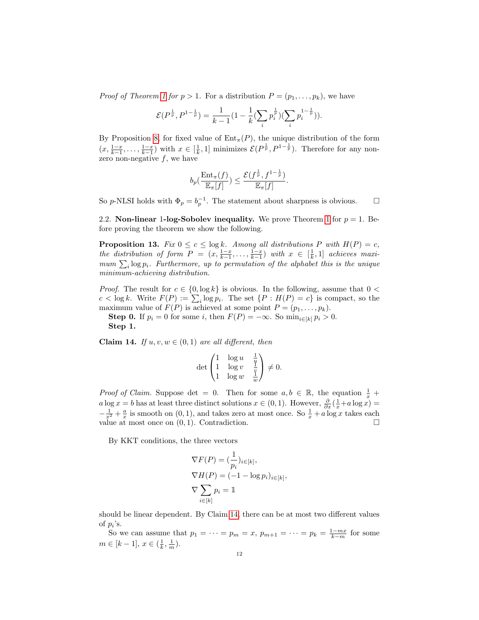*Proof of Theorem [1](#page-3-2) for p > 1.* For a distribution  $P = (p_1, \ldots, p_k)$ , we have

$$
\mathcal{E}(P^{\frac{1}{p}},P^{1-\frac{1}{p}})=\frac{1}{k-1}(1-\frac{1}{k}(\sum_{i}p_{i}^{\frac{1}{p}})(\sum_{i}p_{i}^{1-\frac{1}{p}})).
$$

By Proposition [8,](#page-8-4) for fixed value of  $Ent_{\pi}(P)$ , the unique distribution of the form  $(x, \frac{1-x}{k-1}, \ldots, \frac{1-x}{k-1})$  with  $x \in [\frac{1}{k}, 1]$  minimizes  $\mathcal{E}(P^{\frac{1}{p}}, P^{1-\frac{1}{p}})$ . Therefore for any nonzero non-negative  $f$ , we have

$$
b_p\left(\frac{\mathrm{Ent}_{\pi}(f)}{\mathbb{E}_{\pi}[f]}\right) \leq \frac{\mathcal{E}(f^{\frac{1}{p}}, f^{1-\frac{1}{p}})}{\mathbb{E}_{\pi}[f]}.
$$

So p-NLSI holds with  $\Phi_p = b_p^{-1}$ . The statement about sharpness is obvious.  $\square$ 

<span id="page-11-0"></span>2.2. Non-linear [1](#page-3-2)-log-Sobolev inequality. We prove Theorem 1 for  $p = 1$ . Before proving the theorem we show the following.

<span id="page-11-2"></span>**Proposition 13.** Fix  $0 \leq c \leq \log k$ . Among all distributions P with  $H(P) = c$ , the distribution of form  $P = (x, \frac{1-x}{k-1}, \ldots, \frac{1-x}{k-1})$  with  $x \in [\frac{1}{k}, 1]$  achieves maximum  $\sum_i \log p_i$ . Furthermore, up to permutation of the alphabet this is the unique minimum-achieving distribution.

*Proof.* The result for  $c \in \{0, \log k\}$  is obvious. In the following, assume that  $0 <$  $c < \log k$ . Write  $F(P) := \sum_i \log p_i$ . The set  $\{P : H(P) = c\}$  is compact, so the maximum value of  $F(P)$  is achieved at some point  $P = (p_1, \ldots, p_k)$ .

**Step 0.** If  $p_i = 0$  for some i, then  $F(P) = -\infty$ . So  $\min_{i \in [k]} p_i > 0$ . Step 1.

<span id="page-11-1"></span>Claim 14. If  $u, v, w \in (0, 1)$  are all different, then

$$
\det\begin{pmatrix}1&\log u&\frac{1}{u}\\1&\log v&\frac{v}{u}\\1&\log w&\frac{v}{w}\end{pmatrix}\neq 0.
$$

*Proof of Claim.* Suppose det = 0. Then for some  $a, b \in \mathbb{R}$ , the equation  $\frac{1}{x}$  +  $a \log x = b$  has at least three distinct solutions  $x \in (0, 1)$ . However,  $\frac{\partial}{\partial x}(\frac{1}{x} + a \log x) =$  $-\frac{1}{x^2} + \frac{a}{x}$  is smooth on  $(0, 1)$ , and takes zero at most once. So  $\frac{1}{x} + a \log x$  takes each value at most once on  $(0, 1)$ . Contradiction.

By KKT conditions, the three vectors

$$
\nabla F(P) = \left(\frac{1}{p_i}\right)_{i \in [k]},
$$
  
\n
$$
\nabla H(P) = (-1 - \log p_i)_{i \in [k]},
$$
  
\n
$$
\nabla \sum_{i \in [k]} p_i = 1
$$

should be linear dependent. By Claim [14,](#page-11-1) there can be at most two different values of  $p_i$ 's.

So we can assume that  $p_1 = \cdots = p_m = x$ ,  $p_{m+1} = \cdots = p_k = \frac{1 - mx}{k - m}$  for some  $m \in [k-1], x \in (\frac{1}{k}, \frac{1}{m}).$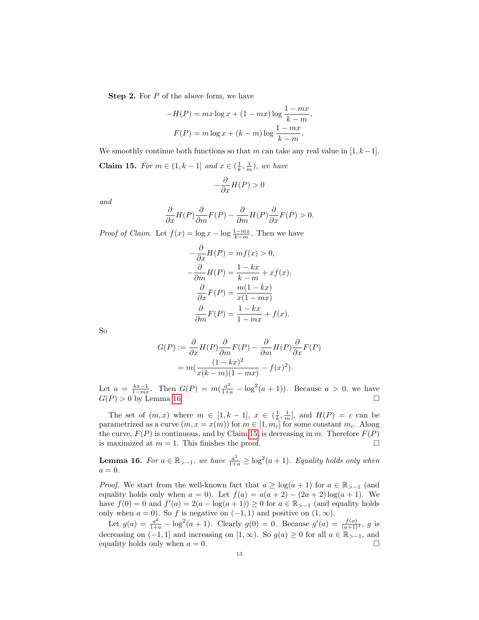Step 2. For P of the above form, we have

$$
-H(P) = mx \log x + (1 - mx) \log \frac{1 - mx}{k - m},
$$

$$
F(P) = m \log x + (k - m) \log \frac{1 - mx}{k - m}.
$$

We smoothly continue both functions so that m can take any real value in  $[1, k-1]$ .

<span id="page-12-1"></span>**Claim 15.** For  $m \in (1, k-1]$  and  $x \in (\frac{1}{k}, \frac{1}{m})$ , we have

$$
-\frac{\partial}{\partial x}H(P) > 0
$$

and

$$
\frac{\partial}{\partial x}H(P)\frac{\partial}{\partial m}F(P) - \frac{\partial}{\partial m}H(P)\frac{\partial}{\partial x}F(P) > 0.
$$

*Proof of Claim.* Let  $f(x) = \log x - \log \frac{1 - mx}{k - m}$ . Then we have

$$
-\frac{\partial}{\partial x}H(P) = mf(x) > 0,
$$
  

$$
-\frac{\partial}{\partial m}H(P) = \frac{1 - kx}{k - m} + xf(x),
$$
  

$$
\frac{\partial}{\partial x}F(P) = \frac{m(1 - kx)}{x(1 - mx)}
$$
  

$$
\frac{\partial}{\partial m}F(P) = \frac{1 - kx}{1 - mx} + f(x).
$$

So

$$
G(P) := \frac{\partial}{\partial x} H(P) \frac{\partial}{\partial m} F(P) - \frac{\partial}{\partial m} H(P) \frac{\partial}{\partial x} F(P)
$$
  
= 
$$
m \left( \frac{(1 - kx)^2}{x(k - m)(1 - mx)} - f(x)^2 \right).
$$

Let  $a = \frac{kx-1}{1-mx}$ . Then  $G(P) = m(\frac{a^2}{1+a} - \log^2(a+1))$ . Because  $a > 0$ , we have  $G(P) > 0$  by Lemma [16.](#page-12-0)

The set of  $(m, x)$  where  $m \in [1, k-1], x \in (\frac{1}{k}, \frac{1}{m}],$  and  $H(P) = c$  can be parametrized as a curve  $(m, x = x(m))$  for  $m \in [1, m_c]$  for some constant  $m_c$ . Along the curve,  $F(P)$  is continuous, and by Claim [15,](#page-12-1) is decreasing in m. Therefore  $F(P)$ is maximized at  $m = 1$ . This finishes the proof.

<span id="page-12-0"></span>**Lemma 16.** For  $a \in \mathbb{R}_{> -1}$ , we have  $\frac{a^2}{1+a} \ge \log^2(a+1)$ . Equality holds only when  $a=0.$ 

*Proof.* We start from the well-known fact that  $a \geq \log(a+1)$  for  $a \in \mathbb{R}_{>0}$  (and equality holds only when  $a = 0$ ). Let  $f(a) = a(a + 2) - (2a + 2) \log(a + 1)$ . We have  $f(0) = 0$  and  $f'(a) = 2(a - \log(a + 1)) \ge 0$  for  $a \in \mathbb{R}_{> -1}$  (and equality holds only when  $a = 0$ ). So f is negative on  $(-1, 1)$  and positive on  $(1, \infty)$ .

Let  $g(a) = \frac{a^2}{1+a} - \log^2(a+1)$ . Clearly  $g(0) = 0$ . Because  $g'(a) = \frac{f(a)}{(a+1)^2}$ , g is decreasing on  $(-1, 1]$  and increasing on  $[1, \infty)$ . So  $g(a) \geq 0$  for all  $a \in \mathbb{R}_{>-1}$ , and equality holds only when  $a = 0$ .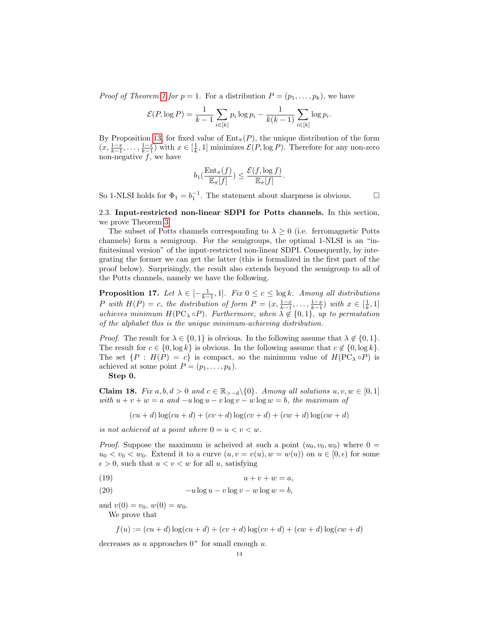*Proof of Theorem [1](#page-3-2) for p* = 1. For a distribution  $P = (p_1, \ldots, p_k)$ , we have

$$
\mathcal{E}(P, \log P) = \frac{1}{k-1} \sum_{i \in [k]} p_i \log p_i - \frac{1}{k(k-1)} \sum_{i \in [k]} \log p_i.
$$

By Proposition [13,](#page-11-2) for fixed value of  $Ent_{\pi}(P)$ , the unique distribution of the form  $(x, \frac{1-x}{k-1}, \ldots, \frac{1-x}{k-1})$  with  $x \in [\frac{1}{k}, 1]$  minimizes  $\mathcal{E}(P, \log P)$ . Therefore for any non-zero non-negative  $f$ , we have

$$
b_1(\frac{\operatorname{Ent}_{\pi}(f)}{\mathbb{E}_{\pi}[f]}) \leq \frac{\mathcal{E}(f,\log f)}{\mathbb{E}_{\pi}[f]}.
$$

So 1-NLSI holds for  $\Phi_1 = b_1^{-1}$ . The statement about sharpness is obvious.  $\square$ 

<span id="page-13-0"></span>2.3. Input-restricted non-linear SDPI for Potts channels. In this section, we prove Theorem [3.](#page-5-1)

The subset of Potts channels corresponding to  $\lambda \geq 0$  (i.e. ferromagnetic Potts channels) form a semigroup. For the semigroups, the optimal 1-NLSI is an "infinitesimal version" of the input-restricted non-linear SDPI. Consequently, by integrating the former we can get the latter (this is formalized in the first part of the proof below). Surprisingly, the result also extends beyond the semigroup to all of the Potts channels, namely we have the following.

<span id="page-13-4"></span>**Proposition 17.** Let  $\lambda \in [-\frac{1}{k-1}, 1]$ . Fix  $0 \le c \le \log k$ . Among all distributions P with  $H(P) = c$ , the distribution of form  $P = (x, \frac{1-x}{k-1}, \ldots, \frac{1-x}{k-1})$  with  $x \in [\frac{1}{k}, 1]$ achieves minimum  $H(PC_{\lambda} \circ P)$ . Furthermore, when  $\lambda \notin \{0,1\}$ , up to permutation of the alphabet this is the unique minimum-achieving distribution.

*Proof.* The result for  $\lambda \in \{0,1\}$  is obvious. In the following assume that  $\lambda \notin \{0,1\}$ . The result for  $c \in \{0, \log k\}$  is obvious. In the following assume that  $c \notin \{0, \log k\}.$ The set  $\{P : H(P) = c\}$  is compact, so the minimum value of  $H(PC_{\lambda} \circ P)$  is achieved at some point  $P = (p_1, \ldots, p_k)$ .

Step 0.

<span id="page-13-3"></span>Claim 18. Fix  $a, b, d > 0$  and  $c \in \mathbb{R}_{>-d} \setminus \{0\}$ . Among all solutions  $u, v, w \in [0, 1]$ with  $u + v + w = a$  and  $-u \log u - v \log v - w \log w = b$ , the maximum of

$$
(cu + d) \log (cu + d) + (cv + d) \log (cv + d) + (cw + d) \log (cw + d)
$$

is not achieved at a point where  $0 = u < v < w$ .

*Proof.* Suppose the maximum is acheived at such a point  $(u_0, v_0, w_0)$  where  $0 =$  $u_0 < v_0 < w_0$ . Extend it to a curve  $(u, v = v(u), w = w(u))$  on  $u \in [0, \epsilon)$  for some  $\epsilon > 0$ , such that  $u < v < w$  for all u, satisfying

<span id="page-13-1"></span>(19)  $u + v + w = a$ ,

<span id="page-13-2"></span>(20) 
$$
-u\log u - v\log v - w\log w = b,
$$

and  $v(0) = v_0, w(0) = w_0$ .

We prove that

$$
f(u) := (cu + d) \log (cu + d) + (cv + d) \log (cv + d) + (cw + d) \log (cw + d)
$$

decreases as u approaches  $0^+$  for small enough u.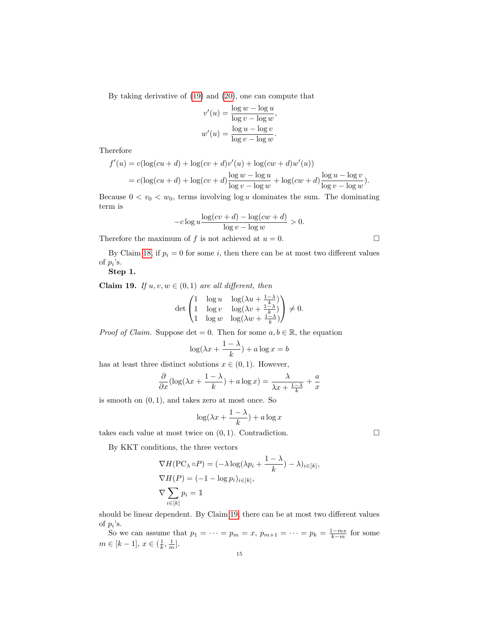By taking derivative of [\(19\)](#page-13-1) and [\(20\)](#page-13-2), one can compute that

$$
v'(u) = \frac{\log w - \log u}{\log v - \log w},
$$

$$
w'(u) = \frac{\log u - \log v}{\log v - \log w}.
$$

Therefore

$$
f'(u) = c(\log(cu + d) + \log(cv + d)v'(u) + \log(cw + d)w'(u))
$$
  
= 
$$
c(\log(cu + d) + \log(cv + d)\frac{\log w - \log u}{\log v - \log w} + \log(cw + d)\frac{\log u - \log v}{\log v - \log w}).
$$

Because  $0 < v_0 < w_0$ , terms involving  $\log u$  dominates the sum. The dominating term is

$$
-c \log u \frac{\log (cv+d) - \log (cw+d)}{\log v - \log w} > 0.
$$

Therefore the maximum of f is not achieved at  $u = 0$ .

By Claim [18,](#page-13-3) if  $p_i = 0$  for some i, then there can be at most two different values of  $p_i$ 's.

Step 1.

<span id="page-14-0"></span>Claim 19. If  $u, v, w \in (0, 1)$  are all different, then

$$
\det\begin{pmatrix} 1 & \log u & \log(\lambda u + \frac{1-\lambda}{k}) \\ 1 & \log v & \log(\lambda v + \frac{1-\lambda}{k}) \\ 1 & \log w & \log(\lambda w + \frac{1-\lambda}{k}) \end{pmatrix} \neq 0.
$$

*Proof of Claim.* Suppose det = 0. Then for some  $a, b \in \mathbb{R}$ , the equation

$$
\log(\lambda x + \frac{1-\lambda}{k}) + a\log x = b
$$

has at least three distinct solutions  $x \in (0,1)$ . However,

$$
\frac{\partial}{\partial x}(\log(\lambda x + \frac{1-\lambda}{k}) + a\log x) = \frac{\lambda}{\lambda x + \frac{1-\lambda}{k}} + \frac{a}{x}
$$

is smooth on  $(0, 1)$ , and takes zero at most once. So

$$
\log(\lambda x + \frac{1-\lambda}{k}) + a\log x
$$

takes each value at most twice on  $(0, 1)$ . Contradiction.

By KKT conditions, the three vectors

$$
\nabla H(\text{PC}_{\lambda} \circ P) = (-\lambda \log(\lambda p_i + \frac{1 - \lambda}{k}) - \lambda)_{i \in [k]},
$$
  
\n
$$
\nabla H(P) = (-1 - \log p_i)_{i \in [k]},
$$
  
\n
$$
\nabla \sum_{i \in [k]} p_i = 1
$$

should be linear dependent. By Claim [19,](#page-14-0) there can be at most two different values of  $p_i$ 's.

So we can assume that  $p_1 = \cdots = p_m = x$ ,  $p_{m+1} = \cdots = p_k = \frac{1 - mx}{k - m}$  for some  $m \in [k-1], x \in (\frac{1}{k}, \frac{1}{m}].$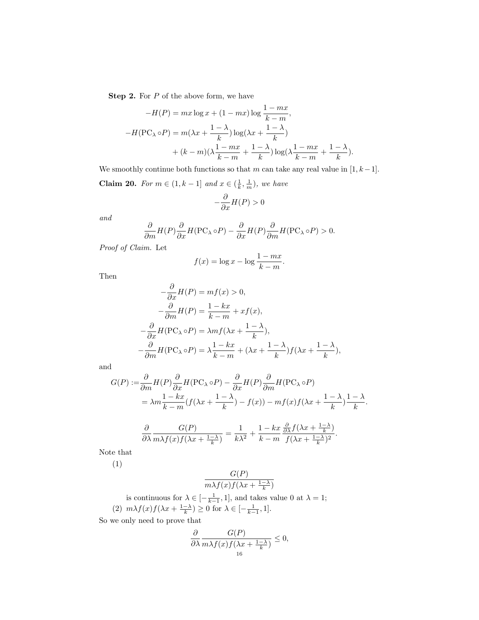Step 2. For P of the above form, we have

$$
-H(P) = mx \log x + (1 - mx) \log \frac{1 - mx}{k - m},
$$

$$
-H(\text{PC}_{\lambda} \circ P) = m(\lambda x + \frac{1 - \lambda}{k}) \log(\lambda x + \frac{1 - \lambda}{k})
$$

$$
+ (k - m)(\lambda \frac{1 - mx}{k - m} + \frac{1 - \lambda}{k}) \log(\lambda \frac{1 - mx}{k - m} + \frac{1 - \lambda}{k}).
$$

We smoothly continue both functions so that m can take any real value in  $[1, k-1]$ .

<span id="page-15-0"></span>**Claim 20.** For  $m \in (1, k-1]$  and  $x \in (\frac{1}{k}, \frac{1}{m})$ , we have

$$
-\frac{\partial}{\partial x}H(P) > 0
$$

and

$$
\frac{\partial}{\partial m}H(P)\frac{\partial}{\partial x}H(\mathbf{PC}_{\lambda}\circ P)-\frac{\partial}{\partial x}H(P)\frac{\partial}{\partial m}H(\mathbf{PC}_{\lambda}\circ P)>0.
$$

Proof of Claim. Let

$$
f(x) = \log x - \log \frac{1 - mx}{k - m}.
$$

Then

$$
-\frac{\partial}{\partial x}H(P) = mf(x) > 0,
$$
  

$$
-\frac{\partial}{\partial m}H(P) = \frac{1 - kx}{k - m} + xf(x),
$$
  

$$
-\frac{\partial}{\partial x}H(PC_{\lambda} \circ P) = \lambda mf(\lambda x + \frac{1 - \lambda}{k}),
$$
  

$$
-\frac{\partial}{\partial m}H(PC_{\lambda} \circ P) = \lambda \frac{1 - kx}{k - m} + (\lambda x + \frac{1 - \lambda}{k})f(\lambda x + \frac{1 - \lambda}{k}),
$$

and

$$
G(P) := \frac{\partial}{\partial m} H(P) \frac{\partial}{\partial x} H(P C_{\lambda} \circ P) - \frac{\partial}{\partial x} H(P) \frac{\partial}{\partial m} H(P C_{\lambda} \circ P)
$$
  
=  $\lambda m \frac{1 - kx}{k - m} (f(\lambda x + \frac{1 - \lambda}{k}) - f(x)) - m f(x) f(\lambda x + \frac{1 - \lambda}{k}) \frac{1 - \lambda}{k}.$ 

$$
\frac{\partial}{\partial \lambda} \frac{G(P)}{m\lambda f(x)f(\lambda x + \frac{1-\lambda}{k})} = \frac{1}{k\lambda^2} + \frac{1-kx}{k-m} \frac{\frac{\partial}{\partial \lambda} f(\lambda x + \frac{1-\lambda}{k})}{f(\lambda x + \frac{1-\lambda}{k})^2}.
$$

Note that

(1)

$$
\frac{G(P)}{m\lambda f(x)f(\lambda x + \frac{1-\lambda}{k})}
$$

is continuous for  $\lambda \in \left[-\frac{1}{k-1}, 1\right]$ , and takes value 0 at  $\lambda = 1$ ; (2)  $m\lambda f(x)f(\lambda x + \frac{1-\lambda}{k}) \ge 0$  for  $\lambda \in [-\frac{1}{k-1}, 1].$ 

So we only need to prove that

$$
\frac{\partial}{\partial \lambda} \frac{G(P)}{m\lambda f(x)f(\lambda x + \frac{1-\lambda}{k})} \le 0,
$$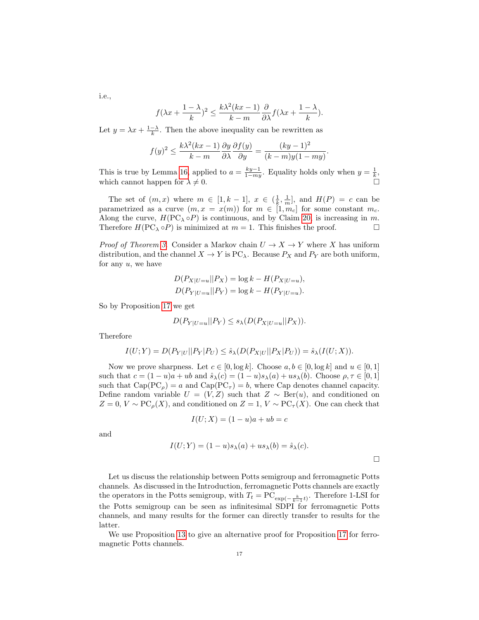i.e.,

$$
f(\lambda x + \frac{1-\lambda}{k})^2 \le \frac{k\lambda^2(kx-1)}{k-m} \frac{\partial}{\partial \lambda} f(\lambda x + \frac{1-\lambda}{k}).
$$

Let  $y = \lambda x + \frac{1-\lambda}{k}$ . Then the above inequality can be rewritten as

$$
f(y)^2 \le \frac{k\lambda^2(kx-1)}{k-m} \frac{\partial y}{\partial \lambda} \frac{\partial f(y)}{\partial y} = \frac{(ky-1)^2}{(k-m)y(1-my)}.
$$

This is true by Lemma [16,](#page-12-0) applied to  $a = \frac{ky-1}{1-my}$ . Equality holds only when  $y = \frac{1}{k}$ , which cannot happen for  $\lambda \neq 0$ .

The set of  $(m, x)$  where  $m \in [1, k-1]$ ,  $x \in \left(\frac{1}{k}, \frac{1}{m}\right]$ , and  $H(P) = c$  can be parametrized as a curve  $(m, x = x(m))$  for  $m \in [1, m_c]$  for some constant  $m_c$ . Along the curve,  $H(PC_{\lambda} \circ P)$  is continuous, and by Claim [20,](#page-15-0) is increasing in m. Therefore  $H(PC_{\lambda} \circ P)$  is minimized at  $m = 1$ . This finishes the proof.

*Proof of Theorem [3.](#page-5-1)* Consider a Markov chain  $U \to X \to Y$  where X has uniform distribution, and the channel  $X \to Y$  is PC<sub> $\lambda$ </sub>. Because  $P_X$  and  $P_Y$  are both uniform, for any  $u$ , we have

$$
D(P_{X|U=u}||P_X) = \log k - H(P_{X|U=u}),
$$
  
 
$$
D(P_{Y|U=u}||P_Y) = \log k - H(P_{Y|U=u}).
$$

So by Proposition [17](#page-13-4) we get

$$
D(P_{Y|U=u}||P_Y) \le s_{\lambda}(D(P_{X|U=u}||P_X)).
$$

Therefore

$$
I(U;Y) = D(P_{Y|U}||P_Y|P_U) \le \hat{s}_{\lambda}(D(P_{X|U}||P_X|P_U)) = \hat{s}_{\lambda}(I(U;X)).
$$

Now we prove sharpness. Let  $c \in [0, \log k]$ . Choose  $a, b \in [0, \log k]$  and  $u \in [0, 1]$ such that  $c = (1 - u)a + ub$  and  $\hat{s}_{\lambda}(c) = (1 - u)s_{\lambda}(a) + us_{\lambda}(b)$ . Choose  $\rho, \tau \in [0, 1]$ such that  $Cap(PC_{\rho}) = a$  and  $Cap(PC_{\tau}) = b$ , where Cap denotes channel capacity. Define random variable  $U = (V, Z)$  such that  $Z \sim \text{Ber}(u)$ , and conditioned on  $Z = 0, V \sim \text{PC}_{\rho}(X)$ , and conditioned on  $Z = 1, V \sim \text{PC}_{\tau}(X)$ . One can check that

$$
I(U;X) = (1-u)a + ub = c
$$

and

$$
I(U;Y) = (1-u)s_{\lambda}(a) + us_{\lambda}(b) = \hat{s}_{\lambda}(c).
$$

Let us discuss the relationship between Potts semigroup and ferromagnetic Potts channels. As discussed in the Introduction, ferromagnetic Potts channels are exactly the operators in the Potts semigroup, with  $T_t = \text{PC}_{\exp(-\frac{k}{k-1}t)}$ . Therefore 1-LSI for the Potts semigroup can be seen as infinitesimal SDPI for ferromagnetic Potts channels, and many results for the former can directly transfer to results for the latter.

We use Proposition [13](#page-11-2) to give an alternative proof for Proposition [17](#page-13-4) for ferromagnetic Potts channels.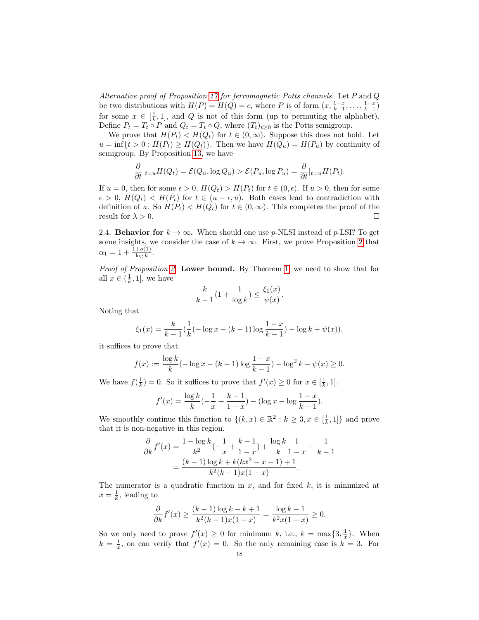Alternative proof of Proposition [17](#page-13-4) for ferromagnetic Potts channels. Let  $P$  and  $Q$ be two distributions with  $H(P) = H(Q) = c$ , where P is of form  $(x, \frac{1-x}{k-1}, \ldots, \frac{1-x}{k-1})$ for some  $x \in [\frac{1}{k}, 1]$ , and Q is not of this form (up to permuting the alphabet). Define  $P_t = T_t \circ P$  and  $Q_t = T_t \circ Q$ , where  $(T_t)_{t \geq 0}$  is the Potts semigroup.

We prove that  $H(P_t) < H(Q_t)$  for  $t \in (0, \infty)$ . Suppose this does not hold. Let  $u = \inf\{t > 0 : H(P_t) \geq H(Q_t)\}.$  Then we have  $H(Q_u) = H(P_u)$  by continuity of semigroup. By Proposition [13,](#page-11-2) we have

$$
\frac{\partial}{\partial t}|_{t=u}H(Q_t) = \mathcal{E}(Q_u, \log Q_u) > \mathcal{E}(P_u, \log P_u) = \frac{\partial}{\partial t}|_{t=u}H(P_t).
$$

If  $u = 0$ , then for some  $\epsilon > 0$ ,  $H(Q_t) > H(P_t)$  for  $t \in (0, \epsilon)$ . If  $u > 0$ , then for some  $\epsilon > 0$ ,  $H(Q_t) < H(P_t)$  for  $t \in (u - \epsilon, u)$ . Both cases lead to contradiction with definition of u. So  $H(P_t) < H(Q_t)$  for  $t \in (0,\infty)$ . This completes the proof of the result for  $\lambda > 0$ .

<span id="page-17-0"></span>2.4. **Behavior for**  $k \to \infty$ . When should one use p-NLSI instead of p-LSI? To get some insights, we consider the case of  $k \to \infty$ . First, we prove Proposition [2](#page-4-1) that  $\alpha_1 = 1 + \frac{1+o(1)}{\log k}.$ 

Proof of Proposition [2.](#page-4-1) Lower bound. By Theorem [1,](#page-3-2) we need to show that for all  $x \in (\frac{1}{k}, 1]$ , we have

$$
\frac{k}{k-1}(1+\frac{1}{\log k}) \le \frac{\xi_1(x)}{\psi(x)}.
$$

Noting that

$$
\xi_1(x) = \frac{k}{k-1} \left( \frac{1}{k} (-\log x - (k-1) \log \frac{1-x}{k-1}) - \log k + \psi(x) \right),\,
$$

it suffices to prove that

$$
f(x) := \frac{\log k}{k} (-\log x - (k-1)\log\frac{1-x}{k-1}) - \log^{2} k - \psi(x) \ge 0.
$$

We have  $f(\frac{1}{k}) = 0$ . So it suffices to prove that  $f'(x) \ge 0$  for  $x \in [\frac{1}{k}, 1]$ .

$$
f'(x) = \frac{\log k}{k} \left(-\frac{1}{x} + \frac{k-1}{1-x}\right) - (\log x - \log \frac{1-x}{k-1}).
$$

We smoothly continue this function to  $\{(k, x) \in \mathbb{R}^2 : k \geq 3, x \in [\frac{1}{k}, 1]\}$  and prove that it is non-negative in this region.

$$
\frac{\partial}{\partial k} f'(x) = \frac{1 - \log k}{k^2} \left(-\frac{1}{x} + \frac{k-1}{1-x}\right) + \frac{\log k}{k} \frac{1}{1-x} - \frac{1}{k-1}
$$

$$
= \frac{(k-1)\log k + k(kx^2 - x - 1) + 1}{k^2(k-1)x(1-x)}.
$$

The numerator is a quadratic function in  $x$ , and for fixed  $k$ , it is minimized at  $x = \frac{1}{k}$ , leading to

$$
\frac{\partial}{\partial k} f'(x) \ge \frac{(k-1)\log k - k + 1}{k^2(k-1)x(1-x)} = \frac{\log k - 1}{k^2 x(1-x)} \ge 0.
$$

So we only need to prove  $f'(x) \geq 0$  for minimum k, i.e.,  $k = \max\{3, \frac{1}{x}\}.$  When  $k = \frac{1}{x}$ , on can verify that  $f'(x) = 0$ . So the only remaining case is  $k = 3$ . For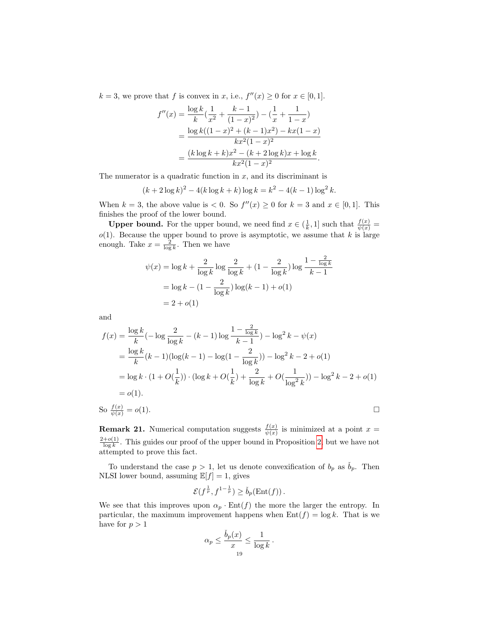$k = 3$ , we prove that f is convex in x, i.e.,  $f''(x) \geq 0$  for  $x \in [0, 1]$ .

$$
f''(x) = \frac{\log k}{k} \left(\frac{1}{x^2} + \frac{k-1}{(1-x)^2}\right) - \left(\frac{1}{x} + \frac{1}{1-x}\right)
$$
  
= 
$$
\frac{\log k((1-x)^2 + (k-1)x^2) - kx(1-x)}{kx^2(1-x)^2}
$$
  
= 
$$
\frac{(k \log k + k)x^2 - (k+2 \log k)x + \log k}{kx^2(1-x)^2}.
$$

The numerator is a quadratic function in  $x$ , and its discriminant is

$$
(k+2\log k)^2 - 4(k\log k + k)\log k = k^2 - 4(k-1)\log^2 k.
$$

When  $k = 3$ , the above value is  $\lt 0$ . So  $f''(x) \geq 0$  for  $k = 3$  and  $x \in [0, 1]$ . This finishes the proof of the lower bound.

**Upper bound.** For the upper bound, we need find  $x \in (\frac{1}{k}, 1]$  such that  $\frac{f(x)}{\psi(x)} =$  $o(1)$ . Because the upper bound to prove is asymptotic, we assume that k is large enough. Take  $x = \frac{2}{\log k}$ . Then we have

$$
\psi(x) = \log k + \frac{2}{\log k} \log \frac{2}{\log k} + (1 - \frac{2}{\log k}) \log \frac{1 - \frac{2}{\log k}}{k - 1}
$$

$$
= \log k - (1 - \frac{2}{\log k}) \log (k - 1) + o(1)
$$

$$
= 2 + o(1)
$$

and

$$
f(x) = \frac{\log k}{k} \left(-\log \frac{2}{\log k} - (k-1)\log \frac{1 - \frac{2}{\log k}}{k-1}\right) - \log^2 k - \psi(x)
$$
  
=  $\frac{\log k}{k} (k-1) (\log(k-1) - \log(1 - \frac{2}{\log k})) - \log^2 k - 2 + o(1)$   
=  $\log k \cdot (1 + O(\frac{1}{k})) \cdot (\log k + O(\frac{1}{k}) + \frac{2}{\log k} + O(\frac{1}{\log^2 k})) - \log^2 k - 2 + o(1)$   
=  $o(1)$ .  
So  $\frac{f(x)}{\psi(x)} = o(1)$ .

**Remark 21.** Numerical computation suggests  $\frac{f(x)}{\psi(x)}$  is minimized at a point  $x =$  $2+o(1)$  $\frac{1-\theta(1)}{\log k}$ . This guides our proof of the upper bound in Proposition [2,](#page-4-1) but we have not attempted to prove this fact.

To understand the case  $p > 1$ , let us denote convexification of  $b_p$  as  $\dot{b}_p$ . Then NLSI lower bound, assuming  $\mathbb{E}[f] = 1$ , gives

$$
\mathcal{E}(f^{\frac{1}{p}},f^{1-\frac{1}{p}}) \geq \check{b}_p(\text{Ent}(f)).
$$

We see that this improves upon  $\alpha_p \cdot \text{Ent}(f)$  the more the larger the entropy. In particular, the maximum improvement happens when  $Ent(f) = \log k$ . That is we have for  $p > 1$ 

$$
\alpha_p \le \frac{\check{b}_p(x)}{x} \le \frac{1}{\log k} \, .
$$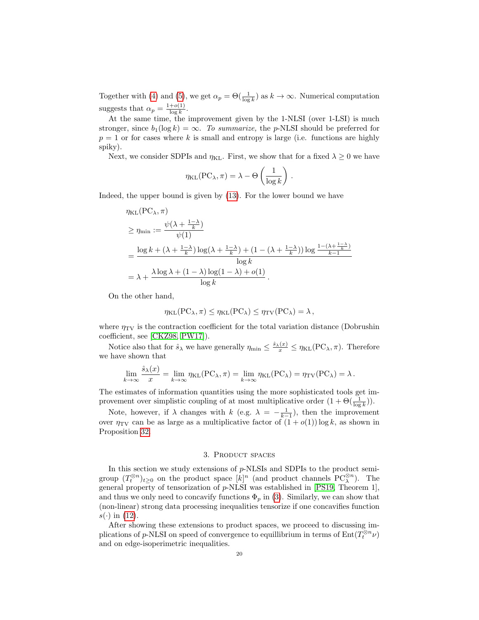Together with [\(4\)](#page-2-3) and [\(5\)](#page-3-3), we get  $\alpha_p = \Theta(\frac{1}{\log k})$  as  $k \to \infty$ . Numerical computation suggests that  $\alpha_p = \frac{1+o(1)}{\log k}$  $\frac{+o(1)}{\log k}$ .

At the same time, the improvement given by the 1-NLSI (over 1-LSI) is much stronger, since  $b_1(\log k) = \infty$ . To summarize, the p-NLSI should be preferred for  $p = 1$  or for cases where k is small and entropy is large (i.e. functions are highly spiky).

Next, we consider SDPIs and  $\eta_{\text{KL}}$ . First, we show that for a fixed  $\lambda \geq 0$  we have

$$
\eta_{\text{KL}}(\text{PC}_{\lambda}, \pi) = \lambda - \Theta\left(\frac{1}{\log k}\right).
$$

Indeed, the upper bound is given by [\(13\)](#page-4-2). For the lower bound we have

$$
\eta_{\text{KL}}(\text{PC}_{\lambda}, \pi)
$$
\n
$$
\geq \eta_{\text{min}} := \frac{\psi(\lambda + \frac{1-\lambda}{k})}{\psi(1)}
$$
\n
$$
= \frac{\log k + (\lambda + \frac{1-\lambda}{k})\log(\lambda + \frac{1-\lambda}{k}) + (1 - (\lambda + \frac{1-\lambda}{k}))\log \frac{1 - (\lambda + \frac{1-\lambda}{k})}{k-1}}{\log k}
$$
\n
$$
= \lambda + \frac{\lambda \log \lambda + (1-\lambda)\log(1-\lambda) + o(1)}{\log k}.
$$

On the other hand,

 $\lambda$ 

$$
\eta_{\text{KL}}(\text{PC}_{\lambda}, \pi) \leq \eta_{\text{KL}}(\text{PC}_{\lambda}) \leq \eta_{\text{TV}}(\text{PC}_{\lambda}) = \lambda,
$$

where  $\eta_{\text{TV}}$  is the contraction coefficient for the total variation distance (Dobrushin coefficient, see [\[CKZ98,](#page-45-9) [PW17\]](#page-46-4)).

Notice also that for  $\hat{s}_{\lambda}$  we have generally  $\eta_{\min} \leq \frac{\hat{s}_{\lambda}(x)}{x} \leq \eta_{\text{KL}}(\text{PC}_{\lambda}, \pi)$ . Therefore we have shown that

$$
\lim_{k \to \infty} \frac{\hat{s}_{\lambda}(x)}{x} = \lim_{k \to \infty} \eta_{\text{KL}}(\text{PC}_{\lambda}, \pi) = \lim_{k \to \infty} \eta_{\text{KL}}(\text{PC}_{\lambda}) = \eta_{\text{TV}}(\text{PC}_{\lambda}) = \lambda.
$$

The estimates of information quantities using the more sophisticated tools get improvement over simplistic coupling of at most multiplicative order  $(1 + \Theta(\frac{1}{\log k}))$ .

Note, however, if  $\lambda$  changes with  $k$  (e.g.  $\lambda = -\frac{1}{k-1}$ ), then the improvement over  $\eta_{\text{TV}}$  can be as large as a multiplicative factor of  $(1 + o(1)) \log k$ , as shown in Proposition [32.](#page-29-2)

## 3. PRODUCT SPACES

<span id="page-19-0"></span>In this section we study extensions of  $p$ -NLSIs and SDPIs to the product semigroup  $(T_t^{\otimes n})_{t\geq 0}$  on the product space  $[k]^n$  (and product channels  $PC_{\lambda}^{\otimes n}$ ). The general property of tensorization of  $p$ -NLSI was established in [\[PS19,](#page-46-0) Theorem 1], and thus we only need to concavify functions  $\Phi_p$  in [\(3\)](#page-2-4). Similarly, we can show that (non-linear) strong data processing inequalities tensorize if one concavifies function  $s(\cdot)$  in [\(12\)](#page-4-3).

After showing these extensions to product spaces, we proceed to discussing implications of  $p$ -NLSI on speed of convergence to equillibrium in terms of  $Ent(T_t^{\otimes n} \nu)$ and on edge-isoperimetric inequalities.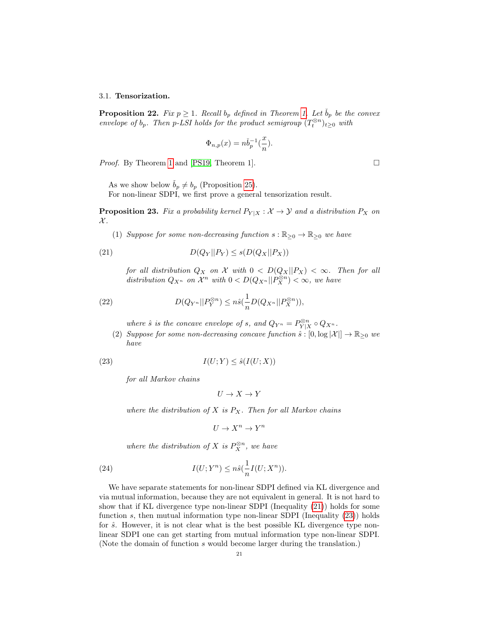#### <span id="page-20-0"></span>3.1. Tensorization.

<span id="page-20-4"></span>**Proposition 22.** Fix  $p \geq 1$ . Recall  $b_p$  defined in Theorem [1.](#page-3-2) Let  $b_p$  be the convex envelope of  $b_p$ . Then p-LSI holds for the product semigroup  $(T_t^{\otimes n})_{t\geq 0}$  with

$$
\Phi_{n,p}(x) = n\check{b}_p^{-1}(\frac{x}{n}).
$$

*Proof.* By Theorem [1](#page-3-2) and [\[PS19,](#page-46-0) Theorem 1]. □

As we show below  $\check{b}_p \neq b_p$  (Proposition [25\)](#page-22-1).

For non-linear SDPI, we first prove a general tensorization result.

<span id="page-20-3"></span>**Proposition 23.** Fix a probability kernel  $P_{Y|X}$  :  $\mathcal{X} \to \mathcal{Y}$  and a distribution  $P_X$  on  $\mathcal{X}.$ 

(1) Suppose for some non-decreasing function  $s : \mathbb{R}_{\geq 0} \to \mathbb{R}_{\geq 0}$  we have

$$
(21) \t\t D(Q_Y||P_Y) \le s(D(Q_X||P_X))
$$

<span id="page-20-1"></span>for all distribution  $Q_X$  on X with  $0 < D(Q_X || P_X) < \infty$ . Then for all distribution  $Q_{X^n}$  on  $\mathcal{X}^n$  with  $0 < D(Q_{X^n} || P_X^{\otimes n}) < \infty$ , we have

(22) 
$$
D(Q_{Y^n}||P_Y^{\otimes n}) \leq n\hat{s}(\frac{1}{n}D(Q_{X^n}||P_X^{\otimes n})),
$$

where  $\hat{s}$  is the concave envelope of s, and  $Q_{Y^n} = P_{Y|X}^{\otimes n} \circ Q_{X^n}$ .

(2) Suppose for some non-decreasing concave function  $\hat{s} : [0, \log |\mathcal{X}|] \to \mathbb{R}_{\geq 0}$  we have

$$
(23) \tI(U;Y) \le \hat{s}(I(U;X))
$$

for all Markov chains

<span id="page-20-2"></span>
$$
U\to X\to Y
$$

where the distribution of X is  $P_X$ . Then for all Markov chains

$$
U \to X^n \to Y^n
$$

where the distribution of X is  $P_X^{\otimes n}$ , we have

(24) 
$$
I(U;Y^n) \leq n\hat{s}(\frac{1}{n}I(U;X^n)).
$$

We have separate statements for non-linear SDPI defined via KL divergence and via mutual information, because they are not equivalent in general. It is not hard to show that if KL divergence type non-linear SDPI (Inequality [\(21\)](#page-20-1)) holds for some function s, then mutual information type non-linear SDPI (Inequality  $(23)$ ) holds for  $\hat{s}$ . However, it is not clear what is the best possible KL divergence type nonlinear SDPI one can get starting from mutual information type non-linear SDPI. (Note the domain of function s would become larger during the translation.)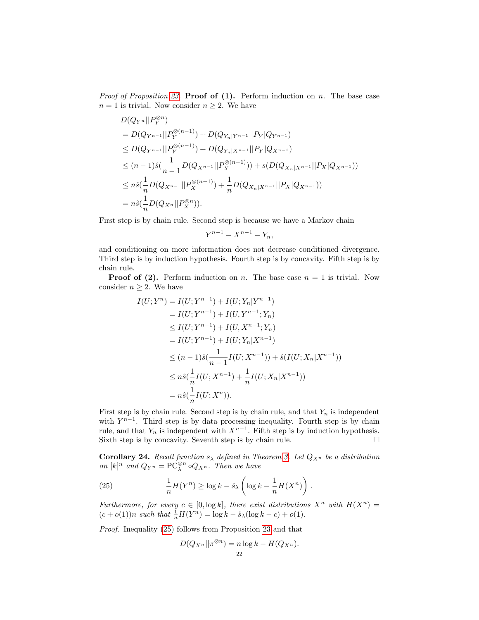*Proof of Proposition [23.](#page-20-3)* **Proof of (1).** Perform induction on n. The base case  $n = 1$  is trivial. Now consider  $n \geq 2$ . We have

$$
D(Q_{Y^n}||P_Y^{\otimes n})
$$
  
=  $D(Q_{Y^{n-1}}||P_Y^{\otimes (n-1)}) + D(Q_{Y_n|Y^{n-1}}||P_Y|Q_{Y^{n-1}})$   
 $\leq D(Q_{Y^{n-1}}||P_Y^{\otimes (n-1)}) + D(Q_{Y_n|X^{n-1}}||P_Y|Q_{X^{n-1}})$   
 $\leq (n-1)\hat{s}(\frac{1}{n-1}D(Q_{X^{n-1}}||P_X^{\otimes (n-1)})) + s(D(Q_{X_n|X^{n-1}}||P_X|Q_{X^{n-1}}))$   
 $\leq n\hat{s}(\frac{1}{n}D(Q_{X^{n-1}}||P_X^{\otimes (n-1)}) + \frac{1}{n}D(Q_{X_n|X^{n-1}}||P_X|Q_{X^{n-1}}))$   
 $= n\hat{s}(\frac{1}{n}D(Q_{X^n}||P_X^{\otimes n})).$ 

First step is by chain rule. Second step is because we have a Markov chain

$$
Y^{n-1} - X^{n-1} - Y_n,
$$

and conditioning on more information does not decrease conditioned divergence. Third step is by induction hypothesis. Fourth step is by concavity. Fifth step is by chain rule.

**Proof of (2).** Perform induction on n. The base case  $n = 1$  is trivial. Now consider  $n \geq 2$ . We have

$$
I(U;Y^{n}) = I(U;Y^{n-1}) + I(U;Y_{n}|Y^{n-1})
$$
  
\n
$$
= I(U;Y^{n-1}) + I(U,Y^{n-1};Y_{n})
$$
  
\n
$$
\leq I(U;Y^{n-1}) + I(U,X^{n-1};Y_{n})
$$
  
\n
$$
= I(U;Y^{n-1}) + I(U;Y_{n}|X^{n-1})
$$
  
\n
$$
\leq (n-1)\hat{s}(\frac{1}{n-1}I(U;X^{n-1})) + \hat{s}(I(U;X_{n}|X^{n-1}))
$$
  
\n
$$
\leq n\hat{s}(\frac{1}{n}I(U;X^{n-1}) + \frac{1}{n}I(U;X_{n}|X^{n-1}))
$$
  
\n
$$
= n\hat{s}(\frac{1}{n}I(U;X^{n})).
$$

First step is by chain rule. Second step is by chain rule, and that  $Y_n$  is independent with  $Y^{n-1}$ . Third step is by data processing inequality. Fourth step is by chain rule, and that  $Y_n$  is independent with  $X^{n-1}$ . Fifth step is by induction hypothesis. Sixth step is by concavity. Seventh step is by chain rule.  $\Box$ 

Corollary 24. Recall function  $s_{\lambda}$  defined in Theorem [3.](#page-5-1) Let  $Q_{X^n}$  be a distribution on  $[k]^n$  and  $Q_{Y^n} = \mathbb{PC}_{\lambda}^{\otimes n} \circ Q_{X^n}$ . Then we have

(25) 
$$
\frac{1}{n}H(Y^n) \ge \log k - \hat{s}_{\lambda} \left( \log k - \frac{1}{n} H(X^n) \right).
$$

Furthermore, for every  $c \in [0, \log k]$ , there exist distributions  $X^n$  with  $H(X^n) =$  $(c + o(1))n$  such that  $\frac{1}{n}H(Y^n) = \log k - \hat{s}_{\lambda}(\log k - c) + o(1)$ .

Proof. Inequality [\(25\)](#page-21-0) follows from Proposition [23](#page-20-3) and that

<span id="page-21-0"></span>
$$
D(Q_{X^n}||\pi^{\otimes n}) = n \log k - H(Q_{X^n}).
$$
  
<sub>22</sub>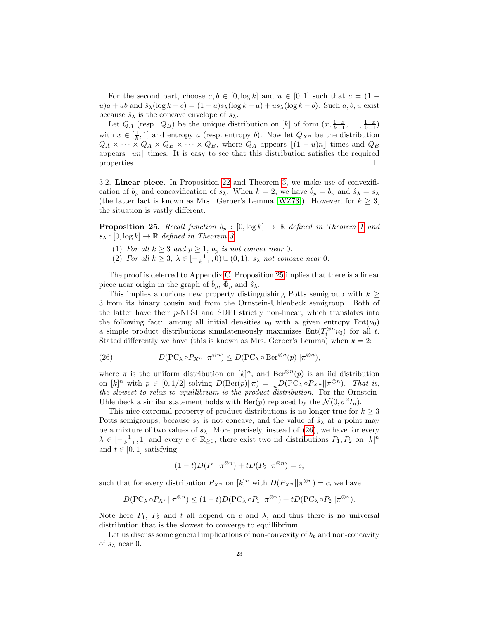For the second part, choose  $a, b \in [0, \log k]$  and  $u \in [0, 1]$  such that  $c = (1$  $u)a + ub$  and  $\hat{s}_{\lambda}(\log k - c) = (1 - u)s_{\lambda}(\log k - a) + us_{\lambda}(\log k - b)$ . Such a, b, u exist because  $\hat{s}_{\lambda}$  is the concave envelope of  $s_{\lambda}$ .

Let  $Q_A$  (resp.  $Q_B$ ) be the unique distribution on [k] of form  $(x, \frac{1-x}{k-1}, \ldots, \frac{1-x}{k-1})$ with  $x \in [\frac{1}{k}, 1]$  and entropy a (resp. entropy b). Now let  $Q_{X^n}$  be the distribution  $Q_A \times \cdots \times Q_A \times Q_B \times \cdots \times Q_B$ , where  $Q_A$  appears  $[(1 - u)n]$  times and  $Q_B$ appears  $\lceil un \rceil$  times. It is easy to see that this distribution satisfies the required properties.

<span id="page-22-0"></span>3.2. Linear piece. In Proposition [22](#page-20-4) and Theorem [3,](#page-5-1) we make use of convexification of  $b_p$  and concavification of  $s_\lambda$ . When  $k = 2$ , we have  $\dot{b}_p = b_p$  and  $\hat{s}_\lambda = s_\lambda$ (the latter fact is known as Mrs. Gerber's Lemma [\[WZ73\]](#page-47-1)). However, for  $k \geq 3$ , the situation is vastly different.

<span id="page-22-1"></span>**Proposition 25.** Recall function  $b_p : [0, \log k] \to \mathbb{R}$  defined in Theorem [1](#page-3-2) and  $s_{\lambda}: [0, \log k] \to \mathbb{R}$  defined in Theorem [3.](#page-5-1)

- (1) For all  $k \geq 3$  and  $p \geq 1$ ,  $b_p$  is not convex near 0.
- (2) For all  $k \geq 3$ ,  $\lambda \in \left[-\frac{1}{k-1}, 0\right) \cup (0, 1)$ ,  $s_{\lambda}$  not concave near 0.

The proof is deferred to Appendix [C.](#page-41-0) Proposition [25](#page-22-1) implies that there is a linear piece near origin in the graph of  $\check{b}_p$ ,  $\hat{\Phi}_p$  and  $\hat{s}_\lambda$ .

This implies a curious new property distinguishing Potts semigroup with  $k \geq$ 3 from its binary cousin and from the Ornstein-Uhlenbeck semigroup. Both of the latter have their p-NLSI and SDPI strictly non-linear, which translates into the following fact: among all initial densities  $\nu_0$  with a given entropy  $Ent(\nu_0)$ a simple product distributions simulateneously maximizes  $Ent(T_t^{\otimes n} \nu_0)$  for all t. Stated differently we have (this is known as Mrs. Gerber's Lemma) when  $k = 2$ :

<span id="page-22-2"></span>(26) 
$$
D(\text{PC}_{\lambda} \circ P_{X^n} || \pi^{\otimes n}) \leq D(\text{PC}_{\lambda} \circ \text{Ber}^{\otimes n}(p) || \pi^{\otimes n}),
$$

where  $\pi$  is the uniform distribution on  $[k]^n$ , and Ber<sup>⊗n</sup> $(p)$  is an iid distribution on  $[k]^n$  with  $p \in [0, 1/2]$  solving  $D(\text{Ber}(p)||\pi) = \frac{1}{n}D(PC_{\lambda} \circ P_{X^n}||\pi^{\otimes n})$ . That is, the slowest to relax to equillibrium is the product distribution. For the Ornstein-Uhlenbeck a similar statement holds with Ber(p) replaced by the  $\mathcal{N}(0, \sigma^2 I_n)$ .

This nice extremal property of product distributions is no longer true for  $k \geq 3$ Potts semigroups, because  $s_{\lambda}$  is not concave, and the value of  $\hat{s}_{\lambda}$  at a point may be a mixture of two values of  $s_{\lambda}$ . More precisely, instead of [\(26\)](#page-22-2), we have for every  $\lambda \in [-\frac{1}{k-1}, 1]$  and every  $c \in \mathbb{R}_{\geq 0}$ , there exist two iid distributions  $P_1, P_2$  on  $[k]^n$ and  $t \in [0, 1]$  satisfying

$$
(1-t)D(P_1||\pi^{\otimes n})+tD(P_2||\pi^{\otimes n})=c,
$$

such that for every distribution  $P_{X^n}$  on  $[k]^n$  with  $D(P_{X^n}||\pi^{\otimes n}) = c$ , we have

$$
D(\mathrm{PC}_{\lambda} \circ P_{X^n} || \pi^{\otimes n}) \le (1-t)D(\mathrm{PC}_{\lambda} \circ P_1 || \pi^{\otimes n}) + tD(\mathrm{PC}_{\lambda} \circ P_2 || \pi^{\otimes n}).
$$

Note here  $P_1$ ,  $P_2$  and t all depend on c and  $\lambda$ , and thus there is no universal distribution that is the slowest to converge to equillibrium.

Let us discuss some general implications of non-convexity of  $b_p$  and non-concavity of  $s_\lambda$  near 0.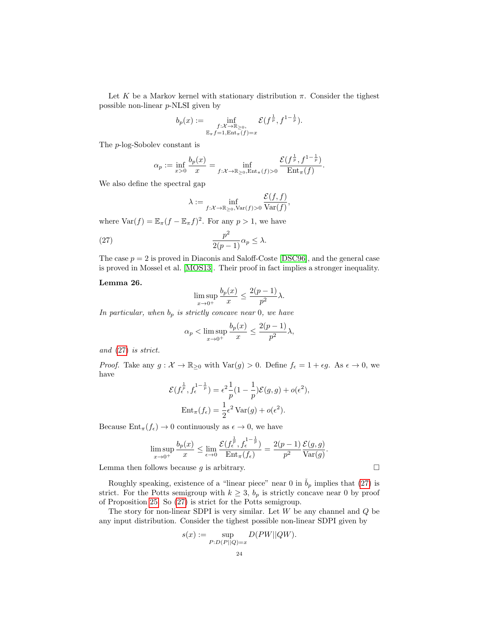Let K be a Markov kernel with stationary distribution  $\pi$ . Consider the tighest possible non-linear p-NLSI given by

$$
b_p(x) := \inf_{\substack{f: \mathcal{X} \to \mathbb{R}_{\geq 0}, \\ \mathbb{E}_{\pi} f = 1, \text{Ent}_{\pi}(f) = x}} \mathcal{E}(f^{\frac{1}{p}}, f^{1 - \frac{1}{p}}).
$$

The p-log-Sobolev constant is

$$
\alpha_p := \inf_{x>0} \frac{b_p(x)}{x} = \inf_{f: \mathcal{X} \to \mathbb{R}_{\geq 0}, \text{Ent}_{\pi}(f) > 0} \frac{\mathcal{E}(f^{\frac{1}{p}}, f^{1-\frac{1}{p}})}{\text{Ent}_{\pi}(f)}.
$$

We also define the spectral gap

$$
\lambda := \inf_{f: \mathcal{X} \to \mathbb{R}_{\geq 0}, \text{Var}(f) > 0} \frac{\mathcal{E}(f, f)}{\text{Var}(f)},
$$

where  $\text{Var}(f) = \mathbb{E}_{\pi}(f - \mathbb{E}_{\pi}f)^2$ . For any  $p > 1$ , we have

<span id="page-23-0"></span>(27) 
$$
\frac{p^2}{2(p-1)}\alpha_p \leq \lambda.
$$

The case  $p = 2$  is proved in Diaconis and Saloff-Coste [\[DSC96\]](#page-45-0), and the general case is proved in Mossel et al. [\[MOS13\]](#page-46-2). Their proof in fact implies a stronger inequality.

### Lemma 26.

$$
\limsup_{x \to 0^+} \frac{b_p(x)}{x} \le \frac{2(p-1)}{p^2} \lambda.
$$

In particular, when  $b_p$  is strictly concave near 0, we have

$$
\alpha_p < \limsup_{x \to 0^+} \frac{b_p(x)}{x} \le \frac{2(p-1)}{p^2} \lambda,
$$

and [\(27\)](#page-23-0) is strict.

*Proof.* Take any  $g: \mathcal{X} \to \mathbb{R}_{\geq 0}$  with  $\text{Var}(g) > 0$ . Define  $f_{\epsilon} = 1 + \epsilon g$ . As  $\epsilon \to 0$ , we have

$$
\mathcal{E}(f_{\epsilon}^{\frac{1}{p}}, f_{\epsilon}^{1-\frac{1}{p}}) = \epsilon^2 \frac{1}{p} (1 - \frac{1}{p}) \mathcal{E}(g, g) + o(\epsilon^2),
$$
  
Ent<sub>\pi</sub>(f<sub>\epsilon</sub>) =  $\frac{1}{2} \epsilon^2$  Var(g) + o(\epsilon^2).

Because  $Ent_{\pi}(f_{\epsilon}) \to 0$  continuously as  $\epsilon \to 0$ , we have

$$
\limsup_{x \to 0^+} \frac{b_p(x)}{x} \le \lim_{\epsilon \to 0} \frac{\mathcal{E}(f_\epsilon^{\frac{1}{p}}, f_\epsilon^{1-\frac{1}{p}})}{\mathrm{Ent}_{\pi}(f_\epsilon)} = \frac{2(p-1)}{p^2} \frac{\mathcal{E}(g,g)}{\mathrm{Var}(g)}.
$$

Lemma then follows because  $g$  is arbitrary.  $\Box$ 

Roughly speaking, existence of a "linear piece" near 0 in  $\dot{b}_p$  implies that [\(27\)](#page-23-0) is strict. For the Potts semigroup with  $k \geq 3$ ,  $b_p$  is strictly concave near 0 by proof of Proposition [25.](#page-22-1) So [\(27\)](#page-23-0) is strict for the Potts semigroup.

The story for non-linear SDPI is very similar. Let  $W$  be any channel and  $Q$  be any input distribution. Consider the tighest possible non-linear SDPI given by

$$
s(x) := \sup_{P:D(P||Q)=x} D(PW||QW).
$$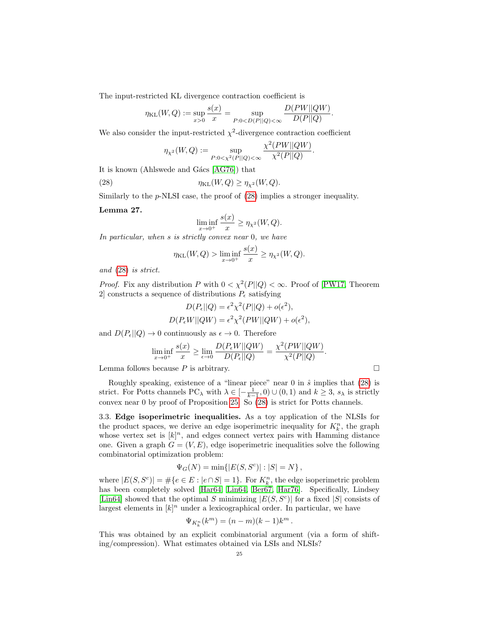The input-restricted KL divergence contraction coefficient is

$$
\eta_{\text{KL}}(W,Q) := \sup_{x>0} \frac{s(x)}{x} = \sup_{P:0 < D(P||Q) < \infty} \frac{D(PW||QW)}{D(P||Q)}.
$$

We also consider the input-restricted  $\chi^2$ -divergence contraction coefficient

$$
\eta_{\chi^2}(W,Q) := \sup_{P: 0 < \chi^2(P||Q) < \infty} \frac{\chi^2(PW||QW)}{\chi^2(P||Q)}.
$$

It is known (Ahlswede and G $ács$  [\[AG76\]](#page-45-10)) that

<span id="page-24-1"></span>(28)  $\eta_{KL}(W, Q) \ge \eta_{x^2}(W, Q).$ 

Similarly to the p-NLSI case, the proof of [\(28\)](#page-24-1) implies a stronger inequality.

Lemma 27.

$$
\liminf_{x \to 0^+} \frac{s(x)}{x} \ge \eta_{\chi^2}(W, Q).
$$

In particular, when s is strictly convex near 0, we have

$$
\eta_{\text{KL}}(W,Q) > \liminf_{x \to 0^+} \frac{s(x)}{x} \ge \eta_{\chi^2}(W,Q).
$$

and [\(28\)](#page-24-1) is strict.

*Proof.* Fix any distribution P with  $0 < \chi^2(P||Q) < \infty$ . Proof of [\[PW17,](#page-46-4) Theorem 2] constructs a sequence of distributions  $P_{\epsilon}$  satisfying

$$
D(P_{\epsilon}||Q) = \epsilon^2 \chi^2(P||Q) + o(\epsilon^2),
$$
  

$$
D(P_{\epsilon}W||QW) = \epsilon^2 \chi^2(PW||QW) + o(\epsilon^2),
$$

and  $D(P_{\epsilon}||Q) \to 0$  continuously as  $\epsilon \to 0$ . Therefore

$$
\liminf_{x \to 0^+} \frac{s(x)}{x} \ge \lim_{\epsilon \to 0} \frac{D(P_{\epsilon}W||QW)}{D(P_{\epsilon}||Q)} = \frac{\chi^2(PW||QW)}{\chi^2(P||Q)}.
$$

Lemma follows because  $P$  is arbitrary.

Roughly speaking, existence of a "linear piece" near  $0$  in  $\hat{s}$  implies that  $(28)$  is strict. For Potts channels PC<sub> $\lambda$ </sub> with  $\lambda \in [-\frac{1}{k-1}, 0) \cup (0, 1)$  and  $k \geq 3$ ,  $s_{\lambda}$  is strictly convex near 0 by proof of Proposition [25.](#page-22-1) So [\(28\)](#page-24-1) is strict for Potts channels.

<span id="page-24-0"></span>3.3. Edge isoperimetric inequalities. As a toy application of the NLSIs for the product spaces, we derive an edge isoperimetric inequality for  $K_k^n$ , the graph whose vertex set is  $[k]^n$ , and edges connect vertex pairs with Hamming distance one. Given a graph  $G = (V, E)$ , edge isoperimetric inequalities solve the following combinatorial optimization problem:

$$
\Psi_G(N) = \min\{|E(S, S^c)| : |S| = N\},\
$$

where  $|E(S, S^c)| = \#\{e \in E : |e \cap S| = 1\}$ . For  $K_k^n$ , the edge isoperimetric problem has been completely solved [\[Har64,](#page-46-18) [Lin64,](#page-46-5) [Ber67,](#page-45-11) [Har76\]](#page-46-19). Specifically, Lindsey [\[Lin64\]](#page-46-5) showed that the optimal S minimizing  $|E(S, S^c)|$  for a fixed |S| consists of largest elements in  $[k]^n$  under a lexicographical order. In particular, we have

$$
\Psi_{K^n_k}(k^m)=(n-m)(k-1)k^m\,.
$$

This was obtained by an explicit combinatorial argument (via a form of shifting/compression). What estimates obtained via LSIs and NLSIs?

$$
\Box
$$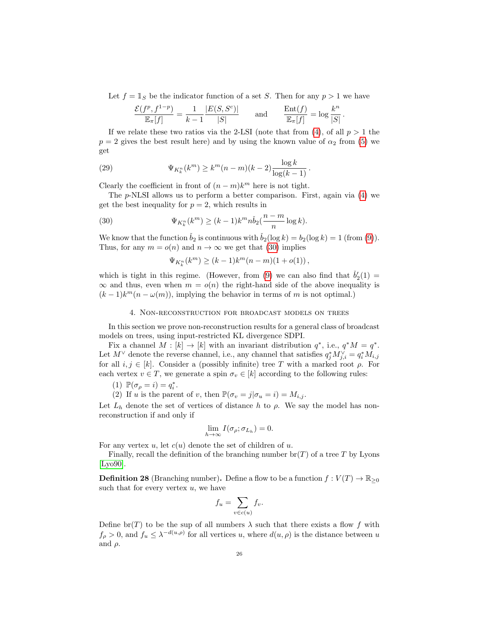Let  $f = 1_S$  be the indicator function of a set S. Then for any  $p > 1$  we have

$$
\frac{\mathcal{E}(f^p, f^{1-p})}{\mathbb{E}_\pi[f]} = \frac{1}{k-1} \frac{|E(S, S^c)|}{|S|} \quad \text{and} \quad \frac{\text{Ent}(f)}{\mathbb{E}_\pi[f]} = \log \frac{k^n}{|S|}.
$$

If we relate these two ratios via the 2-LSI (note that from [\(4\)](#page-2-3), of all  $p > 1$  the  $p = 2$  gives the best result here) and by using the known value of  $\alpha_2$  from [\(5\)](#page-3-3) we get

(29) 
$$
\Psi_{K_k^n}(k^m) \ge k^m (n-m)(k-2) \frac{\log k}{\log (k-1)}.
$$

Clearly the coefficient in front of  $(n - m)k^m$  here is not tight.

The p-NLSI allows us to perform a better comparison. First, again via [\(4\)](#page-2-3) we get the best inequality for  $p = 2$ , which results in

(30) 
$$
\Psi_{K_k^n}(k^m) \ge (k-1) k^m n \check{b}_2(\frac{n-m}{n} \log k).
$$

We know that the function  $\dot{b}_2$  is continuous with  $\dot{b}_2(\log k) = b_2(\log k) = 1$  (from [\(9\)](#page-3-4)). Thus, for any  $m = o(n)$  and  $n \to \infty$  we get that [\(30\)](#page-25-2) implies

<span id="page-25-2"></span>
$$
\Psi_{K_k^n}(k^m) \ge (k-1)k^m(n-m)(1+o(1)),
$$

which is tight in this regime. (However, from [\(9\)](#page-3-4) we can also find that  $\check{b}'_2(1)$  =  $\infty$  and thus, even when  $m = o(n)$  the right-hand side of the above inequality is  $(k-1)k^m(n-\omega(m))$ , implying the behavior in terms of m is not optimal.)

## 4. Non-reconstruction for broadcast models on trees

<span id="page-25-0"></span>In this section we prove non-reconstruction results for a general class of broadcast models on trees, using input-restricted KL divergence SDPI.

Fix a channel  $M : [k] \to [k]$  with an invariant distribution  $q^*$ , i.e.,  $q^*M = q^*$ . Let  $M^{\vee}$  denote the reverse channel, i.e., any channel that satisfies  $q_j^* M_{j,i}^{\vee} = q_i^* M_{i,j}$ for all  $i, j \in [k]$ . Consider a (possibly infinite) tree T with a marked root  $\rho$ . For each vertex  $v \in T$ , we generate a spin  $\sigma_v \in [k]$  according to the following rules:

(1) 
$$
\mathbb{P}(\sigma_{\rho} = i) = q_i^*.
$$

(2) If u is the parent of v, then  $\mathbb{P}(\sigma_v = j | \sigma_u = i) = M_{i,j}$ .

Let  $L_h$  denote the set of vertices of distance h to  $\rho$ . We say the model has nonreconstruction if and only if

$$
\lim_{h\to\infty} I(\sigma_\rho; \sigma_{L_h}) = 0.
$$

For any vertex u, let  $c(u)$  denote the set of children of u.

Finally, recall the definition of the branching number  $\text{br}(T)$  of a tree T by Lyons [\[Lyo90\]](#page-46-20).

<span id="page-25-1"></span>**Definition 28** (Branching number). Define a flow to be a function  $f: V(T) \to \mathbb{R}_{\geq 0}$ such that for every vertex  $u$ , we have

$$
f_u = \sum_{v \in c(u)} f_v.
$$

Define br(T) to be the sup of all numbers  $\lambda$  such that there exists a flow f with  $f_{\rho} > 0$ , and  $f_u \leq \lambda^{-d(u,\rho)}$  for all vertices u, where  $d(u,\rho)$  is the distance between u and  $\rho$ .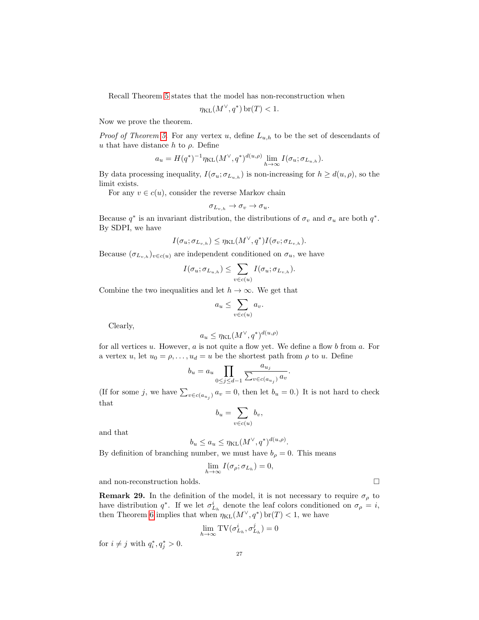Recall Theorem [5](#page-6-0) states that the model has non-reconstruction when

$$
\eta_{\text{KL}}(M^{\vee}, q^*)\,\text{br}(T) < 1.
$$

Now we prove the theorem.

*Proof of Theorem [5.](#page-6-0)* For any vertex u, define  $L_{u,h}$  to be the set of descendants of u that have distance h to  $\rho$ . Define

$$
a_u = H(q^*)^{-1} \eta_{\text{KL}}(M^\vee, q^*)^{d(u,\rho)} \lim_{h \to \infty} I(\sigma_u; \sigma_{L_{u,h}}).
$$

By data processing inequality,  $I(\sigma_u; \sigma_{L_{u,h}})$  is non-increasing for  $h \geq d(u, \rho)$ , so the limit exists.

For any  $v \in c(u)$ , consider the reverse Markov chain

$$
\sigma_{L_{v,h}} \to \sigma_v \to \sigma_u.
$$

Because  $q^*$  is an invariant distribution, the distributions of  $\sigma_v$  and  $\sigma_u$  are both  $q^*$ . By SDPI, we have

$$
I(\sigma_u;\sigma_{L_{v,h}}) \leq \eta_{\text{KL}}(M^\vee,q^*) I(\sigma_v;\sigma_{L_{v,h}}).
$$

Because  $(\sigma_{L_{v,h}})_{v \in c(u)}$  are independent conditioned on  $\sigma_u$ , we have

$$
I(\sigma_u; \sigma_{L_{u,h}}) \leq \sum_{v \in c(u)} I(\sigma_u; \sigma_{L_{v,h}}).
$$

Combine the two inequalities and let  $h \to \infty$ . We get that

$$
a_u \le \sum_{v \in c(u)} a_v.
$$

Clearly,

$$
a_u \le \eta_{\text{KL}}(M^\vee, q^*)^{d(u, \rho)}
$$

for all vertices  $u$ . However,  $a$  is not quite a flow yet. We define a flow  $b$  from  $a$ . For a vertex u, let  $u_0 = \rho, \ldots, u_d = u$  be the shortest path from  $\rho$  to u. Define

$$
b_u = a_u \prod_{0 \le j \le d-1} \frac{a_{u_j}}{\sum_{v \in c(a_{u_j})} a_v}.
$$

(If for some j, we have  $\sum_{v \in c(a_{u_j})} a_v = 0$ , then let  $b_u = 0$ .) It is not hard to check that

$$
b_u = \sum_{v \in c(u)} b_v,
$$

and that

$$
b_u \le a_u \le \eta_{\text{KL}}(M^\vee, q^*)^{d(u,\rho)}
$$

.

By definition of branching number, we must have  $b_{\rho} = 0$ . This means

$$
\lim_{h\to\infty} I(\sigma_\rho;\sigma_{L_h})=0,
$$

and non-reconstruction holds.

**Remark 29.** In the definition of the model, it is not necessary to require  $\sigma_{\rho}$  to have distribution  $q^*$ . If we let  $\sigma_{L_h}^i$  denote the leaf colors conditioned on  $\sigma_{\rho} = i$ , then Theorem [6](#page-6-1) implies that when  $\eta_{KL}(M^{\vee}, q^*)$  br $(T) < 1$ , we have

$$
\lim_{h \to \infty} \mathrm{TV}(\sigma^i_{L_h}, \sigma^j_{L_h}) = 0
$$

for  $i \neq j$  with  $q_i^*, q_j^* > 0$ .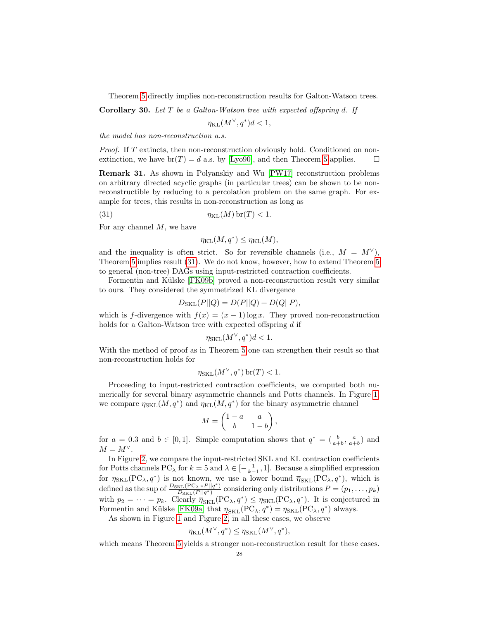Theorem [5](#page-6-0) directly implies non-reconstruction results for Galton-Watson trees.

**Corollary 30.** Let  $T$  be a Galton-Watson tree with expected offspring d. If

 $\eta_{\text{KL}}(M^{\vee}, q^*)d < 1,$ 

the model has non-reconstruction a.s.

Proof. If T extincts, then non-reconstruction obviously hold. Conditioned on nonextinction, we have  $br(T) = d$  a.s. by [\[Lyo90\]](#page-46-20), and then Theorem [5](#page-6-0) applies.  $\Box$ 

<span id="page-27-1"></span>Remark 31. As shown in Polyanskiy and Wu [\[PW17\]](#page-46-4) reconstruction problems on arbitrary directed acyclic graphs (in particular trees) can be shown to be nonreconstructible by reducing to a percolation problem on the same graph. For example for trees, this results in non-reconstruction as long as

(31) 
$$
\eta_{\text{KL}}(M) \operatorname{br}(T) < 1.
$$

For any channel  $M$ , we have

<span id="page-27-0"></span>
$$
\eta_{\text{KL}}(M, q^*) \le \eta_{\text{KL}}(M),
$$

and the inequality is often strict. So for reversible channels (i.e.,  $M = M^{\vee}$ ), Theorem [5](#page-6-0) implies result [\(31\)](#page-27-0). We do not know, however, how to extend Theorem [5](#page-6-0) to general (non-tree) DAGs using input-restricted contraction coefficients.

Formentin and Külske [\[FK09b\]](#page-46-13) proved a non-reconstruction result very similar to ours. They considered the symmetrized KL divergence

$$
D_{\rm SKL}(P||Q) = D(P||Q) + D(Q||P),
$$

which is f-divergence with  $f(x) = (x - 1) \log x$ . They proved non-reconstruction holds for a Galton-Watson tree with expected offspring d if

$$
\eta_{\text{SKL}}(M^{\vee}, q^*)d < 1.
$$

With the method of proof as in Theorem [5](#page-6-0) one can strengthen their result so that non-reconstruction holds for

$$
\eta_{\text{SKL}}(M^{\vee}, q^*)\,\text{br}(T) < 1.
$$

Proceeding to input-restricted contraction coefficients, we computed both numerically for several binary asymmetric channels and Potts channels. In Figure [1,](#page-28-1) we compare  $\eta_{\text{SKL}}(M, q^*)$  and  $\eta_{\text{KL}}(M, q^*)$  for the binary asymmetric channel

$$
M = \begin{pmatrix} 1 - a & a \\ b & 1 - b \end{pmatrix},
$$

for  $a = 0.3$  and  $b \in [0, 1]$ . Simple computation shows that  $q^* = \left(\frac{b}{a+b}, \frac{a}{a+b}\right)$  and  $M = M^{\vee}.$ 

In Figure [2,](#page-28-2) we compare the input-restricted SKL and KL contraction coefficients for Potts channels PC<sub> $\lambda$ </sub> for  $k = 5$  and  $\lambda \in [-\frac{1}{k-1}, 1]$ . Because a simplified expression for  $\eta_{SKL}(PC_{\lambda}, q^*)$  is not known, we use a lower bound  $\overline{\eta}_{SKL}(PC_{\lambda}, q^*)$ , which is defined as the sup of  $\frac{D_{SKL}(PC_{\lambda} \circ P||q^*)}{D_{SVL}(P||q^*)}$  $\frac{E[\text{E}(P \text{C}_{\lambda} \circ P || q_{\lambda}]}{D_{\text{SKL}}(P || q^*)}$  considering only distributions  $P = (p_1, \ldots, p_k)$ with  $p_2 = \cdots = p_k$ . Clearly  $\overline{\eta}_{SKL}(PC_{\lambda}, q^*) \leq \eta_{SKL}(PC_{\lambda}, q^*)$ . It is conjectured in Formentin and Külske [\[FK09a\]](#page-46-21) that  $\overline{\eta}_{SKL}(PC_{\lambda}, q^*) = \eta_{SKL}(PC_{\lambda}, q^*)$  always.

As shown in Figure [1](#page-28-1) and Figure [2,](#page-28-2) in all these cases, we observe

$$
\eta_{\text{KL}}(M^{\vee}, q^*) \leq \eta_{\text{SKL}}(M^{\vee}, q^*),
$$

which means Theorem [5](#page-6-0) yields a stronger non-reconstruction result for these cases.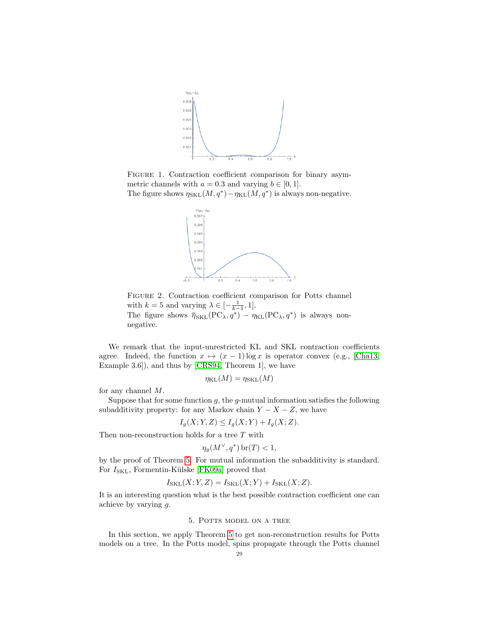<span id="page-28-1"></span>

<span id="page-28-2"></span>FIGURE 1. Contraction coefficient comparison for binary asymmetric channels with  $a = 0.3$  and varying  $b \in [0, 1]$ . The figure shows  $\eta_{SKL}(M, q^*) - \eta_{KL}(M, q^*)$  is always non-negative.



Figure 2. Contraction coefficient comparison for Potts channel with  $k = 5$  and varying  $\lambda \in [-\frac{1}{k-1}, 1].$ The figure shows  $\overline{\eta}_{SKL}(PC_{\lambda}, q^*) - \eta_{KL}(PC_{\lambda}, q^*)$  is always nonnegative.

We remark that the input-unrestricted KL and SKL contraction coefficients agree. Indeed, the function  $x \mapsto (x-1) \log x$  is operator convex (e.g., [\[Cha13,](#page-45-12) Example 3.6]), and thus by [\[CRS94,](#page-45-13) Theorem 1], we have

$$
\eta_{\text{KL}}(M) = \eta_{\text{SKL}}(M)
$$

for any channel M.

Suppose that for some function  $g$ , the  $g$ -mutual information satisfies the following subadditivity property: for any Markov chain  $Y - X - Z$ , we have

$$
I_g(X;Y,Z) \le I_g(X;Y) + I_g(X;Z).
$$

Then non-reconstruction holds for a tree  $T$  with

$$
\eta_g(M^\vee, q^*)\operatorname{br}(T) < 1,
$$

by the proof of Theorem [5.](#page-6-0) For mutual information the subadditivity is standard. For  $I_{SKL}$ , Formentin-Külske [\[FK09a\]](#page-46-21) proved that

$$
I_{\text{SKL}}(X;Y,Z) = I_{\text{SKL}}(X;Y) + I_{\text{SKL}}(X;Z).
$$

It is an interesting question what is the best possible contraction coefficient one can achieve by varying g.

#### 5. Potts model on a tree

<span id="page-28-0"></span>In this section, we apply Theorem [5](#page-6-0) to get non-reconstruction results for Potts models on a tree. In the Potts model, spins propagate through the Potts channel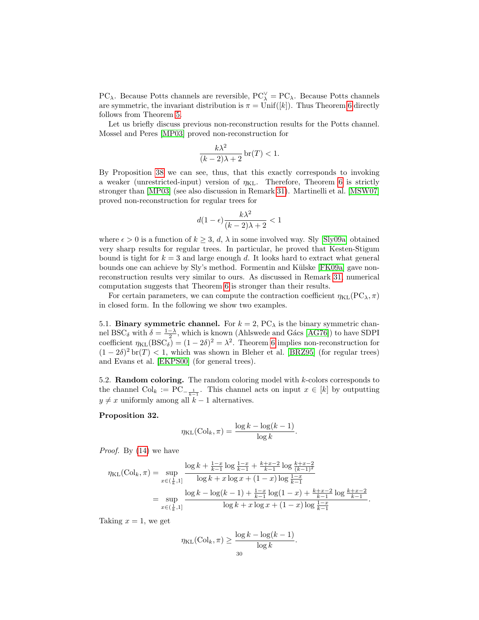PC<sub> $\lambda$ </sub>. Because Potts channels are reversible, PC<sup> $\vee$ </sup> = PC<sub> $\lambda$ </sub>. Because Potts channels are symmetric, the invariant distribution is  $\pi = \text{Unif}([k])$ . Thus Theorem [6](#page-6-1) directly follows from Theorem [5.](#page-6-0)

Let us briefly discuss previous non-reconstruction results for the Potts channel. Mossel and Peres [\[MP03\]](#page-46-14) proved non-reconstruction for

$$
\frac{k\lambda^2}{(k-2)\lambda+2}\,\text{br}(T) < 1.
$$

By Proposition [38](#page-34-1) we can see, thus, that this exactly corresponds to invoking a weaker (unrestricted-input) version of  $\eta_{KL}$ . Therefore, Theorem [6](#page-6-1) is strictly stronger than [\[MP03\]](#page-46-14) (see also discussion in Remark [31\)](#page-27-1). Martinelli et al. [\[MSW07\]](#page-46-22) proved non-reconstruction for regular trees for

$$
d(1-\epsilon)\frac{k\lambda^2}{(k-2)\lambda+2} < 1
$$

where  $\epsilon > 0$  is a function of  $k > 3$ , d,  $\lambda$  in some involved way. Sly [\[Sly09a\]](#page-47-3) obtained very sharp results for regular trees. In particular, he proved that Kesten-Stigum bound is tight for  $k = 3$  and large enough d. It looks hard to extract what general bounds one can achieve by Sly's method. Formentin and Külske [\[FK09a\]](#page-46-21) gave nonreconstruction results very similar to ours. As discussed in Remark [31,](#page-27-1) numerical computation suggests that Theorem [6](#page-6-1) is stronger than their results.

For certain parameters, we can compute the contraction coefficient  $\eta_{KL}(PC_{\lambda}, \pi)$ in closed form. In the following we show two examples.

<span id="page-29-0"></span>5.1. Binary symmetric channel. For  $k = 2$ , PC<sub> $\lambda$ </sub> is the binary symmetric channel BSC<sub>δ</sub> with  $\delta = \frac{1-\lambda}{2}$ , which is known (Ahlswede and Gács [\[AG76\]](#page-45-10)) to have SDPI coefficient  $\eta_{KL}(BSC_{\delta}) = (1 - 2\delta)^2 = \lambda^2$ . Theorem [6](#page-6-1) implies non-reconstruction for  $(1-2\delta)^2$  br $(T)$  < 1, which was shown in Bleher et al. [\[BRZ95\]](#page-45-14) (for regular trees) and Evans et al. [\[EKPS00\]](#page-46-9) (for general trees).

<span id="page-29-1"></span>5.2. Random coloring. The random coloring model with k-colors corresponds to the channel  $\text{Col}_k := \text{PC}_{-\frac{1}{k-1}}$ . This channel acts on input  $x \in [k]$  by outputting  $y \neq x$  uniformly among all  $k - 1$  alternatives.

## <span id="page-29-2"></span>Proposition 32.

$$
\eta_{\text{KL}}(\text{Col}_k, \pi) = \frac{\log k - \log(k - 1)}{\log k}.
$$

Proof. By [\(14\)](#page-5-0) we have

$$
\eta_{\text{KL}}(\text{Col}_k, \pi) = \sup_{x \in (\frac{1}{k}, 1]} \frac{\log k + \frac{1-x}{k-1} \log \frac{1-x}{k-1} + \frac{k+x-2}{k-1} \log \frac{k+x-2}{(k-1)^2}}{\log k + x \log x + (1-x) \log \frac{1-x}{k-1}}
$$

$$
= \sup_{x \in (\frac{1}{k}, 1]} \frac{\log k - \log(k-1) + \frac{1-x}{k-1} \log(1-x) + \frac{k+x-2}{k-1} \log \frac{k+x-2}{k-1}}{\log k + x \log x + (1-x) \log \frac{1-x}{k-1}}.
$$

Taking  $x = 1$ , we get

$$
\eta_{\text{KL}}(\text{Col}_k, \pi) \ge \frac{\log k - \log(k - 1)}{\log k}
$$

.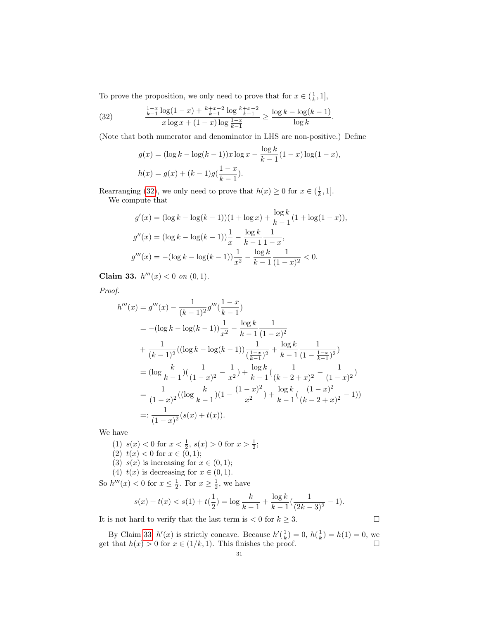To prove the proposition, we only need to prove that for  $x \in (\frac{1}{k}, 1]$ ,

<span id="page-30-0"></span>(32) 
$$
\frac{\frac{1-x}{k-1}\log(1-x)+\frac{k+x-2}{k-1}\log\frac{k+x-2}{k-1}}{x\log x+(1-x)\log\frac{1-x}{k-1}} \geq \frac{\log k - \log(k-1)}{\log k}.
$$

(Note that both numerator and denominator in LHS are non-positive.) Define

$$
g(x) = (\log k - \log(k - 1))x \log x - \frac{\log k}{k - 1}(1 - x) \log(1 - x),
$$
  

$$
h(x) = g(x) + (k - 1)g(\frac{1 - x}{k - 1}).
$$

Rearranging [\(32\)](#page-30-0), we only need to prove that  $h(x) \geq 0$  for  $x \in (\frac{1}{k}, 1]$ . We compute that

$$
g'(x) = (\log k - \log(k - 1))(1 + \log x) + \frac{\log k}{k - 1}(1 + \log(1 - x)),
$$
  
\n
$$
g''(x) = (\log k - \log(k - 1))\frac{1}{x} - \frac{\log k}{k - 1}\frac{1}{1 - x},
$$
  
\n
$$
g'''(x) = -(\log k - \log(k - 1))\frac{1}{x^2} - \frac{\log k}{k - 1}\frac{1}{(1 - x)^2} < 0.
$$

<span id="page-30-1"></span>Claim 33.  $h'''(x) < 0$  on  $(0,1)$ .

Proof.

$$
h'''(x) = g'''(x) - \frac{1}{(k-1)^2} g'''(\frac{1-x}{k-1})
$$
  
=  $-(\log k - \log(k-1)) \frac{1}{x^2} - \frac{\log k}{k-1} \frac{1}{(1-x)^2}$   
 $+ \frac{1}{(k-1)^2} ((\log k - \log(k-1)) \frac{1}{(\frac{1-x}{k-1})^2} + \frac{\log k}{k-1} \frac{1}{(1-\frac{1-x}{k-1})^2})$   
=  $(\log \frac{k}{k-1}) (\frac{1}{(1-x)^2} - \frac{1}{x^2}) + \frac{\log k}{k-1} (\frac{1}{(k-2+x)^2} - \frac{1}{(1-x)^2})$   
=  $\frac{1}{(1-x)^2} ((\log \frac{k}{k-1})(1 - \frac{(1-x)^2}{x^2}) + \frac{\log k}{k-1} (\frac{(1-x)^2}{(k-2+x)^2} - 1))$   
=:  $\frac{1}{(1-x)^2} (s(x) + t(x)).$ 

We have

(1)  $s(x) < 0$  for  $x < \frac{1}{2}$ ,  $s(x) > 0$  for  $x > \frac{1}{2}$ ;

- (2)  $t(x) < 0$  for  $x \in (0,1);$
- (3)  $s(x)$  is increasing for  $x \in (0,1)$ ;
- (4)  $t(x)$  is decreasing for  $x \in (0,1)$ .

So  $h'''(x) < 0$  for  $x \le \frac{1}{2}$ . For  $x \ge \frac{1}{2}$ , we have

$$
s(x) + t(x) < s(1) + t\left(\frac{1}{2}\right) = \log\frac{k}{k-1} + \frac{\log k}{k-1}\left(\frac{1}{(2k-3)^2} - 1\right).
$$

It is not hard to verify that the last term is  $\lt 0$  for  $k \geq 3$ .

By Claim [33,](#page-30-1)  $h'(x)$  is strictly concave. Because  $h'(\frac{1}{k}) = 0$ ,  $h(\frac{1}{k}) = h(1) = 0$ , we get that  $h(x) > 0$  for  $x \in (1/k, 1)$ . This finishes the proof.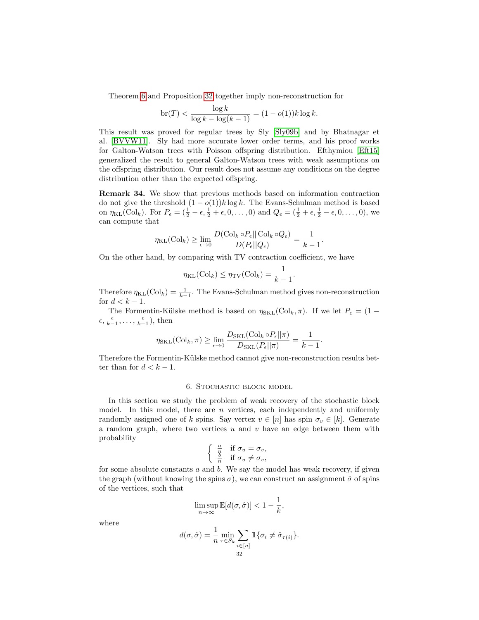Theorem [6](#page-6-1) and Proposition [32](#page-29-2) together imply non-reconstruction for

$$
\text{br}(T) < \frac{\log k}{\log k - \log(k-1)} = (1 - o(1))k \log k.
$$

This result was proved for regular trees by Sly [\[Sly09b\]](#page-47-0) and by Bhatnagar et al. [\[BVVW11\]](#page-45-1). Sly had more accurate lower order terms, and his proof works for Galton-Watson trees with Poisson offspring distribution. Efthymiou [\[Eft15\]](#page-45-15) generalized the result to general Galton-Watson trees with weak assumptions on the offspring distribution. Our result does not assume any conditions on the degree distribution other than the expected offspring.

<span id="page-31-1"></span>Remark 34. We show that previous methods based on information contraction do not give the threshold  $(1 - o(1))k \log k$ . The Evans-Schulman method is based on  $\eta_{KL}(Col_k)$ . For  $P_{\epsilon} = (\frac{1}{2} - \epsilon, \frac{1}{2} + \epsilon, 0, \ldots, 0)$  and  $Q_{\epsilon} = (\frac{1}{2} + \epsilon, \frac{1}{2} - \epsilon, 0, \ldots, 0)$ , we can compute that

$$
\eta_{\text{KL}}(\text{Col}_k) \ge \lim_{\epsilon \to 0} \frac{D(\text{Col}_k \circ P_{\epsilon} || \text{Col}_k \circ Q_{\epsilon})}{D(P_{\epsilon} || Q_{\epsilon})} = \frac{1}{k-1}.
$$

On the other hand, by comparing with TV contraction coefficient, we have

$$
\eta_{\text{KL}}(\text{Col}_k) \leq \eta_{\text{TV}}(\text{Col}_k) = \frac{1}{k-1}.
$$

Therefore  $\eta_{\text{KL}}(\text{Col}_k) = \frac{1}{k-1}$ . The Evans-Schulman method gives non-reconstruction for  $d < k - 1$ .

The Formentin-Külske method is based on  $\eta_{SKL}(Col_k, \pi)$ . If we let  $P_{\epsilon} = (1 \epsilon, \frac{\epsilon}{k-1}, \ldots, \frac{\epsilon}{k-1}$ , then

$$
\eta_{\text{SKL}}(\text{Col}_k, \pi) \ge \lim_{\epsilon \to 0} \frac{D_{\text{SKL}}(\text{Col}_k \circ P_{\epsilon} || \pi)}{D_{\text{SKL}}(P_{\epsilon} || \pi)} = \frac{1}{k-1}.
$$

Therefore the Formentin-Külske method cannot give non-reconstruction results better than for  $d < k - 1$ .

## 6. Stochastic block model

<span id="page-31-0"></span>In this section we study the problem of weak recovery of the stochastic block model. In this model, there are  $n$  vertices, each independently and uniformly randomly assigned one of k spins. Say vertex  $v \in [n]$  has spin  $\sigma_v \in [k]$ . Generate a random graph, where two vertices  $u$  and  $v$  have an edge between them with probability

$$
\begin{cases} \frac{a}{n} & \text{if } \sigma_u = \sigma_v, \\ \frac{b}{n} & \text{if } \sigma_u \neq \sigma_v, \end{cases}
$$

for some absolute constants  $a$  and  $b$ . We say the model has weak recovery, if given the graph (without knowing the spins  $\sigma$ ), we can construct an assignment  $\hat{\sigma}$  of spins of the vertices, such that

$$
\limsup_{n \to \infty} \mathbb{E}[d(\sigma, \hat{\sigma})] < 1 - \frac{1}{k},
$$

where

$$
d(\sigma, \hat{\sigma}) = \frac{1}{n} \min_{\tau \in S_k} \sum_{\substack{i \in [n] \\ 32}} \mathbb{1}_{\{\sigma_i \neq \hat{\sigma}_{\tau(i)}\}}.
$$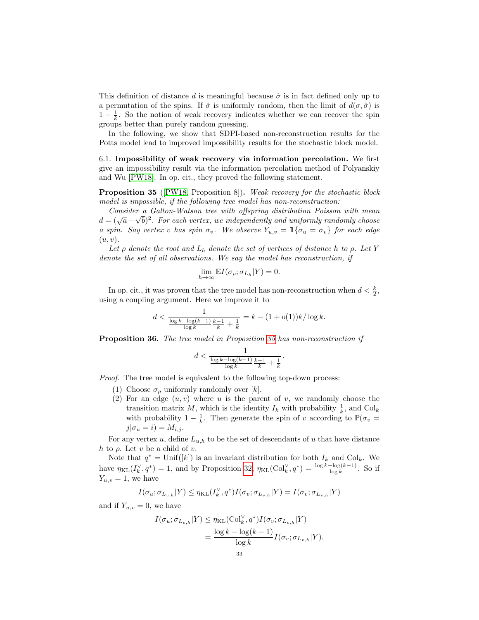This definition of distance d is meaningful because  $\hat{\sigma}$  is in fact defined only up to a permutation of the spins. If  $\hat{\sigma}$  is uniformly random, then the limit of  $d(\sigma, \hat{\sigma})$  is  $1 - \frac{1}{k}$ . So the notion of weak recovery indicates whether we can recover the spin groups better than purely random guessing.

In the following, we show that SDPI-based non-reconstruction results for the Potts model lead to improved impossibility results for the stochastic block model.

<span id="page-32-0"></span>6.1. Impossibility of weak recovery via information percolation. We first give an impossibility result via the information percolation method of Polyanskiy and Wu [\[PW18\]](#page-46-7). In op. cit., they proved the following statement.

<span id="page-32-1"></span>Proposition 35 ([\[PW18,](#page-46-7) Proposition 8]). Weak recovery for the stochastic block model is impossible, if the following tree model has non-reconstruction:

Consider a Galton-Watson tree with offspring distribution Poisson with mean Consulate a Galiton-walson tree with offspring also toution 1 of the mean  $d = (\sqrt{a} - \sqrt{b})^2$ . For each vertex, we independently and uniformly randomly choose a spin. Say vertex v has spin  $\sigma_v$ . We observe  $Y_{u,v} = \mathbb{1}\{\sigma_u = \sigma_v\}$  for each edge  $(u, v)$ .

Let  $\rho$  denote the root and  $L_h$  denote the set of vertices of distance h to  $\rho$ . Let Y denote the set of all observations. We say the model has reconstruction, if

$$
\lim_{h \to \infty} \mathbb{E} I(\sigma_{\rho}; \sigma_{L_h} | Y) = 0.
$$

In op. cit., it was proven that the tree model has non-reconstruction when  $d < \frac{k}{2}$ , using a coupling argument. Here we improve it to

$$
d < \frac{1}{\frac{\log k - \log(k-1)}{\log k} \frac{k-1}{k} + \frac{1}{k}} = k - (1 + o(1))k / \log k.
$$

Proposition 36. The tree model in Proposition [35](#page-32-1) has non-reconstruction if

$$
d < \frac{1}{\frac{\log k - \log(k-1)}{\log k} \frac{k-1}{k} + \frac{1}{k}}.
$$

Proof. The tree model is equivalent to the following top-down process:

- (1) Choose  $\sigma_{\rho}$  uniformly randomly over [k].
- (2) For an edge  $(u, v)$  where u is the parent of v, we randomly choose the transition matrix M, which is the identity  $I_k$  with probability  $\frac{1}{k}$ , and  $\text{Col}_k$ with probability  $1 - \frac{1}{k}$ . Then generate the spin of v according to  $\mathbb{P}(\sigma_v =$  $j|\sigma_u = i) = M_{i,j}.$

For any vertex  $u$ , define  $L_{u,h}$  to be the set of descendants of u that have distance h to  $\rho$ . Let v be a child of v.

Note that  $q^* = \text{Unif}([k])$  is an invariant distribution for both  $I_k$  and  $\text{Col}_k$ . We have  $\eta_{KL}(I_k^{\vee}, q^*) = 1$ , and by Proposition [32,](#page-29-2)  $\eta_{KL}(\text{Col}_k^{\vee}, q^*) = \frac{\log k - \log(k-1)}{\log k}$ . So if  $Y_{u,v} = 1$ , we have

$$
I(\sigma_u; \sigma_{L_{v,h}} | Y) \leq \eta_{\text{KL}}(I_k^{\vee}, q^*) I(\sigma_v; \sigma_{L_{v,h}} | Y) = I(\sigma_v; \sigma_{L_{v,h}} | Y)
$$

and if  $Y_{u,v} = 0$ , we have

$$
I(\sigma_u; \sigma_{L_{v,h}}|Y) \leq \eta_{\text{KL}}(\text{Col}_k^{\vee}, q^*) I(\sigma_v; \sigma_{L_{v,h}}|Y)
$$
  
= 
$$
\frac{\log k - \log(k-1)}{\log k} I(\sigma_v; \sigma_{L_{v,h}}|Y).
$$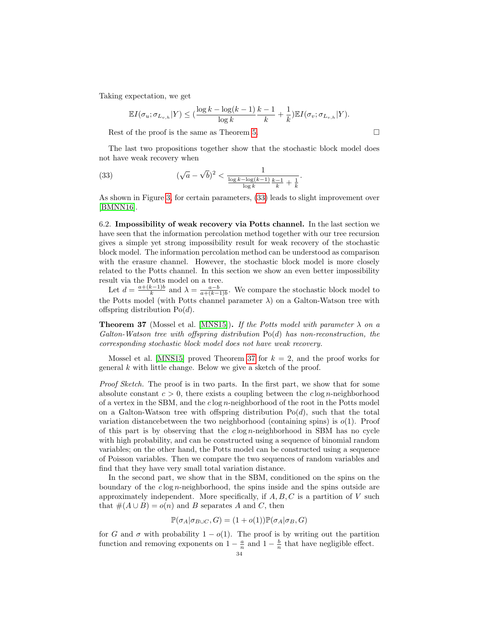Taking expectation, we get

<span id="page-33-1"></span>
$$
\mathbb{E}I(\sigma_u; \sigma_{L_{v,h}}|Y) \leq (\frac{\log k - \log(k-1)}{\log k} \frac{k-1}{k} + \frac{1}{k}) \mathbb{E}I(\sigma_v; \sigma_{L_{v,h}}|Y).
$$

Rest of the proof is the same as Theorem [5.](#page-6-0)

The last two propositions together show that the stochastic block model does not have weak recovery when

(33) 
$$
(\sqrt{a} - \sqrt{b})^2 < \frac{1}{\frac{\log k - \log(k-1)}{\log k} \frac{k-1}{k} + \frac{1}{k}}.
$$

As shown in Figure [3,](#page-34-2) for certain parameters, [\(33\)](#page-33-1) leads to slight improvement over [\[BMNN16\]](#page-45-8).

<span id="page-33-0"></span>6.2. Impossibility of weak recovery via Potts channel. In the last section we have seen that the information percolation method together with our tree recursion gives a simple yet strong impossibility result for weak recovery of the stochastic block model. The information percolation method can be understood as comparison with the erasure channel. However, the stochastic block model is more closely related to the Potts channel. In this section we show an even better impossibility result via the Potts model on a tree.

Let  $d = \frac{a + (k-1)b}{k}$  $\frac{(k-1)b}{k}$  and  $\lambda = \frac{a-b}{a+(k-1)b}$ . We compare the stochastic block model to the Potts model (with Potts channel parameter  $\lambda$ ) on a Galton-Watson tree with offspring distribution  $Po(d)$ .

<span id="page-33-2"></span>**Theorem 37** (Mossel et al. [\[MNS15\]](#page-46-17)). If the Potts model with parameter  $\lambda$  on a Galton-Watson tree with offspring distribution  $Po(d)$  has non-reconstruction, the corresponding stochastic block model does not have weak recovery.

Mossel et al. [\[MNS15\]](#page-46-17) proved Theorem [37](#page-33-2) for  $k = 2$ , and the proof works for general k with little change. Below we give a sketch of the proof.

Proof Sketch. The proof is in two parts. In the first part, we show that for some absolute constant  $c > 0$ , there exists a coupling between the clog *n*-neighborhood of a vertex in the SBM, and the  $c \log n$ -neighborhood of the root in the Potts model on a Galton-Watson tree with offspring distribution  $Po(d)$ , such that the total variation distance between the two neighborhood (containing spins) is  $o(1)$ . Proof of this part is by observing that the  $c \log n$ -neighborhood in SBM has no cycle with high probability, and can be constructed using a sequence of binomial random variables; on the other hand, the Potts model can be constructed using a sequence of Poisson variables. Then we compare the two sequences of random variables and find that they have very small total variation distance.

In the second part, we show that in the SBM, conditioned on the spins on the boundary of the  $c \log n$ -neighborhood, the spins inside and the spins outside are approximately independent. More specifically, if  $A, B, C$  is a partition of V such that  $\#(A \cup B) = o(n)$  and B separates A and C, then

$$
\mathbb{P}(\sigma_A|\sigma_{B\cup C}, G) = (1+o(1))\mathbb{P}(\sigma_A|\sigma_B, G)
$$

for G and  $\sigma$  with probability 1 –  $o(1)$ . The proof is by writing out the partition function and removing exponents on  $1 - \frac{a}{n}$  and  $1 - \frac{b}{n}$  that have negligible effect.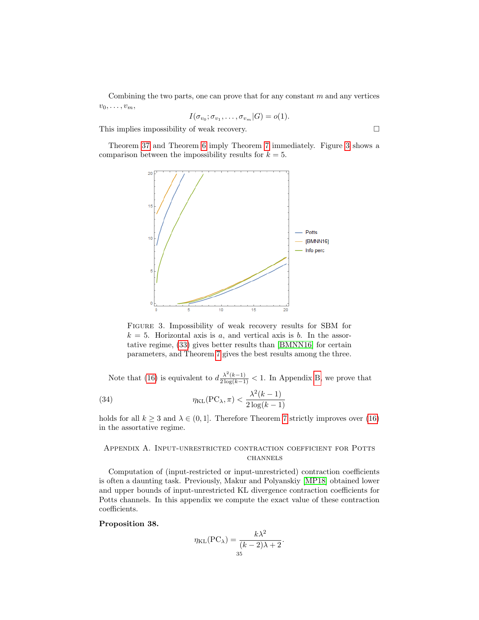Combining the two parts, one can prove that for any constant  $m$  and any vertices  $v_0, \ldots, v_m,$ 

$$
I(\sigma_{v_0}; \sigma_{v_1}, \ldots, \sigma_{v_m}|G) = o(1).
$$

This implies impossibility of weak recovery.  $\Box$ 

<span id="page-34-2"></span>Theorem [37](#page-33-2) and Theorem [6](#page-6-1) imply Theorem [7](#page-7-1) immediately. Figure [3](#page-34-2) shows a comparison between the impossibility results for  $k = 5$ .



Figure 3. Impossibility of weak recovery results for SBM for  $k = 5$ . Horizontal axis is a, and vertical axis is b. In the assortative regime, [\(33\)](#page-33-1) gives better results than [\[BMNN16\]](#page-45-8) for certain parameters, and Theorem [7](#page-7-1) gives the best results among the three.

Note that [\(16\)](#page-7-2) is equivalent to  $d \frac{\lambda^2(k-1)}{2 \log(k-1)} < 1$ . In Appendix [B,](#page-38-0) we prove that

<span id="page-34-3"></span>(34) 
$$
\eta_{\text{KL}}(\text{PC}_{\lambda}, \pi) < \frac{\lambda^2(k-1)}{2\log(k-1)}
$$

holds for all  $k \geq 3$  and  $\lambda \in (0, 1]$ . Therefore Theorem [7](#page-7-1) strictly improves over [\(16\)](#page-7-2) in the assortative regime.

# <span id="page-34-0"></span>Appendix A. Input-unrestricted contraction coefficient for Potts **CHANNELS**

Computation of (input-restricted or input-unrestricted) contraction coefficients is often a daunting task. Previously, Makur and Polyanskiy [\[MP18\]](#page-46-23) obtained lower and upper bounds of input-unrestricted KL divergence contraction coefficients for Potts channels. In this appendix we compute the exact value of these contraction coefficients.

## <span id="page-34-1"></span>Proposition 38.

$$
\eta_{\text{KL}}(\text{PC}_{\lambda}) = \frac{k\lambda^2}{(k-2)\lambda + 2}.
$$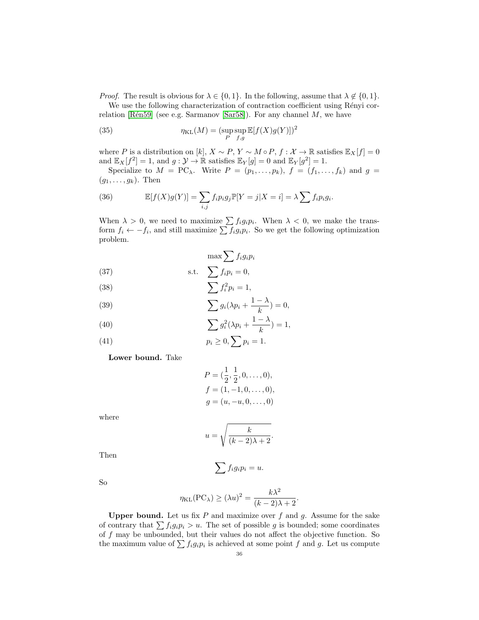*Proof.* The result is obvious for  $\lambda \in \{0, 1\}$ . In the following, assume that  $\lambda \notin \{0, 1\}$ .

We use the following characterization of contraction coefficient using Rényi cor-relation [Rén59] (see e.g. Sarmanov [\[Sar58\]](#page-47-4)). For any channel  $M$ , we have

<span id="page-35-4"></span>(35) 
$$
\eta_{\text{KL}}(M) = (\sup_{P} \sup_{f,g} \mathbb{E}[f(X)g(Y)])^2
$$

where P is a distribution on [k],  $X \sim P$ ,  $Y \sim M \circ P$ ,  $f : \mathcal{X} \to \mathbb{R}$  satisfies  $\mathbb{E}_X[f] = 0$ and  $\mathbb{E}_X[f^2] = 1$ , and  $g: \mathcal{Y} \to \mathbb{R}$  satisfies  $\mathbb{E}_Y[g] = 0$  and  $\mathbb{E}_Y[g^2] = 1$ .

Specialize to  $M = PC_\lambda$ . Write  $P = (p_1, \ldots, p_k)$ ,  $f = (f_1, \ldots, f_k)$  and  $g =$  $(g_1, \ldots, g_k)$ . Then

<span id="page-35-5"></span>(36) 
$$
\mathbb{E}[f(X)g(Y)] = \sum_{i,j} f_i p_i g_j \mathbb{P}[Y=j|X=i] = \lambda \sum f_i p_i g_i.
$$

When  $\lambda > 0$ , we need to maximize  $\sum f_i g_i p_i$ . When  $\lambda < 0$ , we make the transform  $f_i \leftarrow -f_i$ , and still maximize  $\sum f_i g_i p_i$ . So we get the following optimization problem.

$$
\max \sum f_i g_i p_i
$$
\n(37) s.t. 
$$
\sum f_i p_i = 0,
$$

<span id="page-35-3"></span><span id="page-35-2"></span>(38) 
$$
\sum f_i p_i = 0,
$$

$$
\sum f_i^2 p_i = 1,
$$

<span id="page-35-0"></span>(39) 
$$
\sum g_i(\lambda p_i + \frac{1-\lambda}{k}) = 0,
$$

<span id="page-35-1"></span>(40) 
$$
\sum g_i^2(\lambda p_i + \frac{1-\lambda}{k}) = 1,
$$

(41) 
$$
p_i \geq 0, \sum p_i = 1.
$$

Lower bound. Take

$$
P = (\frac{1}{2}, \frac{1}{2}, 0, \dots, 0),
$$
  
\n
$$
f = (1, -1, 0, \dots, 0),
$$
  
\n
$$
g = (u, -u, 0, \dots, 0)
$$

where

$$
u = \sqrt{\frac{k}{(k-2)\lambda + 2}}.
$$

Then

So

$$
\sum f_i g_i p_i = u.
$$

 $\eta_{\text{KL}}(\text{PC}_{\lambda}) \geq (\lambda u)^2 = \frac{k\lambda^2}{(k-2)!}$  $\frac{k\lambda}{(k-2)\lambda+2}$ 

**Upper bound.** Let us fix  $P$  and maximize over  $f$  and  $g$ . Assume for the sake of contrary that  $\sum f_i g_i p_i > u$ . The set of possible g is bounded; some coordinates of f may be unbounded, but their values do not affect the objective function. So the maximum value of  $\sum f_i g_i p_i$  is achieved at some point f and g. Let us compute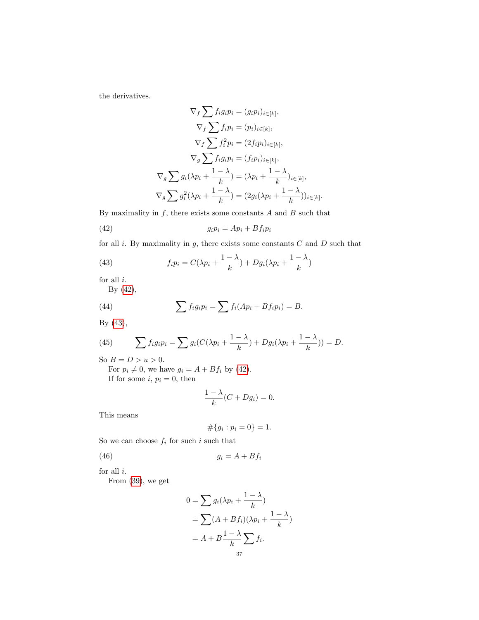the derivatives.

$$
\nabla_f \sum f_i g_i p_i = (g_i p_i)_{i \in [k]},
$$
  

$$
\nabla_f \sum f_i p_i = (p_i)_{i \in [k]},
$$
  

$$
\nabla_f \sum f_i^2 p_i = (2f_i p_i)_{i \in [k]},
$$
  

$$
\nabla_g \sum f_i g_i p_i = (f_i p_i)_{i \in [k]},
$$
  

$$
\nabla_g \sum g_i (\lambda p_i + \frac{1 - \lambda}{k}) = (\lambda p_i + \frac{1 - \lambda}{k})_{i \in [k]},
$$
  

$$
\nabla_g \sum g_i^2 (\lambda p_i + \frac{1 - \lambda}{k}) = (2g_i(\lambda p_i + \frac{1 - \lambda}{k}))_{i \in [k]}.
$$

By maximality in  $f$ , there exists some constants  $A$  and  $B$  such that

<span id="page-36-0"></span>
$$
(42) \t\t\t g_i p_i = Ap_i + Bf_i p_i
$$

for all  $i$ . By maximality in  $g$ , there exists some constants  $C$  and  $D$  such that

<span id="page-36-1"></span>(43) 
$$
f_i p_i = C(\lambda p_i + \frac{1-\lambda}{k}) + Dg_i(\lambda p_i + \frac{1-\lambda}{k})
$$

for all  $i.$ 

By [\(42\)](#page-36-0),

(44) 
$$
\sum f_i g_i p_i = \sum f_i (A p_i + B f_i p_i) = B.
$$

By [\(43\)](#page-36-1),

(45) 
$$
\sum f_i g_i p_i = \sum g_i (C(\lambda p_i + \frac{1-\lambda}{k}) + Dg_i (\lambda p_i + \frac{1-\lambda}{k})) = D.
$$

So  $B = D > u > 0$ .

For  $p_i \neq 0$ , we have  $g_i = A + Bf_i$  by [\(42\)](#page-36-0). If for some  $i, p_i = 0$ , then

$$
\frac{1-\lambda}{k}(C+Dg_i)=0.
$$

This means

$$
\#\{g_i : p_i = 0\} = 1.
$$

So we can choose  $f_i$  for such i such that

$$
(46) \t\t\t g_i = A + Bf_i
$$

for all  $i$ .

From [\(39\)](#page-35-0), we get

$$
0 = \sum g_i(\lambda p_i + \frac{1-\lambda}{k})
$$
  
=  $\sum (A + Bf_i)(\lambda p_i + \frac{1-\lambda}{k})$   
=  $A + B \frac{1-\lambda}{k} \sum f_i$ .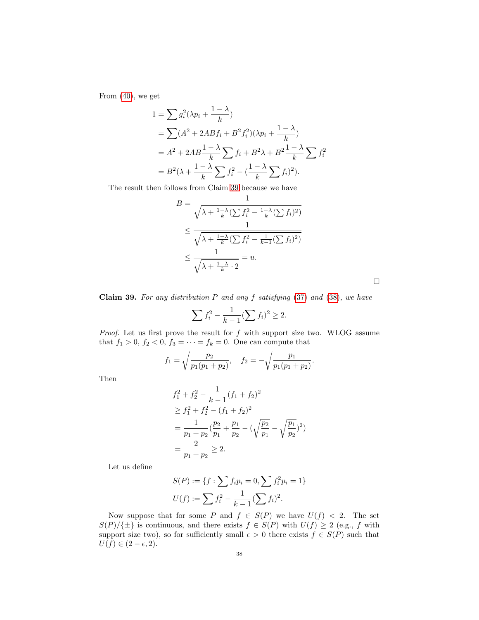From [\(40\)](#page-35-1), we get

$$
1 = \sum g_i^2 (\lambda p_i + \frac{1 - \lambda}{k})
$$
  
=  $\sum (A^2 + 2ABf_i + B^2f_i^2)(\lambda p_i + \frac{1 - \lambda}{k})$   
=  $A^2 + 2AB\frac{1 - \lambda}{k} \sum f_i + B^2\lambda + B^2\frac{1 - \lambda}{k} \sum f_i^2$   
=  $B^2(\lambda + \frac{1 - \lambda}{k} \sum f_i^2 - (\frac{1 - \lambda}{k} \sum f_i)^2).$ 

The result then follows from Claim [39](#page-37-0) because we have

$$
B = \frac{1}{\sqrt{\lambda + \frac{1-\lambda}{k} (\sum f_i^2 - \frac{1-\lambda}{k} (\sum f_i)^2)}}\n\leq \frac{1}{\sqrt{\lambda + \frac{1-\lambda}{k} (\sum f_i^2 - \frac{1}{k-1} (\sum f_i)^2)}}\n\leq \frac{1}{\sqrt{\lambda + \frac{1-\lambda}{k} \cdot 2}} = u.
$$

<span id="page-37-0"></span>Claim 39. For any distribution  $P$  and any  $f$  satisfying  $(37)$  and  $(38)$ , we have

$$
\sum f_i^2 - \frac{1}{k-1} (\sum f_i)^2 \ge 2.
$$

*Proof.* Let us first prove the result for  $f$  with support size two. WLOG assume that  $f_1 > 0$ ,  $f_2 < 0$ ,  $f_3 = \cdots = f_k = 0$ . One can compute that

$$
f_1 = \sqrt{\frac{p_2}{p_1(p_1 + p_2)}}, \quad f_2 = -\sqrt{\frac{p_1}{p_1(p_1 + p_2)}}.
$$

Then

$$
f_1^2 + f_2^2 - \frac{1}{k-1}(f_1 + f_2)^2
$$
  
\n
$$
\geq f_1^2 + f_2^2 - (f_1 + f_2)^2
$$
  
\n
$$
= \frac{1}{p_1 + p_2} \left(\frac{p_2}{p_1} + \frac{p_1}{p_2} - \left(\sqrt{\frac{p_2}{p_1}} - \sqrt{\frac{p_1}{p_2}}\right)^2\right)
$$
  
\n
$$
= \frac{2}{p_1 + p_2} \geq 2.
$$

Let us define

$$
S(P) := \{ f : \sum f_i p_i = 0, \sum f_i^2 p_i = 1 \}
$$
  

$$
U(f) := \sum f_i^2 - \frac{1}{k-1} (\sum f_i)^2.
$$

Now suppose that for some P and  $f \in S(P)$  we have  $U(f) < 2$ . The set  $S(P)/\{\pm\}$  is continuous, and there exists  $f \in S(P)$  with  $U(f) \geq 2$  (e.g., f with support size two), so for sufficiently small  $\epsilon > 0$  there exists  $f \in S(P)$  such that  $U(f) \in (2 - \epsilon, 2).$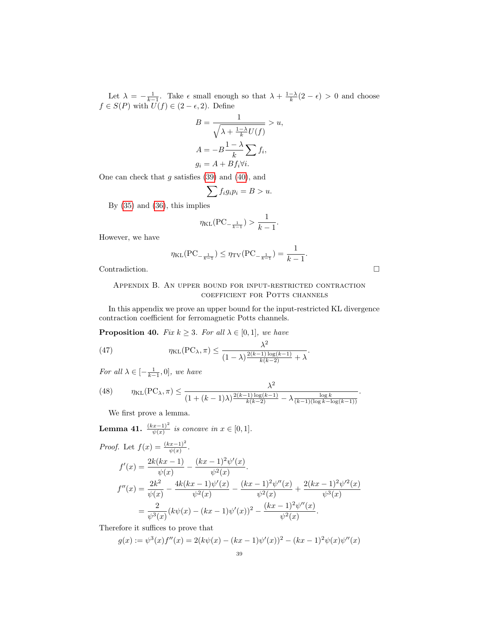Let  $\lambda = -\frac{1}{k-1}$ . Take  $\epsilon$  small enough so that  $\lambda + \frac{1-\lambda}{k}(2-\epsilon) > 0$  and choose  $f \in S(P)$  with  $U(f) \in (2 - \epsilon, 2)$ . Define

$$
B = \frac{1}{\sqrt{\lambda + \frac{1-\lambda}{k}U(f)}} > u,
$$
  

$$
A = -B\frac{1-\lambda}{k}\sum_{i} f_i,
$$
  

$$
g_i = A + Bf_i \forall i.
$$

One can check that  $g$  satisfies  $(39)$  and  $(40)$ , and

$$
\sum f_i g_i p_i = B > u.
$$

By [\(35\)](#page-35-4) and [\(36\)](#page-35-5), this implies

$$
\eta_{\text{KL}}(\text{PC}_{-\frac{1}{k-1}}) > \frac{1}{k-1}.
$$

However, we have

$$
\eta_{\text{KL}}(\text{PC}_{-\frac{1}{k-1}}) \leq \eta_{\text{TV}}(\text{PC}_{-\frac{1}{k-1}}) = \frac{1}{k-1}.
$$

<span id="page-38-0"></span>Contradiction.

Appendix B. An upper bound for input-restricted contraction coefficient for Potts channels

In this appendix we prove an upper bound for the input-restricted KL divergence contraction coefficient for ferromagnetic Potts channels.

<span id="page-38-1"></span>**Proposition 40.** Fix  $k \geq 3$ . For all  $\lambda \in [0, 1]$ , we have

<span id="page-38-3"></span>(47) 
$$
\eta_{\text{KL}}(\text{PC}_{\lambda}, \pi) \leq \frac{\lambda^2}{(1-\lambda)^{\frac{2(k-1)\log(k-1)}{k(k-2)}} + \lambda}.
$$

For all  $\lambda \in [-\frac{1}{k-1},0]$ , we have

<span id="page-38-4"></span>(48) 
$$
\eta_{\text{KL}}(\text{PC}_{\lambda}, \pi) \leq \frac{\lambda^2}{(1 + (k-1)\lambda)^{\frac{2(k-1)\log(k-1)}{k(k-2)}} - \lambda \frac{\log k}{(k-1)(\log k - \log(k-1))}}.
$$

We first prove a lemma.

<span id="page-38-2"></span>**Lemma 41.** 
$$
\frac{(kx-1)^2}{\psi(x)}
$$
 is concave in  $x \in [0,1].$ \n*Proof.* Let  $f(x) = \frac{(kx-1)^2}{\psi(x)}$ .\n\n
$$
f'(x) = \frac{2k(kx-1)}{\psi(x)} - \frac{(kx-1)^2\psi'(x)}{\psi^2(x)}
$$
\n
$$
f''(x) = \frac{2k^2}{\psi(x)} - \frac{4k(kx-1)\psi'(x)}{\psi^2(x)} - \frac{(kx-1)^2\psi''(x)}{\psi^2(x)} + \frac{2(kx-1)^2\psi''(x)}{\psi^3(x)}
$$
\n
$$
= \frac{2}{\psi^3(x)}(k\psi(x) - (kx-1)\psi'(x))^2 - \frac{(kx-1)^2\psi''(x)}{\psi^2(x)}.
$$

Therefore it suffices to prove that

$$
g(x) := \psi^{3}(x)f''(x) = 2(k\psi(x) - (kx - 1)\psi'(x))^{2} - (kx - 1)^{2}\psi(x)\psi''(x)
$$
  
39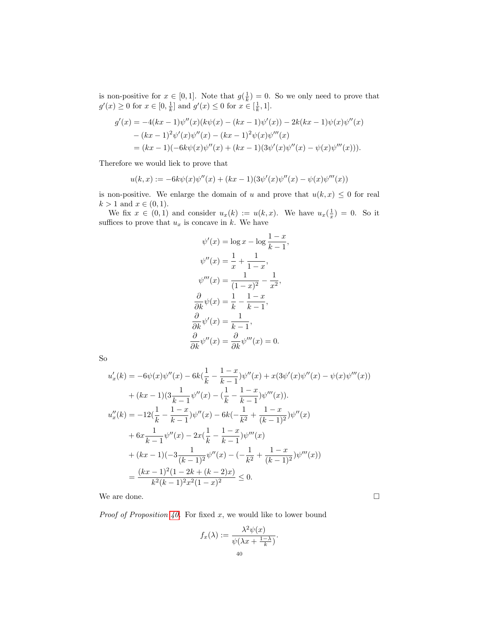is non-positive for  $x \in [0,1]$ . Note that  $g(\frac{1}{k}) = 0$ . So we only need to prove that  $g'(x) \ge 0$  for  $x \in [0, \frac{1}{k}]$  and  $g'(x) \le 0$  for  $x \in [\frac{1}{k}, 1]$ .

$$
g'(x) = -4(kx - 1)\psi''(x)(k\psi(x) - (kx - 1)\psi'(x)) - 2k(kx - 1)\psi(x)\psi''(x)
$$
  
-(kx - 1)<sup>2</sup> $\psi'(x)\psi''(x) - (kx - 1)^2\psi(x)\psi'''(x)$   
=(kx - 1)(-6k $\psi(x)\psi''(x) + (kx - 1)(3\psi'(x)\psi''(x) - \psi(x)\psi'''(x))).$ 

Therefore we would liek to prove that

$$
u(k,x):=-6k\psi(x)\psi''(x)+(kx-1)(3\psi'(x)\psi''(x)-\psi(x)\psi'''(x))
$$

is non-positive. We enlarge the domain of u and prove that  $u(k, x) \leq 0$  for real  $k > 1$  and  $x \in (0, 1)$ .

We fix  $x \in (0,1)$  and consider  $u_x(k) := u(k,x)$ . We have  $u_x(\frac{1}{x}) = 0$ . So it suffices to prove that  $u_x$  is concave in k. We have

$$
\psi'(x) = \log x - \log \frac{1-x}{k-1},
$$
  

$$
\psi''(x) = \frac{1}{x} + \frac{1}{1-x},
$$
  

$$
\psi'''(x) = \frac{1}{(1-x)^2} - \frac{1}{x^2},
$$
  

$$
\frac{\partial}{\partial k}\psi(x) = \frac{1}{k} - \frac{1-x}{k-1},
$$
  

$$
\frac{\partial}{\partial k}\psi'(x) = \frac{1}{k-1},
$$
  

$$
\frac{\partial}{\partial k}\psi''(x) = \frac{\partial}{\partial k}\psi'''(x) = 0.
$$

So

$$
u'_x(k) = -6\psi(x)\psi''(x) - 6k(\frac{1}{k} - \frac{1-x}{k-1})\psi''(x) + x(3\psi'(x)\psi''(x) - \psi(x)\psi'''(x))
$$
  
+  $(kx - 1)(3\frac{1}{k-1}\psi''(x) - (\frac{1}{k} - \frac{1-x}{k-1})\psi'''(x)).$   

$$
u''_x(k) = -12(\frac{1}{k} - \frac{1-x}{k-1})\psi''(x) - 6k(-\frac{1}{k^2} + \frac{1-x}{(k-1)^2})\psi''(x)
$$
  
+  $6x\frac{1}{k-1}\psi''(x) - 2x(\frac{1}{k} - \frac{1-x}{k-1})\psi'''(x)$   
+  $(kx - 1)(-3\frac{1}{(k-1)^2}\psi''(x) - (-\frac{1}{k^2} + \frac{1-x}{(k-1)^2})\psi'''(x))$   
=  $\frac{(kx - 1)^2(1 - 2k + (k - 2)x)}{k^2(k-1)^2x^2(1-x)^2} \le 0.$ 

We are done.  $\hfill \square$ 

*Proof of Proposition [40.](#page-38-1)* For fixed  $x$ , we would like to lower bound

$$
f_x(\lambda) := \frac{\lambda^2 \psi(x)}{\psi(\lambda x + \frac{1-\lambda}{k})}.
$$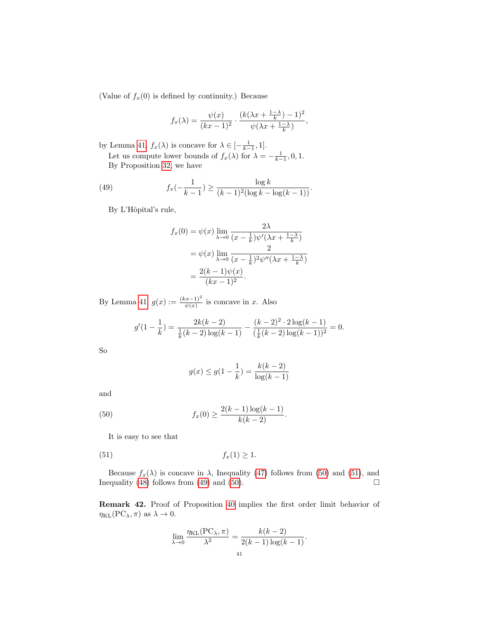(Value of  $f_x(0)$  is defined by continuity.) Because

$$
f_x(\lambda) = \frac{\psi(x)}{(kx-1)^2} \cdot \frac{(k(\lambda x + \frac{1-\lambda}{k}) - 1)^2}{\psi(\lambda x + \frac{1-\lambda}{k})},
$$

by Lemma [41,](#page-38-2)  $f_x(\lambda)$  is concave for  $\lambda \in [-\frac{1}{k-1}, 1]$ .

Let us compute lower bounds of  $f_x(\lambda)$  for  $\lambda = -\frac{1}{k-1}, 0, 1$ . By Proposition [32,](#page-29-2) we have

(49) 
$$
f_x(-\frac{1}{k-1}) \ge \frac{\log k}{(k-1)^2(\log k - \log((k-1)))}.
$$

By L'Hôpital's rule,

<span id="page-40-2"></span>
$$
f_x(0) = \psi(x) \lim_{\lambda \to 0} \frac{2\lambda}{(x - \frac{1}{k})\psi'(\lambda x + \frac{1-\lambda}{k})}
$$
  
=  $\psi(x) \lim_{\lambda \to 0} \frac{2}{(x - \frac{1}{k})^2 \psi''(\lambda x + \frac{1-\lambda}{k})}$   
=  $\frac{2(k-1)\psi(x)}{(kx-1)^2}$ .

By Lemma [41,](#page-38-2)  $g(x) := \frac{(kx-1)^2}{\psi(x)}$  is concave in x. Also

$$
g'(1-\frac{1}{k}) = \frac{2k(k-2)}{\frac{1}{k}(k-2)\log(k-1)} - \frac{(k-2)^2 \cdot 2\log(k-1)}{(\frac{1}{k}(k-2)\log(k-1))^2} = 0.
$$

So

<span id="page-40-1"></span><span id="page-40-0"></span>
$$
g(x) \le g(1 - \frac{1}{k}) = \frac{k(k-2)}{\log(k-1)}
$$

and

(50) 
$$
f_x(0) \ge \frac{2(k-1)\log(k-1)}{k(k-2)}.
$$

It is easy to see that

$$
(51) \t\t f_x(1) \ge 1.
$$

Because  $f_x(\lambda)$  is concave in  $\lambda$ , Inequality [\(47\)](#page-38-3) follows from [\(50\)](#page-40-0) and [\(51\)](#page-40-1), and equality (48) follows from (49) and (50). Inequality [\(48\)](#page-38-4) follows from [\(49\)](#page-40-2) and [\(50\)](#page-40-0).

Remark 42. Proof of Proposition [40](#page-38-1) implies the first order limit behavior of  $\eta_{KL}(PC_{\lambda}, \pi)$  as  $\lambda \to 0$ .

$$
\lim_{\lambda \to 0} \frac{\eta_{\text{KL}}(\text{PC}_{\lambda}, \pi)}{\lambda^2} = \frac{k(k-2)}{2(k-1)\log(k-1)}.
$$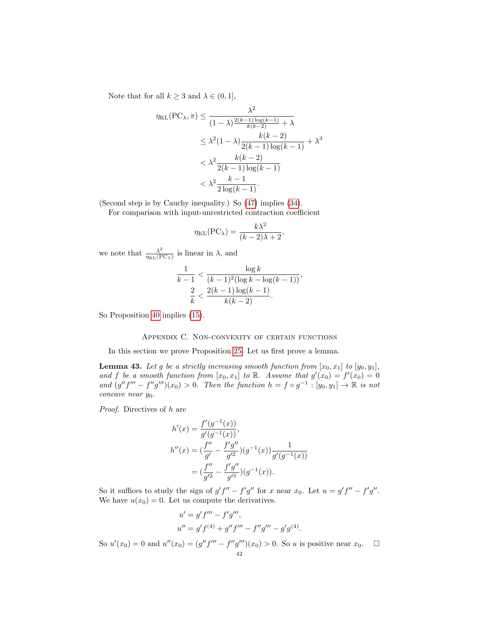Note that for all  $k \geq 3$  and  $\lambda \in (0, 1]$ ,

$$
\eta_{\text{KL}}(\text{PC}_{\lambda}, \pi) \le \frac{\lambda^2}{(1 - \lambda)^{\frac{2(k-1)\log(k-1)}{k(k-2)}} + \lambda}
$$
  

$$
\le \lambda^2 (1 - \lambda) \frac{k(k-2)}{2(k-1)\log(k-1)} + \lambda^3
$$
  

$$
< \lambda^2 \frac{k(k-2)}{2(k-1)\log(k-1)}
$$
  

$$
< \lambda^2 \frac{k-1}{2\log(k-1)}.
$$

(Second step is by Cauchy inequality.) So [\(47\)](#page-38-3) implies [\(34\)](#page-34-3).

For comparison with input-unrestricted contraction coefficient

$$
\eta_{\text{KL}}(\text{PC}_{\lambda}) = \frac{k\lambda^2}{(k-2)\lambda + 2},
$$

we note that  $\frac{\lambda^2}{n}$  $\frac{\lambda^2}{\eta_{\text{KL}}(\text{PC}_{\lambda})}$  is linear in  $\lambda$ , and

$$
\frac{1}{k-1} < \frac{\log k}{(k-1)^2(\log k - \log(k-1))},
$$
\n
$$
\frac{2}{k} < \frac{2(k-1)\log(k-1)}{k(k-2)}.
$$

So Proposition [40](#page-38-1) implies [\(15\)](#page-5-2).

### Appendix C. Non-convexity of certain functions

<span id="page-41-0"></span>In this section we prove Proposition [25.](#page-22-1) Let us first prove a lemma.

<span id="page-41-1"></span>**Lemma 43.** Let g be a strictly increasing smooth function from  $[x_0, x_1]$  to  $[y_0, y_1]$ , and f be a smooth function from  $[x_0, x_1]$  to R. Assume that  $g'(x_0) = f'(x_0) = 0$ and  $(g''f''' - f''g''')(x_0) > 0$ . Then the function  $h = f \circ g^{-1} : [y_0, y_1] \to \mathbb{R}$  is not  $concave$  near  $y_0$ .

Proof. Directives of h are

$$
h'(x) = \frac{f'(g^{-1}(x))}{g'(g^{-1}(x))},
$$
  
\n
$$
h''(x) = \left(\frac{f''}{g'} - \frac{f'g''}{g'^2}\right)(g^{-1}(x))\frac{1}{g'(g^{-1}(x))}
$$
  
\n
$$
= \left(\frac{f''}{g'^2} - \frac{f'g''}{g'^3}\right)(g^{-1}(x)).
$$

So it suffices to study the sign of  $g' f'' - f' g''$  for x near  $x_0$ . Let  $u = g' f'' - f' g''$ . We have  $u(x_0) = 0$ . Let us compute the derivatives.

$$
u' = g' f''' - f'g''',
$$
  

$$
u'' = g' f^{(4)} + g'' f''' - f''g''' - g'g^{(4)}.
$$

So  $u'(x_0) = 0$  and  $u''(x_0) = (g''f''' - f''g''')(x_0) > 0$ . So u is positive near  $x_0$ .  $\Box$ 42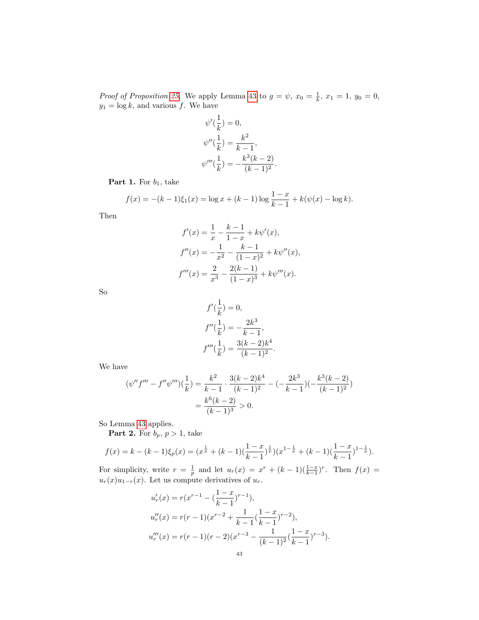*Proof of Proposition [25.](#page-22-1)* We apply Lemma [43](#page-41-1) to  $g = \psi$ ,  $x_0 = \frac{1}{k}$ ,  $x_1 = 1$ ,  $y_0 = 0$ ,  $y_1 = \log k$ , and various f. We have

$$
\psi'(\frac{1}{k}) = 0,\n\psi''(\frac{1}{k}) = \frac{k^2}{k-1},\n\psi'''(\frac{1}{k}) = -\frac{k^3(k-2)}{(k-1)^2}.
$$

**Part 1.** For  $b_1$ , take

$$
f(x) = -(k-1)\xi_1(x) = \log x + (k-1)\log\frac{1-x}{k-1} + k(\psi(x) - \log k).
$$

Then

$$
f'(x) = \frac{1}{x} - \frac{k-1}{1-x} + k\psi'(x),
$$
  
\n
$$
f''(x) = -\frac{1}{x^2} - \frac{k-1}{(1-x)^2} + k\psi''(x),
$$
  
\n
$$
f'''(x) = \frac{2}{x^3} - \frac{2(k-1)}{(1-x)^3} + k\psi'''(x).
$$

So

$$
f'(\frac{1}{k}) = 0,
$$
  
\n
$$
f''(\frac{1}{k}) = -\frac{2k^3}{k-1},
$$
  
\n
$$
f'''(\frac{1}{k}) = \frac{3(k-2)k^4}{(k-1)^2}.
$$

We have

$$
(\psi''f''' - f''\psi''')\left(\frac{1}{k}\right) = \frac{k^2}{k-1} \cdot \frac{3(k-2)k^4}{(k-1)^2} - \left(-\frac{2k^3}{k-1}\right)\left(-\frac{k^3(k-2)}{(k-1)^2}\right)
$$

$$
= \frac{k^6(k-2)}{(k-1)^3} > 0.
$$

So Lemma [43](#page-41-1) applies.

**Part 2.** For  $b_p$ ,  $p > 1$ , take

$$
f(x) = k - (k-1)\xi_p(x) = (x^{\frac{1}{p}} + (k-1)(\frac{1-x}{k-1})^{\frac{1}{p}})(x^{1-\frac{1}{p}} + (k-1)(\frac{1-x}{k-1})^{1-\frac{1}{p}}).
$$

For simplicity, write  $r = \frac{1}{p}$  and let  $u_r(x) = x^r + (k-1)(\frac{1-x}{k-1})^r$ . Then  $f(x) =$  $u_r(x)u_{1-r}(x)$ . Let us compute derivatives of  $u_r$ .

$$
u'_r(x) = r(x^{r-1} - (\frac{1-x}{k-1})^{r-1}),
$$
  
\n
$$
u''_r(x) = r(r-1)(x^{r-2} + \frac{1}{k-1}(\frac{1-x}{k-1})^{r-2}),
$$
  
\n
$$
u'''_r(x) = r(r-1)(r-2)(x^{r-3} - \frac{1}{(k-1)^2}(\frac{1-x}{k-1})^{r-3}).
$$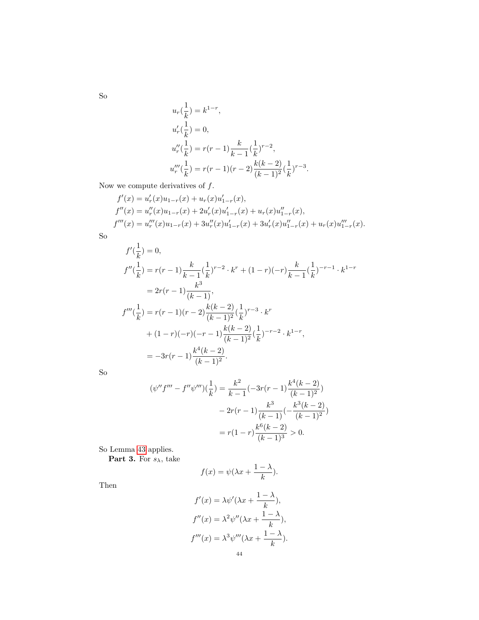So

$$
u_r(\frac{1}{k}) = k^{1-r},
$$
  
\n
$$
u'_r(\frac{1}{k}) = 0,
$$
  
\n
$$
u''_r(\frac{1}{k}) = r(r-1)\frac{k}{k-1}(\frac{1}{k})^{r-2},
$$
  
\n
$$
u'''_r(\frac{1}{k}) = r(r-1)(r-2)\frac{k(k-2)}{(k-1)^2}(\frac{1}{k})^{r-3}.
$$

Now we compute derivatives of  $f$ .

$$
f'(x) = u'_r(x)u_{1-r}(x) + u_r(x)u'_{1-r}(x),
$$
  
\n
$$
f''(x) = u''_r(x)u_{1-r}(x) + 2u'_r(x)u'_{1-r}(x) + u_r(x)u''_{1-r}(x),
$$
  
\n
$$
f'''(x) = u'''_r(x)u_{1-r}(x) + 3u''_r(x)u'_{1-r}(x) + 3u'_r(x)u''_{1-r}(x) + u_r(x)u''_{1-r}(x).
$$

$$
_{\rm So}
$$

$$
f'(\frac{1}{k}) = 0,
$$
  
\n
$$
f''(\frac{1}{k}) = r(r-1)\frac{k}{k-1}(\frac{1}{k})^{r-2} \cdot k^r + (1-r)(-r)\frac{k}{k-1}(\frac{1}{k})^{-r-1} \cdot k^{1-r}
$$
  
\n
$$
= 2r(r-1)\frac{k^3}{(k-1)},
$$
  
\n
$$
f'''(\frac{1}{k}) = r(r-1)(r-2)\frac{k(k-2)}{(k-1)^2}(\frac{1}{k})^{r-3} \cdot k^r
$$
  
\n
$$
+ (1-r)(-r)(-r-1)\frac{k(k-2)}{(k-1)^2}(\frac{1}{k})^{-r-2} \cdot k^{1-r},
$$
  
\n
$$
= -3r(r-1)\frac{k^4(k-2)}{(k-1)^2}.
$$

So

$$
(\psi''f''' - f''\psi''')\left(\frac{1}{k}\right) = \frac{k^2}{k-1}(-3r(r-1)\frac{k^4(k-2)}{(k-1)^2})
$$

$$
-2r(r-1)\frac{k^3}{(k-1)}\left(-\frac{k^3(k-2)}{(k-1)^2}\right)
$$

$$
= r(1-r)\frac{k^6(k-2)}{(k-1)^3} > 0.
$$

So Lemma [43](#page-41-1) applies.

**Part 3.** For  $s_{\lambda}$ , take

$$
f(x) = \psi(\lambda x + \frac{1-\lambda}{k}).
$$

Then

$$
f'(x) = \lambda \psi'(\lambda x + \frac{1-\lambda}{k}),
$$
  

$$
f''(x) = \lambda^2 \psi''(\lambda x + \frac{1-\lambda}{k}),
$$
  

$$
f'''(x) = \lambda^3 \psi'''(\lambda x + \frac{1-\lambda}{k}).
$$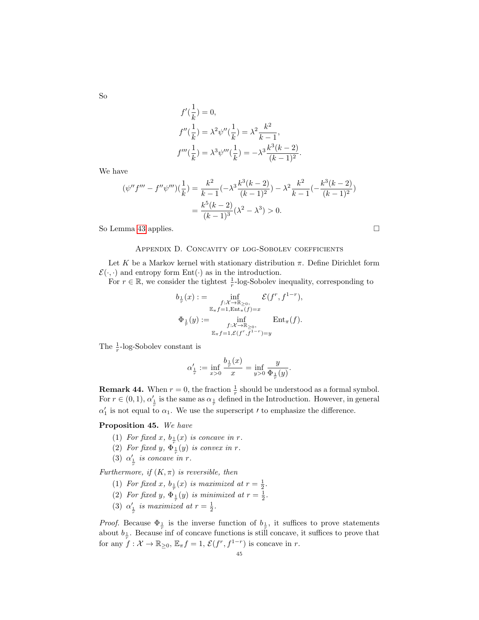So

$$
f'(\frac{1}{k}) = 0,
$$
  
\n
$$
f''(\frac{1}{k}) = \lambda^2 \psi''(\frac{1}{k}) = \lambda^2 \frac{k^2}{k-1},
$$
  
\n
$$
f'''(\frac{1}{k}) = \lambda^3 \psi'''(\frac{1}{k}) = -\lambda^3 \frac{k^3(k-2)}{(k-1)^2}.
$$

We have

$$
(\psi''f''' - f''\psi''')\left(\frac{1}{k}\right) = \frac{k^2}{k-1}(-\lambda^3 \frac{k^3(k-2)}{(k-1)^2}) - \lambda^2 \frac{k^2}{k-1}(-\frac{k^3(k-2)}{(k-1)^2})
$$

$$
= \frac{k^5(k-2)}{(k-1)^3}(\lambda^2 - \lambda^3) > 0.
$$

So Lemma [43](#page-41-1) applies.

#### Appendix D. Concavity of log-Sobolev coefficients

<span id="page-44-0"></span>Let K be a Markov kernel with stationary distribution  $\pi$ . Define Dirichlet form  $\mathcal{E}(\cdot, \cdot)$  and entropy form  $Ent(\cdot)$  as in the introduction.

For  $r \in \mathbb{R}$ , we consider the tightest  $\frac{1}{r}$ -log-Sobolev inequality, corresponding to

$$
b_{\frac{1}{r}}(x) := \inf_{\substack{f: \mathcal{X} \to \mathbb{R}_{\geq 0}, \\ \mathbb{E}_{\pi} f = 1, \text{Ent}_{\pi}(f) = x}} \mathcal{E}(f^r, f^{1-r}),
$$
  

$$
\Phi_{\frac{1}{r}}(y) := \inf_{\substack{f: \mathcal{X} \to \mathbb{R}_{\geq 0}, \\ \mathbb{E}_{\pi} f = 1, \mathcal{E}(f^r, f^{1-r}) = y}} \text{Ent}_{\pi}(f).
$$

The  $\frac{1}{r}$ -log-Sobolev constant is

$$
\alpha'_{\frac{1}{r}}:=\inf_{x>0}\frac{b_{\frac{1}{r}}(x)}{x}=\inf_{y>0}\frac{y}{\Phi_{\frac{1}{r}}(y)}.
$$

**Remark 44.** When  $r = 0$ , the fraction  $\frac{1}{r}$  should be understood as a formal symbol. For  $r \in (0, 1)$ ,  $\alpha'_{\frac{1}{r}}$  is the same as  $\alpha_{\frac{1}{r}}$  defined in the Introduction. However, in general  $\alpha'_1$  is not equal to  $\alpha_1$ . We use the superscript *t* to emphasize the difference.

## Proposition 45. We have

- (1) For fixed x,  $b_1(x)$  is concave in r.
- (2) For fixed y,  $\Phi_{\frac{1}{r}}^{\frac{1}{r}}(y)$  is convex in r.
- (3)  $\alpha'_{\frac{1}{r}}$  is concave in r.

Furthermore, if  $(K, \pi)$  is reversible, then

- (1) For fixed x,  $b_{\frac{1}{r}}(x)$  is maximized at  $r = \frac{1}{2}$ .
- (2) For fixed y,  $\Phi_{\frac{1}{r}}(y)$  is minimized at  $r = \frac{1}{2}$ .
- (3)  $\alpha'_{\frac{1}{r}}$  is maximized at  $r = \frac{1}{2}$ .

*Proof.* Because  $\Phi_{\frac{1}{r}}$  is the inverse function of  $b_{\frac{1}{r}}$ , it suffices to prove statements about  $b_1$ . Because inf of concave functions is still concave, it suffices to prove that for any  $\overline{f}: \mathcal{X} \to \mathbb{R}_{\geq 0}, \mathbb{E}_{\pi} f = 1, \mathcal{E}(f^r, f^{1-r})$  is concave in r.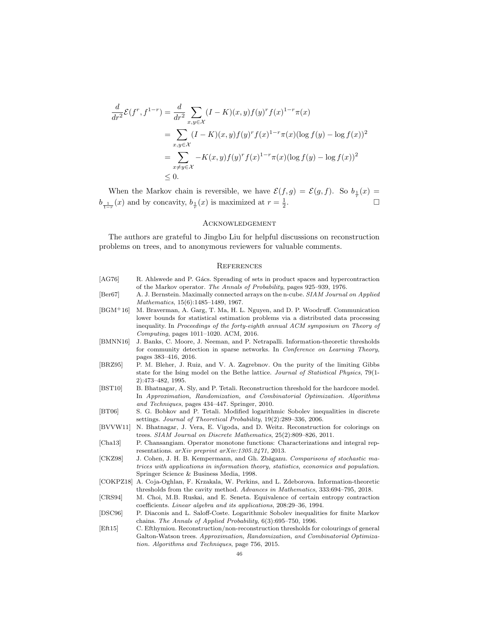$$
\frac{d}{dr^2} \mathcal{E}(f^r, f^{1-r}) = \frac{d}{dr^2} \sum_{x,y \in \mathcal{X}} (I - K)(x, y) f(y)^r f(x)^{1-r} \pi(x)
$$
\n
$$
= \sum_{x,y \in \mathcal{X}} (I - K)(x, y) f(y)^r f(x)^{1-r} \pi(x) (\log f(y) - \log f(x))^2
$$
\n
$$
= \sum_{x \neq y \in \mathcal{X}} -K(x, y) f(y)^r f(x)^{1-r} \pi(x) (\log f(y) - \log f(x))^2
$$
\n
$$
\leq 0.
$$

When the Markov chain is reversible, we have  $\mathcal{E}(f,g) = \mathcal{E}(g,f)$ . So  $b_{\frac{1}{r}}(x) =$  $b_{\frac{1}{1-r}}(x)$  and by concavity,  $b_{\frac{1}{r}}(x)$  is maximized at  $r=\frac{1}{2}$ .

#### <span id="page-45-2"></span>**ACKNOWLEDGEMENT**

The authors are grateful to Jingbo Liu for helpful discussions on reconstruction problems on trees, and to anonymous reviewers for valuable comments.

#### <span id="page-45-3"></span>**REFERENCES**

- <span id="page-45-14"></span><span id="page-45-11"></span><span id="page-45-10"></span><span id="page-45-8"></span><span id="page-45-6"></span><span id="page-45-5"></span>[AG76] R. Ahlswede and P. Gács. Spreading of sets in product spaces and hypercontraction of the Markov operator. The Annals of Probability, pages 925–939, 1976. [Ber67] A. J. Bernstein. Maximally connected arrays on the n-cube. SIAM Journal on Applied Mathematics, 15(6):1485–1489, 1967. [BGM+16] M. Braverman, A. Garg, T. Ma, H. L. Nguyen, and D. P. Woodruff. Communication lower bounds for statistical estimation problems via a distributed data processing inequality. In Proceedings of the forty-eighth annual ACM symposium on Theory of Computing, pages 1011–1020. ACM, 2016. [BMNN16] J. Banks, C. Moore, J. Neeman, and P. Netrapalli. Information-theoretic thresholds for community detection in sparse networks. In Conference on Learning Theory, pages 383–416, 2016. [BRZ95] P. M. Bleher, J. Ruiz, and V. A. Zagrebnov. On the purity of the limiting Gibbs state for the Ising model on the Bethe lattice. Journal of Statistical Physics, 79(1- 2):473–482, 1995. [BST10] B. Bhatnagar, A. Sly, and P. Tetali. Reconstruction threshold for the hardcore model. In Approximation, Randomization, and Combinatorial Optimization. Algorithms and Techniques, pages 434–447. Springer, 2010. [BT06] S. G. Bobkov and P. Tetali. Modified logarithmic Sobolev inequalities in discrete settings. Journal of Theoretical Probability, 19(2):289–336, 2006. [BVVW11] N. Bhatnagar, J. Vera, E. Vigoda, and D. Weitz. Reconstruction for colorings on trees. SIAM Journal on Discrete Mathematics, 25(2):809–826, 2011. [Cha13] P. Chansangiam. Operator monotone functions: Characterizations and integral representations. arXiv preprint arXiv:1305.2471, 2013. [CKZ98] J. Cohen, J. H. B. Kempermann, and Gh. Zbǎganu. Comparisons of stochastic matrices with applications in information theory, statistics, economics and population. Springer Science & Business Media, 1998. [COKPZ18] A. Coja-Oghlan, F. Krzakala, W. Perkins, and L. Zdeborova. Information-theoretic thresholds from the cavity method. Advances in Mathematics, 333:694–795, 2018. [CRS94] M. Choi, M.B. Ruskai, and E. Seneta. Equivalence of certain entropy contraction coefficients. Linear algebra and its applications, 208:29–36, 1994. [DSC96] P. Diaconis and L. Saloff-Coste. Logarithmic Sobolev inequalities for finite Markov
- <span id="page-45-13"></span><span id="page-45-12"></span><span id="page-45-9"></span><span id="page-45-7"></span><span id="page-45-4"></span><span id="page-45-1"></span><span id="page-45-0"></span>chains. The Annals of Applied Probability, 6(3):695–750, 1996.
- <span id="page-45-15"></span>[Eft15] C. Efthymiou. Reconstruction/non-reconstruction thresholds for colourings of general Galton-Watson trees. Approximation, Randomization, and Combinatorial Optimization. Algorithms and Techniques, page 756, 2015.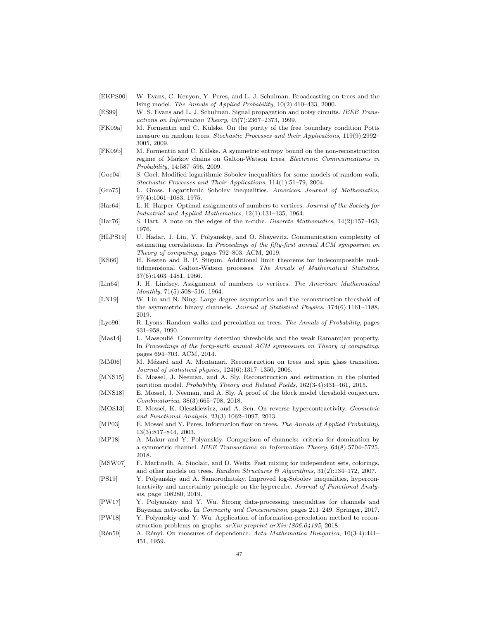- <span id="page-46-9"></span>[EKPS00] W. Evans, C. Kenyon, Y. Peres, and L. J. Schulman. Broadcasting on trees and the Ising model. The Annals of Applied Probability, 10(2):410–433, 2000.
- <span id="page-46-6"></span>[ES99] W. S. Evans and L. J. Schulman. Signal propagation and noisy circuits. IEEE Transactions on Information Theory, 45(7):2367–2373, 1999.
- <span id="page-46-21"></span>[FK09a] M. Formentin and C. Külske. On the purity of the free boundary condition Potts measure on random trees. Stochastic Processes and their Applications, 119(9):2992-3005, 2009.
- <span id="page-46-13"></span>[FK09b] M. Formentin and C. Külske. A symmetric entropy bound on the non-reconstruction regime of Markov chains on Galton-Watson trees. Electronic Communications in Probability, 14:587–596, 2009.
- <span id="page-46-3"></span>[Goe04] S. Goel. Modified logarithmic Sobolev inequalities for some models of random walk. Stochastic Processes and Their Applications, 114(1):51–79, 2004.
- <span id="page-46-1"></span>[Gro75] L. Gross. Logarithmic Sobolev inequalities. American Journal of Mathematics, 97(4):1061–1083, 1975.
- <span id="page-46-18"></span>[Har64] L. H. Harper. Optimal assignments of numbers to vertices. Journal of the Society for Industrial and Applied Mathematics, 12(1):131–135, 1964.
- <span id="page-46-19"></span>[Har76] S. Hart. A note on the edges of the n-cube. *Discrete Mathematics*, 14(2):157–163, 1976.
- <span id="page-46-8"></span>[HLPS19] U. Hadar, J. Liu, Y. Polyanskiy, and O. Shayevitz. Communication complexity of estimating correlations. In Proceedings of the fifty-first annual ACM symposium on Theory of computing, pages 792–803. ACM, 2019.
- <span id="page-46-10"></span>[KS66] H. Kesten and B. P. Stigum. Additional limit theorems for indecomposable multidimensional Galton-Watson processes. The Annals of Mathematical Statistics, 37(6):1463–1481, 1966.
- <span id="page-46-5"></span>[Lin64] J. H. Lindsey. Assignment of numbers to vertices. The American Mathematical Monthly, 71(5):508–516, 1964.
- <span id="page-46-12"></span>[LN19] W. Liu and N. Ning. Large degree asymptotics and the reconstruction threshold of the asymmetric binary channels. Journal of Statistical Physics, 174(6):1161–1188, 2019.
- <span id="page-46-20"></span>[Lyo90] R. Lyons. Random walks and percolation on trees. The Annals of Probability, pages 931–958, 1990.
- <span id="page-46-15"></span>[Mas14] L. Massoulié. Community detection thresholds and the weak Ramanujan property. In Proceedings of the forty-sixth annual ACM symposium on Theory of computing, pages 694–703. ACM, 2014.
- <span id="page-46-11"></span>[MM06] M. Mézard and A. Montanari. Reconstruction on trees and spin glass transition. Journal of statistical physics, 124(6):1317–1350, 2006.
- <span id="page-46-17"></span>[MNS15] E. Mossel, J. Neeman, and A. Sly. Reconstruction and estimation in the planted partition model. Probability Theory and Related Fields, 162(3-4):431–461, 2015.
- <span id="page-46-16"></span>[MNS18] E. Mossel, J. Neeman, and A. Sly. A proof of the block model threshold conjecture. Combinatorica, 38(3):665–708, 2018.
- <span id="page-46-2"></span>[MOS13] E. Mossel, K. Oleszkiewicz, and A. Sen. On reverse hypercontractivity. Geometric and Functional Analysis, 23(3):1062–1097, 2013.
- <span id="page-46-14"></span>[MP03] E. Mossel and Y. Peres. Information flow on trees. The Annals of Applied Probability, 13(3):817–844, 2003.
- <span id="page-46-23"></span>[MP18] A. Makur and Y. Polyanskiy. Comparison of channels: criteria for domination by a symmetric channel. IEEE Transactions on Information Theory, 64(8):5704–5725, 2018.
- <span id="page-46-22"></span>[MSW07] F. Martinelli, A. Sinclair, and D. Weitz. Fast mixing for independent sets, colorings, and other models on trees. Random Structures & Algorithms,  $31(2):134-172$ , 2007.
- <span id="page-46-0"></span>[PS19] Y. Polyanskiy and A. Samorodnitsky. Improved log-Sobolev inequalities, hypercontractivity and uncertainty principle on the hypercube. Journal of Functional Analysis, page 108280, 2019.
- <span id="page-46-4"></span>[PW17] Y. Polyanskiy and Y. Wu. Strong data-processing inequalities for channels and Bayesian networks. In Convexity and Concentration, pages 211–249. Springer, 2017.
- <span id="page-46-7"></span>[PW18] Y. Polyanskiy and Y. Wu. Application of information-percolation method to reconstruction problems on graphs. arXiv preprint arXiv:1806.04195, 2018.
- <span id="page-46-24"></span>[Rén59] A. Rényi. On measures of dependence. Acta Mathematica Hungarica, 10(3-4):441– 451, 1959.